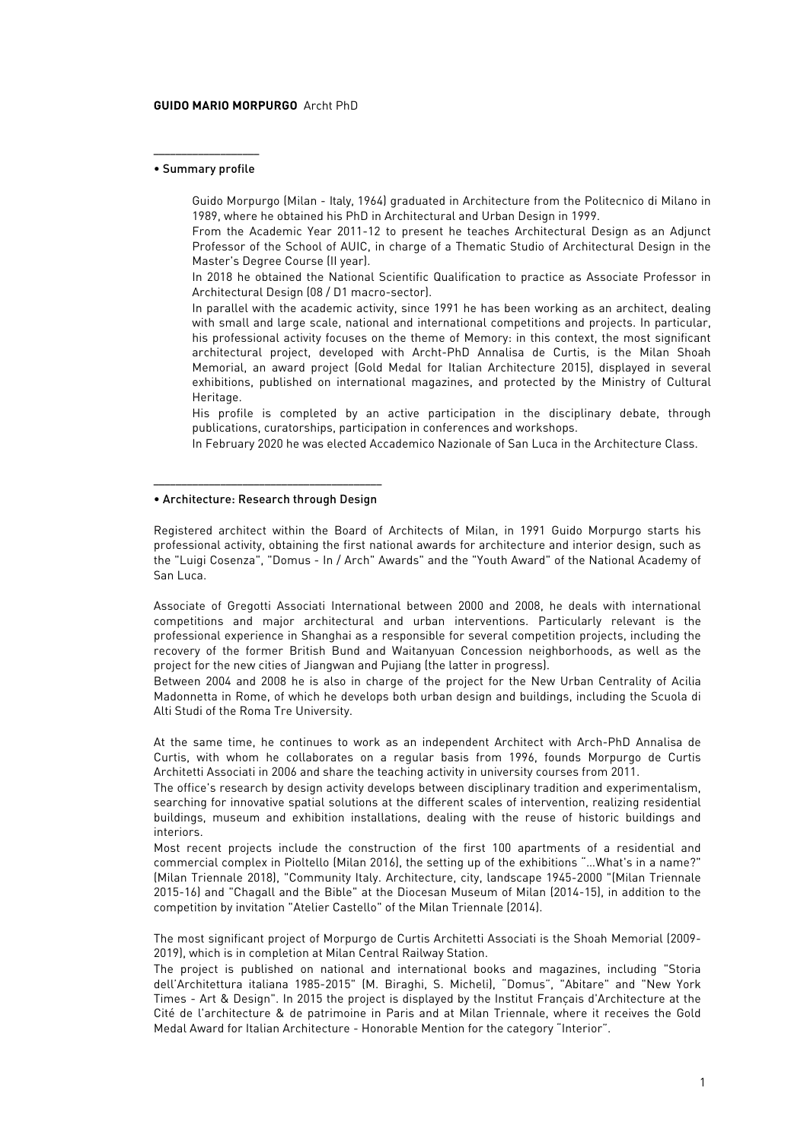#### **GUIDO MARIO MORPURGO** Archt PhD

#### ––––––––––––––––––– • Summary profile

Guido Morpurgo (Milan - Italy, 1964) graduated in Architecture from the Politecnico di Milano in 1989, where he obtained his PhD in Architectural and Urban Design in 1999.

From the Academic Year 2011-12 to present he teaches Architectural Design as an Adjunct Professor of the School of AUIC, in charge of a Thematic Studio of Architectural Design in the Master's Degree Course (II year).

In 2018 he obtained the National Scientific Qualification to practice as Associate Professor in Architectural Design (08 / D1 macro-sector).

In parallel with the academic activity, since 1991 he has been working as an architect, dealing with small and large scale, national and international competitions and projects. In particular, his professional activity focuses on the theme of Memory: in this context, the most significant architectural project, developed with Archt-PhD Annalisa de Curtis, is the Milan Shoah Memorial, an award project (Gold Medal for Italian Architecture 2015), displayed in several exhibitions, published on international magazines, and protected by the Ministry of Cultural Heritage.

His profile is completed by an active participation in the disciplinary debate, through publications, curatorships, participation in conferences and workshops.

In February 2020 he was elected Accademico Nazionale of San Luca in the Architecture Class.

#### ––––––––––––––––––––––––––––––––––––––––– • Architecture: Research through Design

Registered architect within the Board of Architects of Milan, in 1991 Guido Morpurgo starts his professional activity, obtaining the first national awards for architecture and interior design, such as the "Luigi Cosenza", "Domus - In / Arch" Awards" and the "Youth Award" of the National Academy of San Luca.

Associate of Gregotti Associati International between 2000 and 2008, he deals with international competitions and major architectural and urban interventions. Particularly relevant is the professional experience in Shanghai as a responsible for several competition projects, including the recovery of the former British Bund and Waitanyuan Concession neighborhoods, as well as the project for the new cities of Jiangwan and Pujiang (the latter in progress).

Between 2004 and 2008 he is also in charge of the project for the New Urban Centrality of Acilia Madonnetta in Rome, of which he develops both urban design and buildings, including the Scuola di Alti Studi of the Roma Tre University.

At the same time, he continues to work as an independent Architect with Arch-PhD Annalisa de Curtis, with whom he collaborates on a regular basis from 1996, founds Morpurgo de Curtis Architetti Associati in 2006 and share the teaching activity in university courses from 2011.

The office's research by design activity develops between disciplinary tradition and experimentalism, searching for innovative spatial solutions at the different scales of intervention, realizing residential buildings, museum and exhibition installations, dealing with the reuse of historic buildings and interiors.

Most recent projects include the construction of the first 100 apartments of a residential and commercial complex in Pioltello (Milan 2016), the setting up of the exhibitions "…What's in a name?" (Milan Triennale 2018), "Community Italy. Architecture, city, landscape 1945-2000 "(Milan Triennale 2015-16) and "Chagall and the Bible" at the Diocesan Museum of Milan (2014-15), in addition to the competition by invitation "Atelier Castello" of the Milan Triennale (2014).

The most significant project of Morpurgo de Curtis Architetti Associati is the Shoah Memorial (2009- 2019), which is in completion at Milan Central Railway Station.

The project is published on national and international books and magazines, including "Storia dell'Architettura italiana 1985-2015" (M. Biraghi, S. Micheli), "Domus", "Abitare" and "New York Times - Art & Design". In 2015 the project is displayed by the Institut Français d'Architecture at the Cité de l'architecture & de patrimoine in Paris and at Milan Triennale, where it receives the Gold Medal Award for Italian Architecture - Honorable Mention for the category "Interior".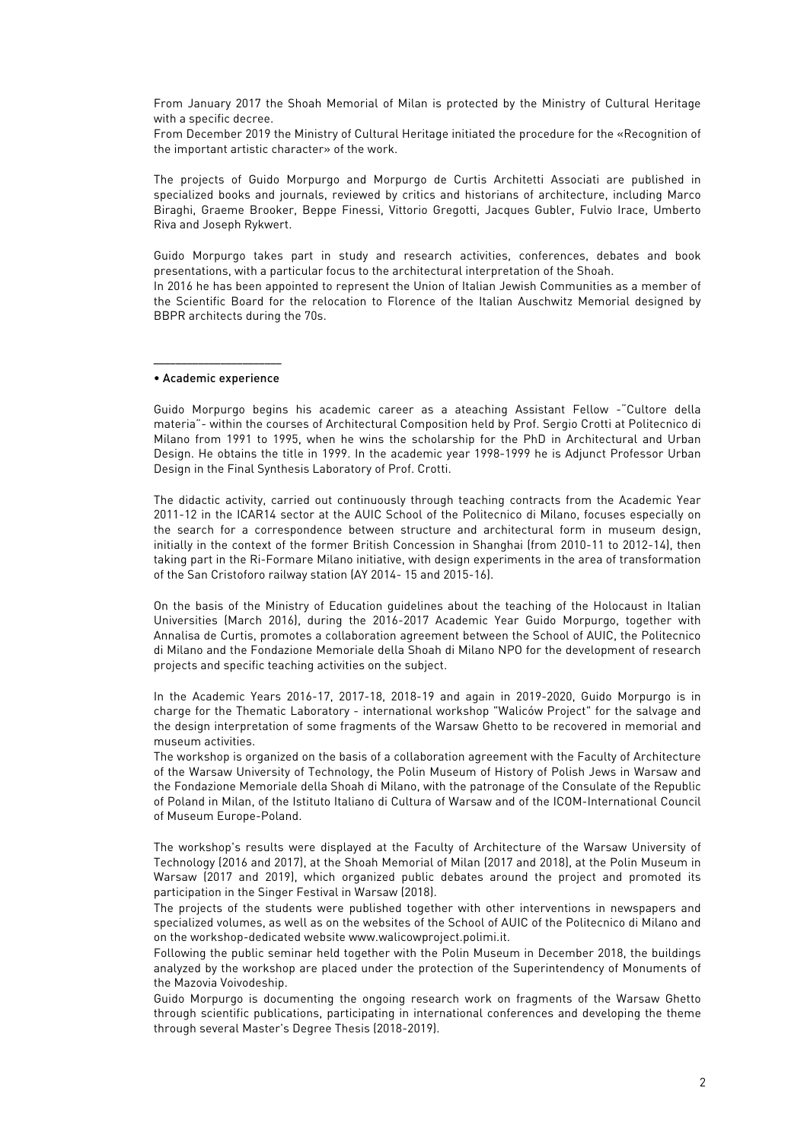From January 2017 the Shoah Memorial of Milan is protected by the Ministry of Cultural Heritage with a specific decree.

From December 2019 the Ministry of Cultural Heritage initiated the procedure for the «Recognition of the important artistic character» of the work.

The projects of Guido Morpurgo and Morpurgo de Curtis Architetti Associati are published in specialized books and journals, reviewed by critics and historians of architecture, including Marco Biraghi, Graeme Brooker, Beppe Finessi, Vittorio Gregotti, Jacques Gubler, Fulvio Irace, Umberto Riva and Joseph Rykwert.

Guido Morpurgo takes part in study and research activities, conferences, debates and book presentations, with a particular focus to the architectural interpretation of the Shoah. In 2016 he has been appointed to represent the Union of Italian Jewish Communities as a member of the Scientific Board for the relocation to Florence of the Italian Auschwitz Memorial designed by BBPR architects during the 70s.

––––––––––––––––––––––– • Academic experience

Guido Morpurgo begins his academic career as a ateaching Assistant Fellow -"Cultore della materia"- within the courses of Architectural Composition held by Prof. Sergio Crotti at Politecnico di Milano from 1991 to 1995, when he wins the scholarship for the PhD in Architectural and Urban Design. He obtains the title in 1999. In the academic year 1998-1999 he is Adjunct Professor Urban Design in the Final Synthesis Laboratory of Prof. Crotti.

The didactic activity, carried out continuously through teaching contracts from the Academic Year 2011-12 in the ICAR14 sector at the AUIC School of the Politecnico di Milano, focuses especially on the search for a correspondence between structure and architectural form in museum design, initially in the context of the former British Concession in Shanghai (from 2010-11 to 2012-14), then taking part in the Ri-Formare Milano initiative, with design experiments in the area of transformation of the San Cristoforo railway station (AY 2014- 15 and 2015-16).

On the basis of the Ministry of Education guidelines about the teaching of the Holocaust in Italian Universities (March 2016), during the 2016-2017 Academic Year Guido Morpurgo, together with Annalisa de Curtis, promotes a collaboration agreement between the School of AUIC, the Politecnico di Milano and the Fondazione Memoriale della Shoah di Milano NPO for the development of research projects and specific teaching activities on the subject.

In the Academic Years 2016-17, 2017-18, 2018-19 and again in 2019-2020, Guido Morpurgo is in charge for the Thematic Laboratory - international workshop "Waliców Project" for the salvage and the design interpretation of some fragments of the Warsaw Ghetto to be recovered in memorial and museum activities.

The workshop is organized on the basis of a collaboration agreement with the Faculty of Architecture of the Warsaw University of Technology, the Polin Museum of History of Polish Jews in Warsaw and the Fondazione Memoriale della Shoah di Milano, with the patronage of the Consulate of the Republic of Poland in Milan, of the Istituto Italiano di Cultura of Warsaw and of the ICOM-International Council of Museum Europe-Poland.

The workshop's results were displayed at the Faculty of Architecture of the Warsaw University of Technology (2016 and 2017), at the Shoah Memorial of Milan (2017 and 2018), at the Polin Museum in Warsaw (2017 and 2019), which organized public debates around the project and promoted its participation in the Singer Festival in Warsaw (2018).

The projects of the students were published together with other interventions in newspapers and specialized volumes, as well as on the websites of the School of AUIC of the Politecnico di Milano and on the workshop-dedicated website www.walicowproject.polimi.it.

Following the public seminar held together with the Polin Museum in December 2018, the buildings analyzed by the workshop are placed under the protection of the Superintendency of Monuments of the Mazovia Voivodeship.

Guido Morpurgo is documenting the ongoing research work on fragments of the Warsaw Ghetto through scientific publications, participating in international conferences and developing the theme through several Master's Degree Thesis (2018-2019).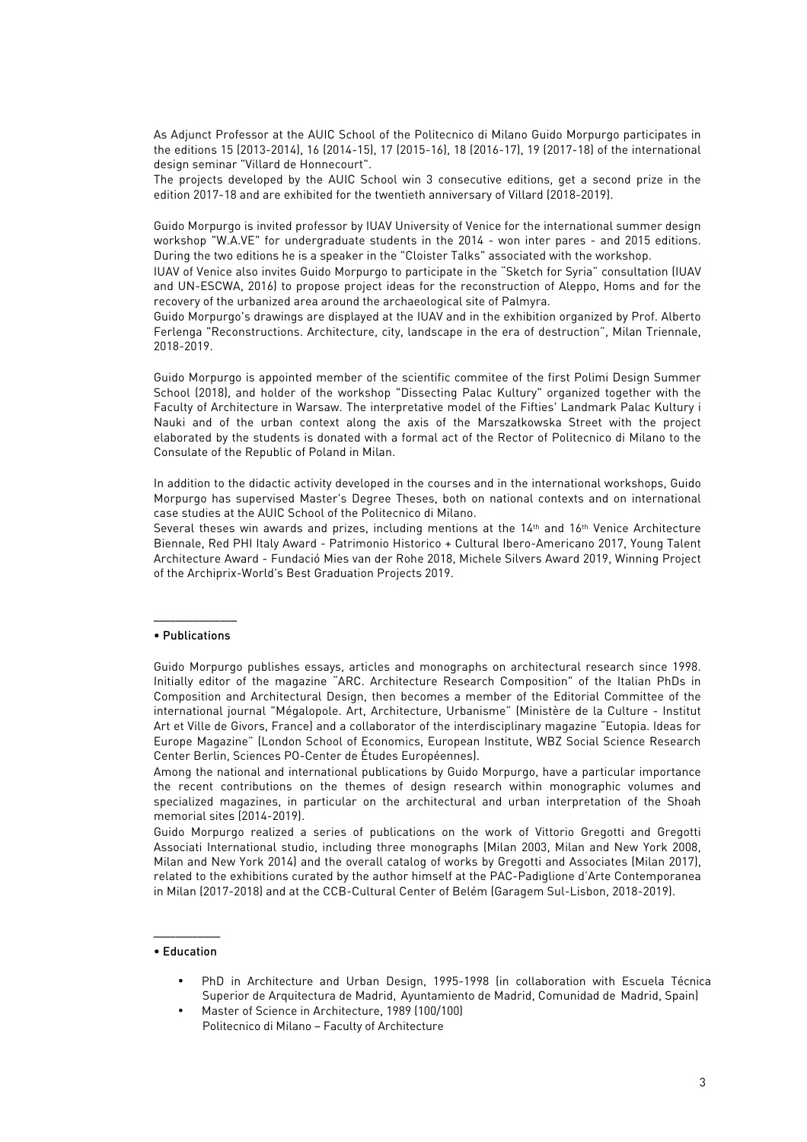As Adjunct Professor at the AUIC School of the Politecnico di Milano Guido Morpurgo participates in the editions 15 (2013-2014), 16 (2014-15), 17 (2015-16), 18 (2016-17), 19 (2017-18) of the international design seminar "Villard de Honnecourt".

The projects developed by the AUIC School win 3 consecutive editions, get a second prize in the edition 2017-18 and are exhibited for the twentieth anniversary of Villard (2018-2019).

Guido Morpurgo is invited professor by IUAV University of Venice for the international summer design workshop "W.A.VE" for undergraduate students in the 2014 - won inter pares - and 2015 editions. During the two editions he is a speaker in the "Cloister Talks" associated with the workshop.

IUAV of Venice also invites Guido Morpurgo to participate in the "Sketch for Syria" consultation (IUAV and UN-ESCWA, 2016) to propose project ideas for the reconstruction of Aleppo, Homs and for the recovery of the urbanized area around the archaeological site of Palmyra.

Guido Morpurgo's drawings are displayed at the IUAV and in the exhibition organized by Prof. Alberto Ferlenga "Reconstructions. Architecture, city, landscape in the era of destruction", Milan Triennale, 2018-2019.

Guido Morpurgo is appointed member of the scientific commitee of the first Polimi Design Summer School (2018), and holder of the workshop "Dissecting Palac Kultury" organized together with the Faculty of Architecture in Warsaw. The interpretative model of the Fifties' Landmark Palac Kultury i Nauki and of the urban context along the axis of the Marszałkowska Street with the project elaborated by the students is donated with a formal act of the Rector of Politecnico di Milano to the Consulate of the Republic of Poland in Milan.

In addition to the didactic activity developed in the courses and in the international workshops, Guido Morpurgo has supervised Master's Degree Theses, both on national contexts and on international case studies at the AUIC School of the Politecnico di Milano.

Several theses win awards and prizes, including mentions at the 14th and 16th Venice Architecture Biennale, Red PHI Italy Award - Patrimonio Historico + Cultural Ibero-Americano 2017, Young Talent Architecture Award - Fundació Mies van der Rohe 2018, Michele Silvers Award 2019, Winning Project of the Archiprix-World's Best Graduation Projects 2019.

#### ––––––––––––––– • Publications

Guido Morpurgo publishes essays, articles and monographs on architectural research since 1998. Initially editor of the magazine "ARC. Architecture Research Composition" of the Italian PhDs in Composition and Architectural Design, then becomes a member of the Editorial Committee of the international journal "Mégalopole. Art, Architecture, Urbanisme" (Ministère de la Culture - Institut Art et Ville de Givors, France) and a collaborator of the interdisciplinary magazine "Eutopia. Ideas for Europe Magazine" (London School of Economics, European Institute, WBZ Social Science Research Center Berlin, Sciences PO-Center de Études Européennes).

Among the national and international publications by Guido Morpurgo, have a particular importance the recent contributions on the themes of design research within monographic volumes and specialized magazines, in particular on the architectural and urban interpretation of the Shoah memorial sites (2014-2019).

Guido Morpurgo realized a series of publications on the work of Vittorio Gregotti and Gregotti Associati International studio, including three monographs (Milan 2003, Milan and New York 2008, Milan and New York 2014) and the overall catalog of works by Gregotti and Associates (Milan 2017), related to the exhibitions curated by the author himself at the PAC-Padiglione d'Arte Contemporanea in Milan (2017-2018) and at the CCB-Cultural Center of Belém (Garagem Sul-Lisbon, 2018-2019).

#### –––––––––––– • Education

- PhD in Architecture and Urban Design, 1995-1998 (in collaboration with Escuela Técnica Superior de Arquitectura de Madrid, Ayuntamiento de Madrid, Comunidad de Madrid, Spain)
- Master of Science in Architecture, 1989 (100/100) Politecnico di Milano – Faculty of Architecture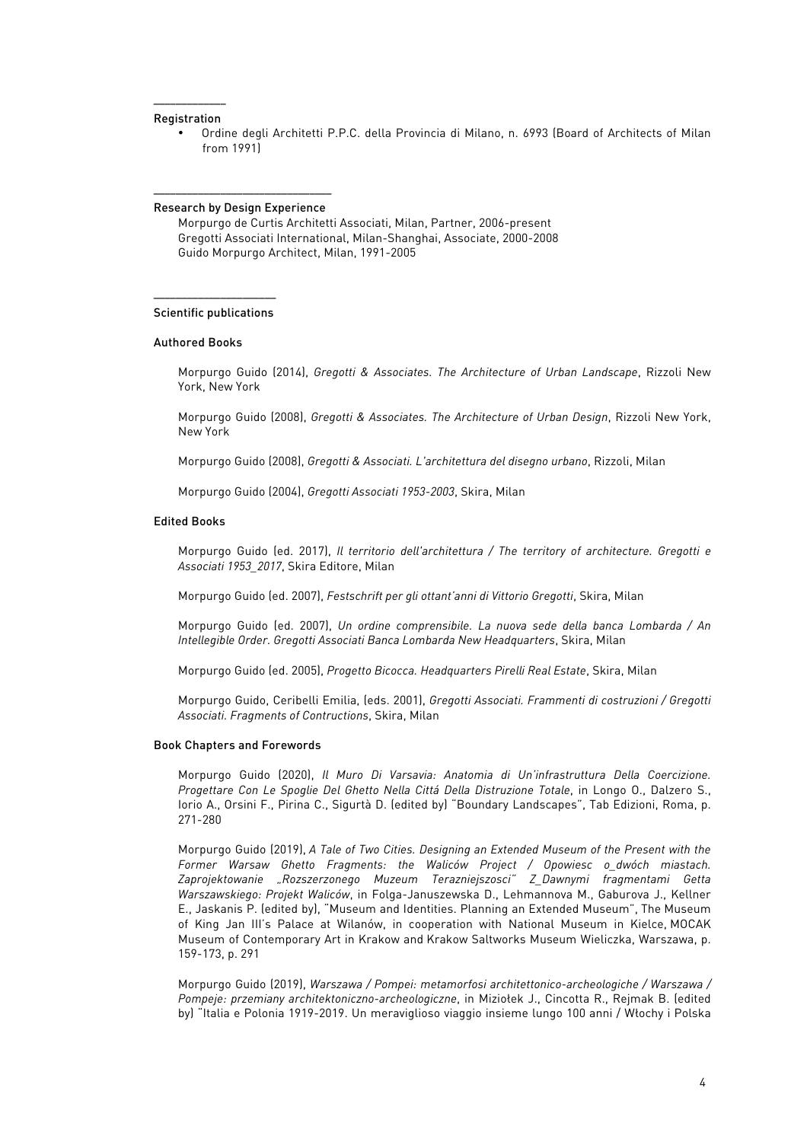#### ––––––––––––– Registration

• Ordine degli Architetti P.P.C. della Provincia di Milano, n. 6993 (Board of Architects of Milan from 1991)

#### –––––––––––––––––––––––––––––––– Research by Design Experience

Morpurgo de Curtis Architetti Associati, Milan, Partner, 2006-present Gregotti Associati International, Milan-Shanghai, Associate, 2000-2008 Guido Morpurgo Architect, Milan, 1991-2005

#### –––––––––––––––––––––– Scientific publications

#### Authored Books

Morpurgo Guido (2014), *Gregotti & Associates. The Architecture of Urban Landscape*, Rizzoli New York, New York

Morpurgo Guido (2008), *Gregotti & Associates. The Architecture of Urban Design*, Rizzoli New York, New York

Morpurgo Guido (2008), *Gregotti & Associati. L'architettura del disegno urbano*, Rizzoli, Milan

Morpurgo Guido (2004), *Gregotti Associati 1953-2003*, Skira, Milan

#### Edited Books

Morpurgo Guido (ed. 2017), *Il territorio dell'architettura / The territory of architecture. Gregotti e Associati 1953\_2017*, Skira Editore, Milan

Morpurgo Guido (ed. 2007), *Festschrift per gli ottant'anni di Vittorio Gregotti*, Skira, Milan

Morpurgo Guido (ed. 2007), *Un ordine comprensibile. La nuova sede della banca Lombarda / An Intellegible Order. Gregotti Associati Banca Lombarda New Headquarters*, Skira, Milan

Morpurgo Guido (ed. 2005), *Progetto Bicocca. Headquarters Pirelli Real Estate*, Skira, Milan

Morpurgo Guido, Ceribelli Emilia, (eds. 2001), *Gregotti Associati. Frammenti di costruzioni / Gregotti Associati. Fragments of Contructions*, Skira, Milan

#### Book Chapters and Forewords

Morpurgo Guido (2020), *Il Muro Di Varsavia: Anatomia di Un'infrastruttura Della Coercizione. Progettare Con Le Spoglie Del Ghetto Nella Cittá Della Distruzione Totale*, in Longo O., Dalzero S., Iorio A., Orsini F., Pirina C., Sigurtà D. (edited by) "Boundary Landscapes", Tab Edizioni, Roma, p. 271-280

Morpurgo Guido (2019), *A Tale of Two Cities. Designing an Extended Museum of the Present with the Former Warsaw Ghetto Fragments: the Waliców Project / Opowiesc o\_dwóch miastach. Zaprojektowanie "Rozszerzonego Muzeum Terazniejszosci" Z\_Dawnymi fragmentami Getta Warszawskiego: Projekt Waliców*, in Folga-Januszewska D., Lehmannova M., Gaburova J., Kellner E., Jaskanis P. (edited by), "Museum and Identities. Planning an Extended Museum", The Museum of King Jan III's Palace at Wilanów, in cooperation with National Museum in Kielce, MOCAK Museum of Contemporary Art in Krakow and Krakow Saltworks Museum Wieliczka, Warszawa, p. 159-173, p. 291

Morpurgo Guido (2019), *Warszawa / Pompei: metamorfosi architettonico-archeologiche / Warszawa / Pompeje: przemiany architektoniczno-archeologiczne*, in Miziołek J., Cincotta R., Rejmak B. (edited by) "Italia e Polonia 1919-2019. Un meraviglioso viaggio insieme lungo 100 anni / Włochy i Polska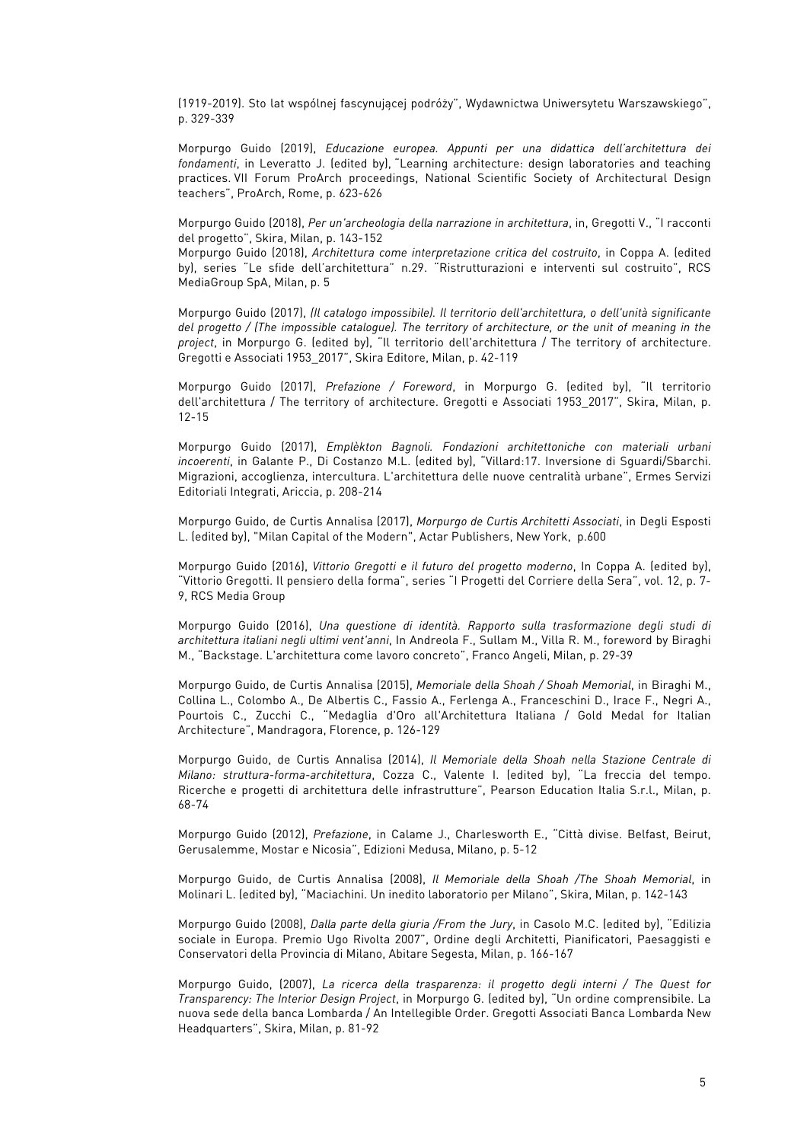(1919-2019). Sto lat wspólnej fascynującej podróży", Wydawnictwa Uniwersytetu Warszawskiego", p. 329-339

Morpurgo Guido (2019), *Educazione europea. Appunti per una didattica dell'architettura dei fondamenti*, in Leveratto J. (edited by), "Learning architecture: design laboratories and teaching practices. VII Forum ProArch proceedings, National Scientific Society of Architectural Design teachers", ProArch, Rome, p. 623-626

Morpurgo Guido (2018), *Per un'archeologia della narrazione in architettura*, in, Gregotti V., "I racconti del progetto", Skira, Milan, p. 143-152

Morpurgo Guido (2018), *Architettura come interpretazione critica del costruito*, in Coppa A. (edited by), series "Le sfide dell'architettura" n.29. "Ristrutturazioni e interventi sul costruito", RCS MediaGroup SpA, Milan, p. 5

Morpurgo Guido (2017), *(Il catalogo impossibile). Il territorio dell'architettura, o dell'unità significante del progetto / (The impossible catalogue). The territory of architecture, or the unit of meaning in the project*, in Morpurgo G. (edited by), "Il territorio dell'architettura / The territory of architecture. Gregotti e Associati 1953\_2017", Skira Editore, Milan, p. 42-119

Morpurgo Guido (2017), *Prefazione / Foreword*, in Morpurgo G. (edited by), "Il territorio dell'architettura / The territory of architecture. Gregotti e Associati 1953 2017", Skira, Milan, p. 12-15

Morpurgo Guido (2017), *Emplèkton Bagnoli. Fondazioni architettoniche con materiali urbani incoerenti*, in Galante P., Di Costanzo M.L. (edited by), "Villard:17. Inversione di Sguardi/Sbarchi. Migrazioni, accoglienza, intercultura. L'architettura delle nuove centralità urbane", Ermes Servizi Editoriali Integrati, Ariccia, p. 208-214

Morpurgo Guido, de Curtis Annalisa (2017), *Morpurgo de Curtis Architetti Associati*, in Degli Esposti L. (edited by), "Milan Capital of the Modern", Actar Publishers, New York, p.600

Morpurgo Guido (2016), *Vittorio Gregotti e il futuro del progetto moderno*, In Coppa A. (edited by), "Vittorio Gregotti. Il pensiero della forma", series "I Progetti del Corriere della Sera", vol. 12, p. 7- 9, RCS Media Group

Morpurgo Guido (2016), *Una questione di identità. Rapporto sulla trasformazione degli studi di architettura italiani negli ultimi vent'anni*, In Andreola F., Sullam M., Villa R. M., foreword by Biraghi M., "Backstage. L'architettura come lavoro concreto", Franco Angeli, Milan, p. 29-39

Morpurgo Guido, de Curtis Annalisa (2015), *Memoriale della Shoah / Shoah Memorial*, in Biraghi M., Collina L., Colombo A., De Albertis C., Fassio A., Ferlenga A., Franceschini D., Irace F., Negri A., Pourtois C., Zucchi C., "Medaglia d'Oro all'Architettura Italiana / Gold Medal for Italian Architecture", Mandragora, Florence, p. 126-129

Morpurgo Guido, de Curtis Annalisa (2014), *Il Memoriale della Shoah nella Stazione Centrale di Milano: struttura-forma-architettura*, Cozza C., Valente I. (edited by), "La freccia del tempo. Ricerche e progetti di architettura delle infrastrutture", Pearson Education Italia S.r.l., Milan, p. 68-74

Morpurgo Guido (2012), *Prefazione*, in Calame J., Charlesworth E., "Città divise. Belfast, Beirut, Gerusalemme, Mostar e Nicosia", Edizioni Medusa, Milano, p. 5-12

Morpurgo Guido, de Curtis Annalisa (2008), *Il Memoriale della Shoah /The Shoah Memorial*, in Molinari L. (edited by), "Maciachini. Un inedito laboratorio per Milano", Skira, Milan, p. 142-143

Morpurgo Guido (2008), *Dalla parte della giuria /From the Jury*, in Casolo M.C. (edited by), "Edilizia sociale in Europa. Premio Ugo Rivolta 2007", Ordine degli Architetti, Pianificatori, Paesaggisti e Conservatori della Provincia di Milano, Abitare Segesta, Milan, p. 166-167

Morpurgo Guido, (2007), *La ricerca della trasparenza: il progetto degli interni / The Quest for Transparency: The Interior Design Project*, in Morpurgo G. (edited by), "Un ordine comprensibile. La nuova sede della banca Lombarda / An Intellegible Order. Gregotti Associati Banca Lombarda New Headquarters", Skira, Milan, p. 81-92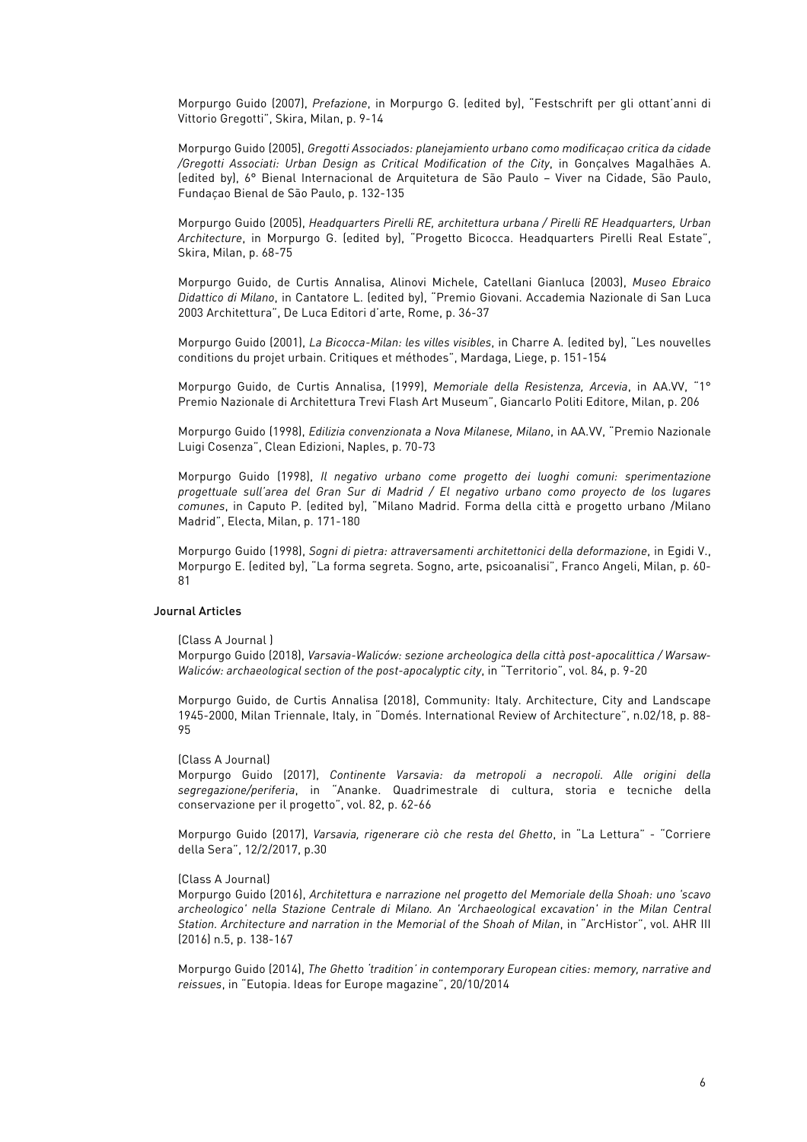Morpurgo Guido (2007), *Prefazione*, in Morpurgo G. (edited by), "Festschrift per gli ottant'anni di Vittorio Gregotti", Skira, Milan, p. 9-14

Morpurgo Guido (2005), *Gregotti Associados: planejamiento urbano como modificaçao critica da cidade /Gregotti Associati: Urban Design as Critical Modification of the City*, in Gonçalves Magalhães A. (edited by), 6° Bienal Internacional de Arquitetura de São Paulo – Viver na Cidade, São Paulo, Fundaçao Bienal de São Paulo, p. 132-135

Morpurgo Guido (2005), *Headquarters Pirelli RE, architettura urbana / Pirelli RE Headquarters, Urban Architecture*, in Morpurgo G. (edited by), "Progetto Bicocca. Headquarters Pirelli Real Estate", Skira, Milan, p. 68-75

Morpurgo Guido, de Curtis Annalisa, Alinovi Michele, Catellani Gianluca (2003), *Museo Ebraico Didattico di Milano*, in Cantatore L. (edited by), "Premio Giovani. Accademia Nazionale di San Luca 2003 Architettura", De Luca Editori d'arte, Rome, p. 36-37

Morpurgo Guido (2001), *La Bicocca-Milan: les villes visibles*, in Charre A. (edited by), "Les nouvelles conditions du projet urbain. Critiques et méthodes", Mardaga, Liege, p. 151-154

Morpurgo Guido, de Curtis Annalisa, (1999), *Memoriale della Resistenza, Arcevia*, in AA.VV, "1° Premio Nazionale di Architettura Trevi Flash Art Museum", Giancarlo Politi Editore, Milan, p. 206

Morpurgo Guido (1998), *Edilizia convenzionata a Nova Milanese, Milano*, in AA.VV, "Premio Nazionale Luigi Cosenza", Clean Edizioni, Naples, p. 70-73

Morpurgo Guido (1998), *Il negativo urbano come progetto dei luoghi comuni: sperimentazione progettuale sull'area del Gran Sur di Madrid / El negativo urbano como proyecto de los lugares comunes*, in Caputo P. (edited by), "Milano Madrid. Forma della città e progetto urbano /Milano Madrid", Electa, Milan, p. 171-180

Morpurgo Guido (1998), *Sogni di pietra: attraversamenti architettonici della deformazione*, in Egidi V., Morpurgo E. (edited by), "La forma segreta. Sogno, arte, psicoanalisi", Franco Angeli, Milan, p. 60- 81

## Journal Articles

(Class A Journal )

Morpurgo Guido (2018), *Varsavia-Waliców: sezione archeologica della città post-apocalittica / Warsaw-Waliców: archaeological section of the post-apocalyptic city*, in "Territorio", vol. 84, p. 9-20

Morpurgo Guido, de Curtis Annalisa (2018), Community: Italy. Architecture, City and Landscape 1945-2000, Milan Triennale, Italy, in "Domés. International Review of Architecture", n.02/18, p. 88- 95

#### (Class A Journal)

Morpurgo Guido (2017), *Continente Varsavia: da metropoli a necropoli. Alle origini della segregazione/periferia*, in "Ananke. Quadrimestrale di cultura, storia e tecniche della conservazione per il progetto", vol. 82, p. 62-66

Morpurgo Guido (2017), *Varsavia, rigenerare ciò che resta del Ghetto*, in "La Lettura" - "Corriere della Sera", 12/2/2017, p.30

#### (Class A Journal)

Morpurgo Guido (2016), *Architettura e narrazione nel progetto del Memoriale della Shoah: uno 'scavo archeologico' nella Stazione Centrale di Milano. An 'Archaeological excavation' in the Milan Central Station. Architecture and narration in the Memorial of the Shoah of Milan*, in "ArcHistor", vol. AHR III (2016) n.5, p. 138-167

Morpurgo Guido (2014), *The Ghetto 'tradition' in contemporary European cities: memory, narrative and reissues*, in "Eutopia. Ideas for Europe magazine", 20/10/2014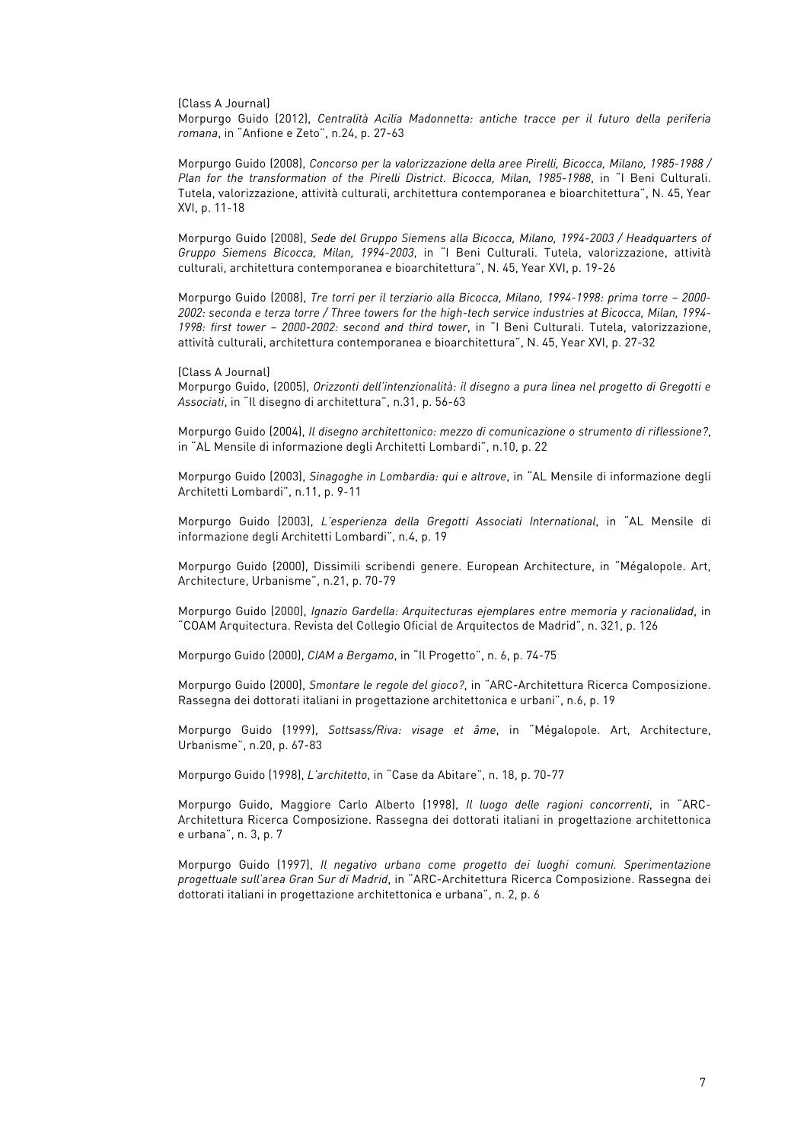(Class A Journal)

Morpurgo Guido (2012), *Centralità Acilia Madonnetta: antiche tracce per il futuro della periferia romana*, in "Anfione e Zeto", n.24, p. 27-63

Morpurgo Guido (2008), *Concorso per la valorizzazione della aree Pirelli, Bicocca, Milano, 1985-1988 / Plan for the transformation of the Pirelli District. Bicocca, Milan, 1985-1988*, in "I Beni Culturali. Tutela, valorizzazione, attività culturali, architettura contemporanea e bioarchitettura", N. 45, Year XVI, p. 11-18

Morpurgo Guido (2008), *Sede del Gruppo Siemens alla Bicocca, Milano, 1994-2003 / Headquarters of Gruppo Siemens Bicocca, Milan, 1994-2003*, in "I Beni Culturali. Tutela, valorizzazione, attività culturali, architettura contemporanea e bioarchitettura", N. 45, Year XVI, p. 19-26

Morpurgo Guido (2008), *Tre torri per il terziario alla Bicocca, Milano, 1994-1998: prima torre – 2000- 2002: seconda e terza torre / Three towers for the high-tech service industries at Bicocca, Milan, 1994- 1998: first tower – 2000-2002: second and third tower*, in "I Beni Culturali. Tutela, valorizzazione, attività culturali, architettura contemporanea e bioarchitettura", N. 45, Year XVI, p. 27-32

(Class A Journal)

Morpurgo Guido, (2005), *Orizzonti dell'intenzionalità: il disegno a pura linea nel progetto di Gregotti e Associati*, in "Il disegno di architettura", n.31, p. 56-63

Morpurgo Guido (2004), *Il disegno architettonico: mezzo di comunicazione o strumento di riflessione?*, in "AL Mensile di informazione degli Architetti Lombardi", n.10, p. 22

Morpurgo Guido (2003), *Sinagoghe in Lombardia: qui e altrove*, in "AL Mensile di informazione degli Architetti Lombardi", n.11, p. 9-11

Morpurgo Guido (2003), *L'esperienza della Gregotti Associati International*, in "AL Mensile di informazione degli Architetti Lombardi", n.4, p. 19

Morpurgo Guido (2000), Dissimili scribendi genere. European Architecture, in "Mégalopole. Art, Architecture, Urbanisme", n.21, p. 70-79

Morpurgo Guido (2000), *Ignazio Gardella: Arquitecturas ejemplares entre memoria y racionalidad*, in "COAM Arquitectura. Revista del Collegio Oficial de Arquitectos de Madrid", n. 321, p. 126

Morpurgo Guido (2000), *CIAM a Bergamo*, in "Il Progetto", n. 6, p. 74-75

Morpurgo Guido (2000), *Smontare le regole del gioco?*, in "ARC-Architettura Ricerca Composizione. Rassegna dei dottorati italiani in progettazione architettonica e urbani", n.6, p. 19

Morpurgo Guido (1999), *Sottsass/Riva: visage et âme*, in "Mégalopole. Art, Architecture, Urbanisme", n.20, p. 67-83

Morpurgo Guido (1998), *L'architetto*, in "Case da Abitare", n. 18, p. 70-77

Morpurgo Guido, Maggiore Carlo Alberto (1998), *Il luogo delle ragioni concorrenti*, in "ARC-Architettura Ricerca Composizione. Rassegna dei dottorati italiani in progettazione architettonica e urbana", n. 3, p. 7

Morpurgo Guido (1997), *Il negativo urbano come progetto dei luoghi comuni. Sperimentazione progettuale sull'area Gran Sur di Madrid*, in "ARC-Architettura Ricerca Composizione. Rassegna dei dottorati italiani in progettazione architettonica e urbana", n. 2, p. 6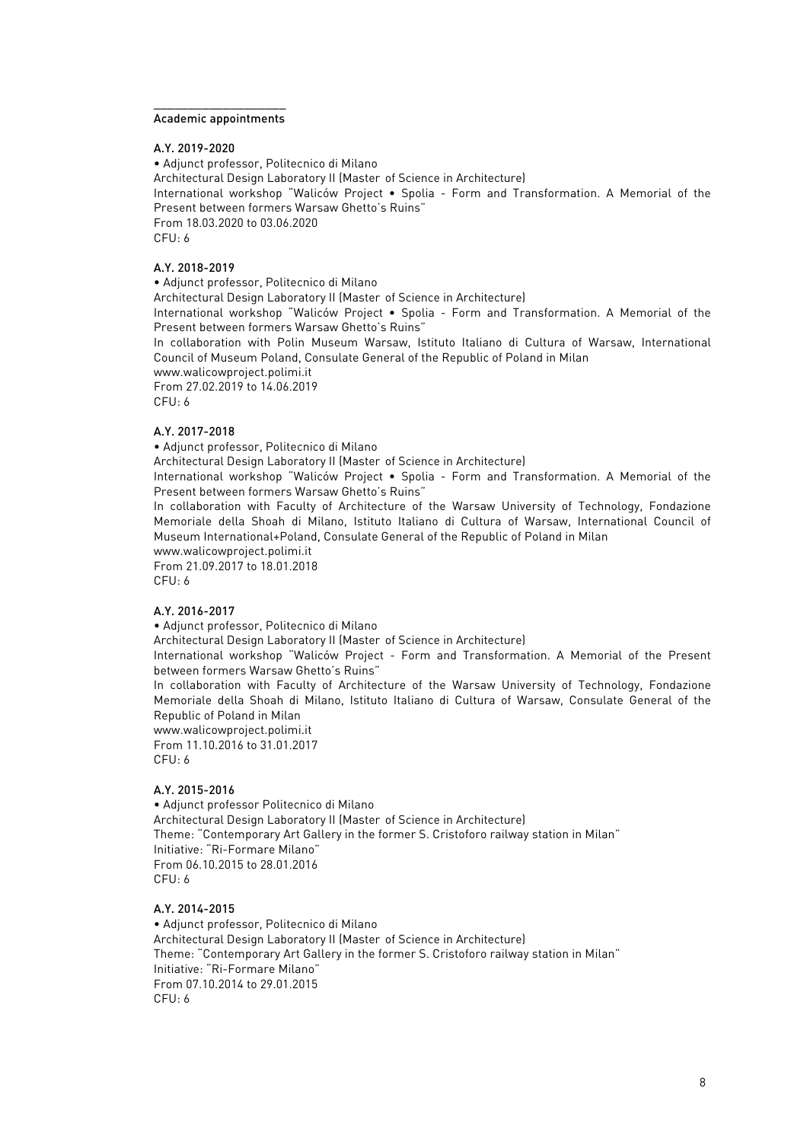#### $\_$ Academic appointments

A.Y. 2019-2020

• Adjunct professor, Politecnico di Milano Architectural Design Laboratory II (Master of Science in Architecture) International workshop "Waliców Project • Spolia - Form and Transformation. A Memorial of the Present between formers Warsaw Ghetto's Ruins" From 18.03.2020 to 03.06.2020 CFU: 6

# A.Y. 2018-2019

• Adjunct professor, Politecnico di Milano Architectural Design Laboratory II (Master of Science in Architecture) International workshop "Waliców Project • Spolia - Form and Transformation. A Memorial of the Present between formers Warsaw Ghetto's Ruins" In collaboration with Polin Museum Warsaw, Istituto Italiano di Cultura of Warsaw, International Council of Museum Poland, Consulate General of the Republic of Poland in Milan www.walicowproject.polimi.it From 27.02.2019 to 14.06.2019 CFU: 6

# A.Y. 2017-2018

• Adjunct professor, Politecnico di Milano

Architectural Design Laboratory II (Master of Science in Architecture)

International workshop "Waliców Project • Spolia - Form and Transformation. A Memorial of the Present between formers Warsaw Ghetto's Ruins"

In collaboration with Faculty of Architecture of the Warsaw University of Technology, Fondazione Memoriale della Shoah di Milano, Istituto Italiano di Cultura of Warsaw, International Council of Museum International+Poland, Consulate General of the Republic of Poland in Milan

www.walicowproject.polimi.it From 21.09.2017 to 18.01.2018 CFU: 6

A.Y. 2016-2017

• Adjunct professor, Politecnico di Milano

Architectural Design Laboratory II (Master of Science in Architecture)

International workshop "Waliców Project - Form and Transformation. A Memorial of the Present between formers Warsaw Ghetto's Ruins"

In collaboration with Faculty of Architecture of the Warsaw University of Technology, Fondazione Memoriale della Shoah di Milano, Istituto Italiano di Cultura of Warsaw, Consulate General of the Republic of Poland in Milan

www.walicowproject.polimi.it From 11.10.2016 to 31.01.2017 CFU: 6

#### A.Y. 2015-2016

• Adjunct professor Politecnico di Milano Architectural Design Laboratory II (Master of Science in Architecture) Theme: "Contemporary Art Gallery in the former S. Cristoforo railway station in Milan" Initiative: "Ri-Formare Milano" From 06.10.2015 to 28.01.2016 CFU: 6

#### A.Y. 2014-2015

• Adjunct professor, Politecnico di Milano Architectural Design Laboratory II (Master of Science in Architecture) Theme: "Contemporary Art Gallery in the former S. Cristoforo railway station in Milan" Initiative: "Ri-Formare Milano" From 07.10.2014 to 29.01.2015 CFU: 6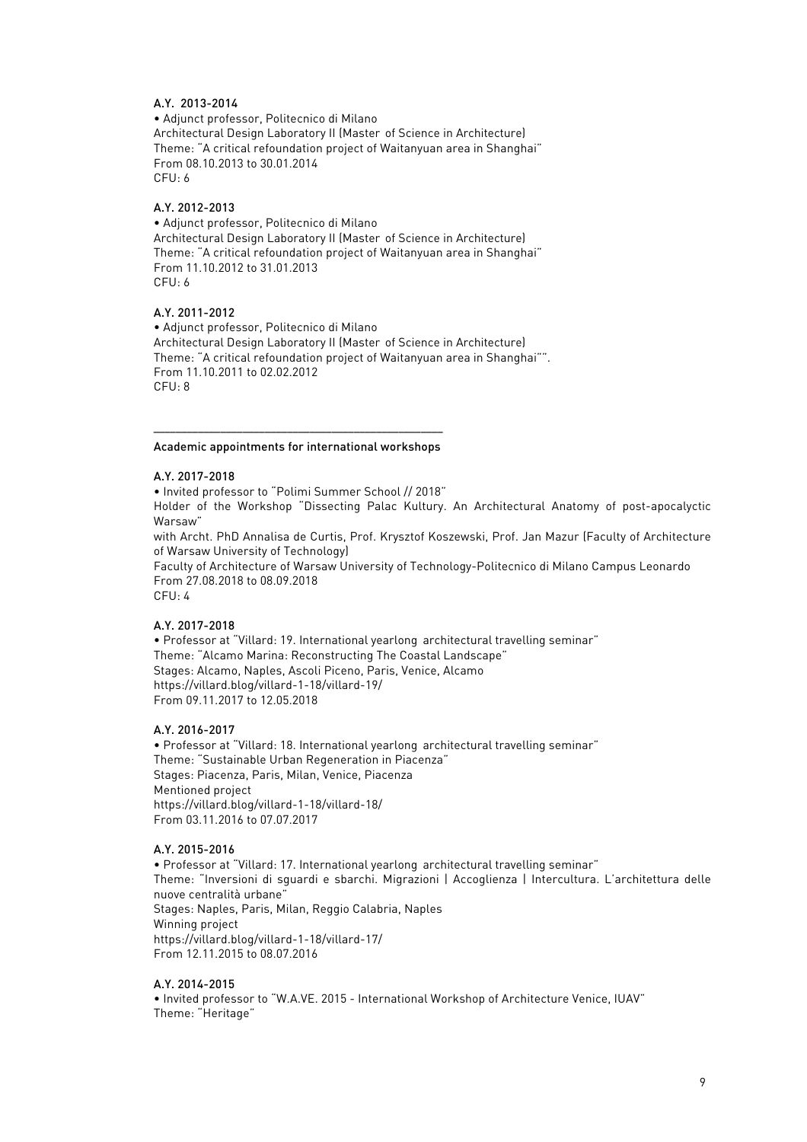# A.Y. 2013-2014

• Adjunct professor, Politecnico di Milano Architectural Design Laboratory II (Master of Science in Architecture) Theme: "A critical refoundation project of Waitanyuan area in Shanghai" From 08.10.2013 to 30.01.2014 CFU: 6

# A.Y. 2012-2013

• Adjunct professor, Politecnico di Milano Architectural Design Laboratory II (Master of Science in Architecture) Theme: "A critical refoundation project of Waitanyuan area in Shanghai" From 11.10.2012 to 31.01.2013 CFU: 6

## A.Y. 2011-2012

• Adjunct professor, Politecnico di Milano Architectural Design Laboratory II (Master of Science in Architecture) Theme: "A critical refoundation project of Waitanyuan area in Shanghai"". From 11.10.2011 to 02.02.2012 CFU: 8

#### –––––––––––––––––––––––––––––––––––––––––––––––––––– Academic appointments for international workshops

#### A.Y. 2017-2018

• Invited professor to "Polimi Summer School // 2018" Holder of the Workshop "Dissecting Palac Kultury. An Architectural Anatomy of post-apocalyctic Warsaw" with Archt. PhD Annalisa de Curtis, Prof. Krysztof Koszewski, Prof. Jan Mazur (Faculty of Architecture of Warsaw University of Technology) Faculty of Architecture of Warsaw University of Technology-Politecnico di Milano Campus Leonardo From 27.08.2018 to 08.09.2018 CFU: 4

# A.Y. 2017-2018

• Professor at "Villard: 19. International yearlong architectural travelling seminar" Theme: "Alcamo Marina: Reconstructing The Coastal Landscape" Stages: Alcamo, Naples, Ascoli Piceno, Paris, Venice, Alcamo https://villard.blog/villard-1-18/villard-19/ From 09.11.2017 to 12.05.2018

### A.Y. 2016-2017

• Professor at "Villard: 18. International yearlong architectural travelling seminar" Theme: "Sustainable Urban Regeneration in Piacenza" Stages: Piacenza, Paris, Milan, Venice, Piacenza Mentioned project https://villard.blog/villard-1-18/villard-18/ From 03.11.2016 to 07.07.2017

### A.Y. 2015-2016

• Professor at "Villard: 17. International yearlong architectural travelling seminar" Theme: "Inversioni di sguardi e sbarchi. Migrazioni | Accoglienza | Intercultura. L'architettura delle nuove centralità urbane" Stages: Naples, Paris, Milan, Reggio Calabria, Naples Winning project https://villard.blog/villard-1-18/villard-17/ From 12.11.2015 to 08.07.2016

# A.Y. 2014-2015

• Invited professor to "W.A.VE. 2015 - International Workshop of Architecture Venice, IUAV" Theme: "Heritage"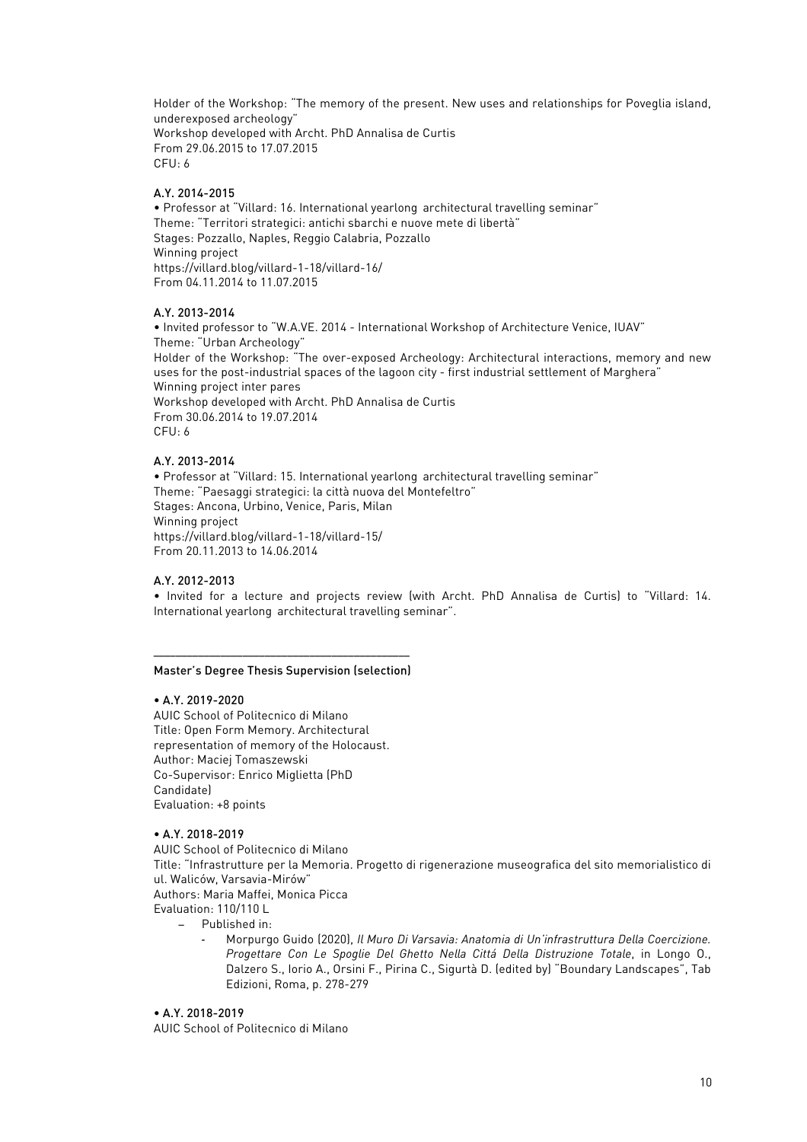Holder of the Workshop: "The memory of the present. New uses and relationships for Poveglia island, underexposed archeology" Workshop developed with Archt. PhD Annalisa de Curtis From 29.06.2015 to 17.07.2015 CFU: 6

# A.Y. 2014-2015

• Professor at "Villard: 16. International yearlong architectural travelling seminar" Theme: "Territori strategici: antichi sbarchi e nuove mete di libertà" Stages: Pozzallo, Naples, Reggio Calabria, Pozzallo Winning project https://villard.blog/villard-1-18/villard-16/ From 04.11.2014 to 11.07.2015

# A.Y. 2013-2014

• Invited professor to "W.A.VE. 2014 - International Workshop of Architecture Venice, IUAV" Theme: "Urban Archeology" Holder of the Workshop: "The over-exposed Archeology: Architectural interactions, memory and new uses for the post-industrial spaces of the lagoon city - first industrial settlement of Marghera" Winning project inter pares Workshop developed with Archt. PhD Annalisa de Curtis From 30.06.2014 to 19.07.2014 CFU: 6

# A.Y. 2013-2014

• Professor at "Villard: 15. International yearlong architectural travelling seminar" Theme: "Paesaggi strategici: la città nuova del Montefeltro" Stages: Ancona, Urbino, Venice, Paris, Milan Winning project https://villard.blog/villard-1-18/villard-15/ From 20.11.2013 to 14.06.2014

# A.Y. 2012-2013

• Invited for a lecture and projects review (with Archt. PhD Annalisa de Curtis) to "Villard: 14. International yearlong architectural travelling seminar".

#### –––––––––––––––––––––––––––––––––––––––––––––– Master's Degree Thesis Supervision (selection)

### • A.Y. 2019-2020

AUIC School of Politecnico di Milano Title: Open Form Memory. Architectural representation of memory of the Holocaust. Author: Maciej Tomaszewski Co-Supervisor: Enrico Miglietta (PhD Candidate) Evaluation: +8 points

# • A.Y. 2018-2019

AUIC School of Politecnico di Milano

Title: "Infrastrutture per la Memoria. Progetto di rigenerazione museografica del sito memorialistico di ul. Waliców, Varsavia-Mirów"

Authors: Maria Maffei, Monica Picca

Evaluation: 110/110 L

- − Published in:
	- Morpurgo Guido (2020), *Il Muro Di Varsavia: Anatomia di Un'infrastruttura Della Coercizione. Progettare Con Le Spoglie Del Ghetto Nella Cittá Della Distruzione Totale*, in Longo O., Dalzero S., Iorio A., Orsini F., Pirina C., Sigurtà D. (edited by) "Boundary Landscapes", Tab Edizioni, Roma, p. 278-279

# • A.Y. 2018-2019

AUIC School of Politecnico di Milano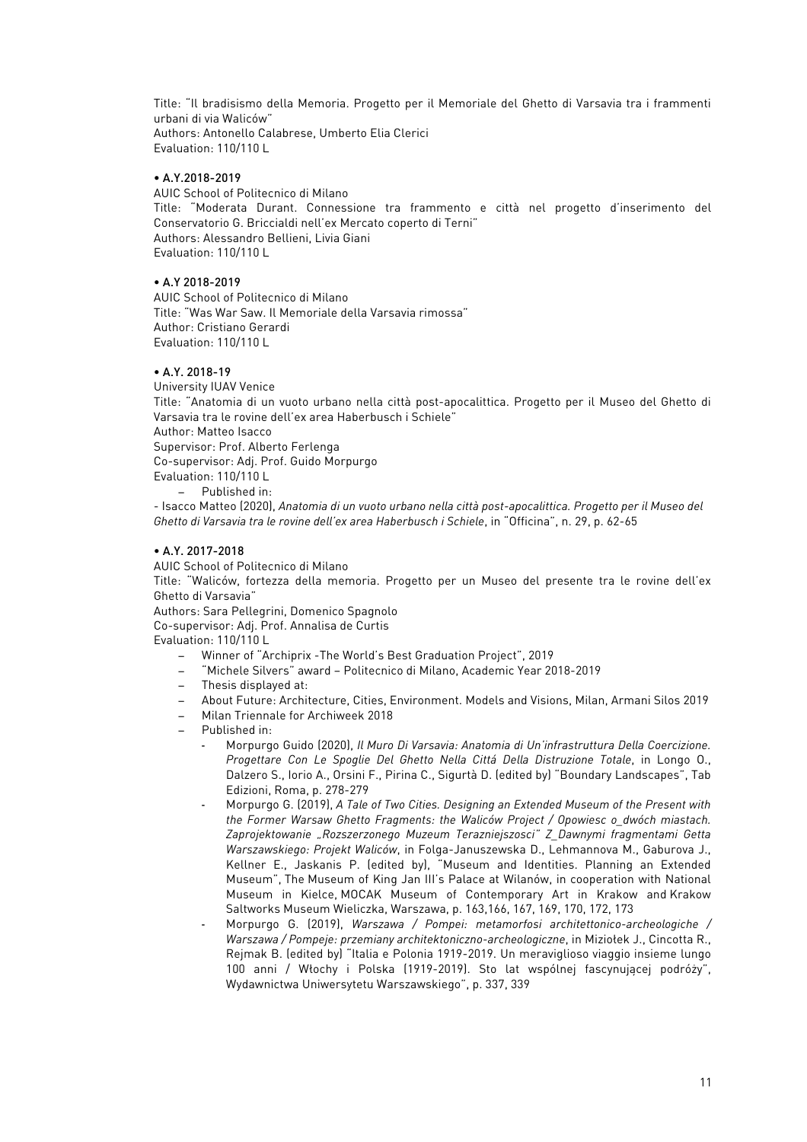Title: "Il bradisismo della Memoria. Progetto per il Memoriale del Ghetto di Varsavia tra i frammenti urbani di via Waliców" Authors: Antonello Calabrese, Umberto Elia Clerici Evaluation: 110/110 L

# • A.Y.2018-2019

AUIC School of Politecnico di Milano Title: "Moderata Durant. Connessione tra frammento e città nel progetto d'inserimento del Conservatorio G. Briccialdi nell'ex Mercato coperto di Terni" Authors: Alessandro Bellieni, Livia Giani Evaluation: 110/110 L

# • A.Y 2018-2019

AUIC School of Politecnico di Milano Title: "Was War Saw. Il Memoriale della Varsavia rimossa" Author: Cristiano Gerardi Evaluation: 110/110 L

### • A.Y. 2018-19

University IUAV Venice Title: "Anatomia di un vuoto urbano nella città post-apocalittica. Progetto per il Museo del Ghetto di Varsavia tra le rovine dell'ex area Haberbusch i Schiele" Author: Matteo Isacco Supervisor: Prof. Alberto Ferlenga Co-supervisor: Adj. Prof. Guido Morpurgo Evaluation: 110/110 L − Published in:

- Isacco Matteo (2020), *Anatomia di un vuoto urbano nella città post-apocalittica. Progetto per il Museo del Ghetto di Varsavia tra le rovine dell'ex area Haberbusch i Schiele*, in "Officina", n. 29, p. 62-65

## • A.Y. 2017-2018

AUIC School of Politecnico di Milano

Title: "Waliców, fortezza della memoria. Progetto per un Museo del presente tra le rovine dell'ex Ghetto di Varsavia"

Authors: Sara Pellegrini, Domenico Spagnolo

Co-supervisor: Adj. Prof. Annalisa de Curtis

Evaluation: 110/110 L

- − Winner of "Archiprix -The World's Best Graduation Project", 2019
- − "Michele Silvers" award Politecnico di Milano, Academic Year 2018-2019
- − Thesis displayed at:
- − About Future: Architecture, Cities, Environment. Models and Visions, Milan, Armani Silos 2019
- − Milan Triennale for Archiweek 2018
- − Published in:
	- Morpurgo Guido (2020), *Il Muro Di Varsavia: Anatomia di Un'infrastruttura Della Coercizione. Progettare Con Le Spoglie Del Ghetto Nella Cittá Della Distruzione Totale*, in Longo O., Dalzero S., Iorio A., Orsini F., Pirina C., Sigurtà D. (edited by) "Boundary Landscapes", Tab Edizioni, Roma, p. 278-279
	- Morpurgo G. (2019), *A Tale of Two Cities. Designing an Extended Museum of the Present with the Former Warsaw Ghetto Fragments: the Waliców Project / Opowiesc o\_dwóch miastach. Zaprojektowanie "Rozszerzonego Muzeum Terazniejszosci" Z\_Dawnymi fragmentami Getta Warszawskiego: Projekt Waliców*, in Folga-Januszewska D., Lehmannova M., Gaburova J., Kellner E., Jaskanis P. (edited by), "Museum and Identities. Planning an Extended Museum", The Museum of King Jan III's Palace at Wilanów, in cooperation with National Museum in Kielce, MOCAK Museum of Contemporary Art in Krakow and Krakow Saltworks Museum Wieliczka, Warszawa, p. 163,166, 167, 169, 170, 172, 173
	- Morpurgo G. (2019), *Warszawa / Pompei: metamorfosi architettonico-archeologiche / Warszawa / Pompeje: przemiany architektoniczno-archeologiczne*, in Miziołek J., Cincotta R., Rejmak B. (edited by) "Italia e Polonia 1919-2019. Un meraviglioso viaggio insieme lungo 100 anni / Włochy i Polska (1919-2019). Sto lat wspólnej fascynującej podróży", Wydawnictwa Uniwersytetu Warszawskiego", p. 337, 339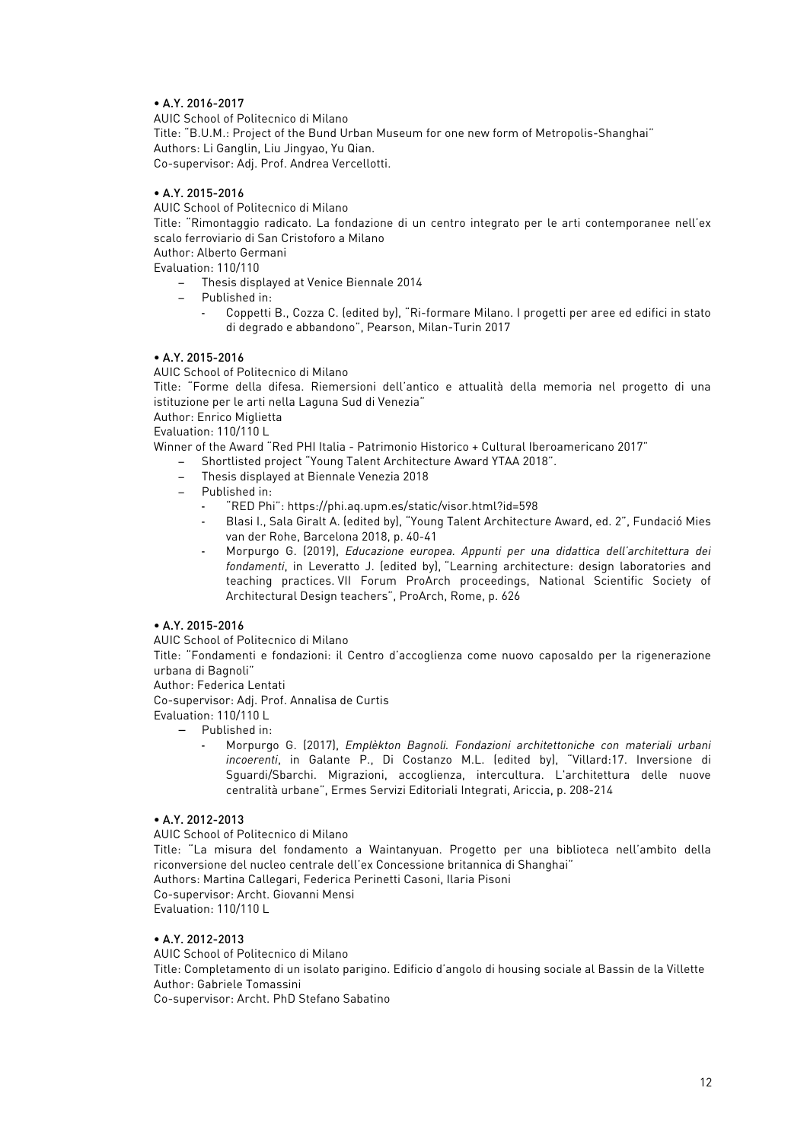# • A.Y. 2016-2017

AUIC School of Politecnico di Milano Title: "B.U.M.: Project of the Bund Urban Museum for one new form of Metropolis-Shanghai" Authors: Li Ganglin, Liu Jingyao, Yu Qian. Co-supervisor: Adj. Prof. Andrea Vercellotti.

# • A.Y. 2015-2016

AUIC School of Politecnico di Milano

Title: "Rimontaggio radicato. La fondazione di un centro integrato per le arti contemporanee nell'ex scalo ferroviario di San Cristoforo a Milano

Author: Alberto Germani

Evaluation: 110/110

− Thesis displayed at Venice Biennale 2014

- − Published in:
	- Coppetti B., Cozza C. (edited by), "Ri-formare Milano. I progetti per aree ed edifici in stato di degrado e abbandono", Pearson, Milan-Turin 2017

## • A.Y. 2015-2016

AUIC School of Politecnico di Milano

Title: "Forme della difesa. Riemersioni dell'antico e attualità della memoria nel progetto di una istituzione per le arti nella Laguna Sud di Venezia"

Author: Enrico Miglietta

Evaluation: 110/110 L

Winner of the Award "Red PHI Italia - Patrimonio Historico + Cultural Iberoamericano 2017"

- − Shortlisted project "Young Talent Architecture Award YTAA 2018".
- − Thesis displayed at Biennale Venezia 2018
- − Published in:
	- "RED Phi": https://phi.aq.upm.es/static/visor.html?id=598
	- Blasi I., Sala Giralt A. (edited by), "Young Talent Architecture Award, ed. 2", Fundació Mies van der Rohe, Barcelona 2018, p. 40-41
	- Morpurgo G. (2019), *Educazione europea. Appunti per una didattica dell'architettura dei fondamenti*, in Leveratto J. (edited by), "Learning architecture: design laboratories and teaching practices. VII Forum ProArch proceedings, National Scientific Society of Architectural Design teachers", ProArch, Rome, p. 626

# • A.Y. 2015-2016

AUIC School of Politecnico di Milano

Title: "Fondamenti e fondazioni: il Centro d'accoglienza come nuovo caposaldo per la rigenerazione urbana di Bagnoli"

Author: Federica Lentati

Co-supervisor: Adj. Prof. Annalisa de Curtis

Evaluation: 110/110 L

− Published in:

- Morpurgo G. (2017), *Emplèkton Bagnoli. Fondazioni architettoniche con materiali urbani incoerenti*, in Galante P., Di Costanzo M.L. (edited by), "Villard:17. Inversione di Sguardi/Sbarchi. Migrazioni, accoglienza, intercultura. L'architettura delle nuove centralità urbane", Ermes Servizi Editoriali Integrati, Ariccia, p. 208-214

# • A.Y. 2012-2013

AUIC School of Politecnico di Milano

Title: "La misura del fondamento a Waintanyuan. Progetto per una biblioteca nell'ambito della riconversione del nucleo centrale dell'ex Concessione britannica di Shanghai"

Authors: Martina Callegari, Federica Perinetti Casoni, Ilaria Pisoni Co-supervisor: Archt. Giovanni Mensi Evaluation: 110/110 L

# • A.Y. 2012-2013

AUIC School of Politecnico di Milano Title: Completamento di un isolato parigino. Edificio d'angolo di housing sociale al Bassin de la Villette Author: Gabriele Tomassini Co-supervisor: Archt. PhD Stefano Sabatino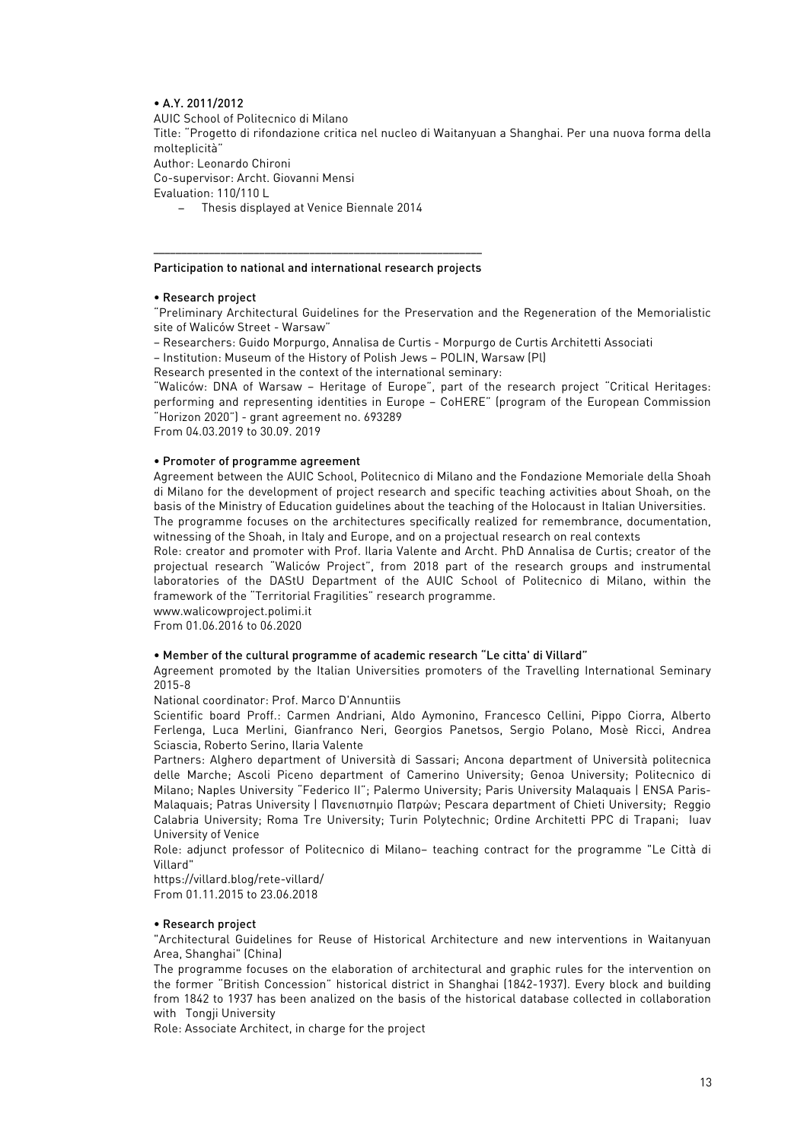# • A.Y. 2011/2012

AUIC School of Politecnico di Milano

Title: "Progetto di rifondazione critica nel nucleo di Waitanyuan a Shanghai. Per una nuova forma della molteplicità"

Author: Leonardo Chironi

Co-supervisor: Archt. Giovanni Mensi

Evaluation: 110/110 L

− Thesis displayed at Venice Biennale 2014

#### ––––––––––––––––––––––––––––––––––––––––––––––––––––––––––– Participation to national and international research projects

### • Research project

"Preliminary Architectural Guidelines for the Preservation and the Regeneration of the Memorialistic site of Waliców Street - Warsaw"

– Researchers: Guido Morpurgo, Annalisa de Curtis - Morpurgo de Curtis Architetti Associati

– Institution: Museum of the History of Polish Jews – POLIN, Warsaw (Pl)

Research presented in the context of the international seminary:

"Waliców: DNA of Warsaw – Heritage of Europe", part of the research project "Critical Heritages: performing and representing identities in Europe – CoHERE" (program of the European Commission "Horizon 2020") - grant agreement no. 693289

From 04.03.2019 to 30.09. 2019

#### • Promoter of programme agreement

Agreement between the AUIC School, Politecnico di Milano and the Fondazione Memoriale della Shoah di Milano for the development of project research and specific teaching activities about Shoah, on the basis of the Ministry of Education guidelines about the teaching of the Holocaust in Italian Universities. The programme focuses on the architectures specifically realized for remembrance, documentation,

witnessing of the Shoah, in Italy and Europe, and on a projectual research on real contexts

Role: creator and promoter with Prof. Ilaria Valente and Archt. PhD Annalisa de Curtis; creator of the projectual research "Waliców Project", from 2018 part of the research groups and instrumental laboratories of the DAStU Department of the AUIC School of Politecnico di Milano, within the framework of the "Territorial Fragilities" research programme.

www.walicowproject.polimi.it

From 01.06.2016 to 06.2020

#### • Member of the cultural programme of academic research "Le citta' di Villard"

Agreement promoted by the Italian Universities promoters of the Travelling International Seminary 2015-8

National coordinator: Prof. Marco D'Annuntiis

Scientific board Proff.: Carmen Andriani, Aldo Aymonino, Francesco Cellini, Pippo Ciorra, Alberto Ferlenga, Luca Merlini, Gianfranco Neri, Georgios Panetsos, Sergio Polano, Mosè Ricci, Andrea Sciascia, Roberto Serino, Ilaria Valente

Partners: Alghero department of Università di Sassari; Ancona department of Università politecnica delle Marche; Ascoli Piceno department of Camerino University; Genoa University; Politecnico di Milano; Naples University "Federico II"; Palermo University; Paris University Malaquais | ENSA Paris-Malaquais; Patras University | Πανεπιστημίο Πατρών; Pescara department of Chieti University; Reggio Calabria University; Roma Tre University; Turin Polytechnic; Ordine Architetti PPC di Trapani; Iuav University of Venice

Role: adjunct professor of Politecnico di Milano– teaching contract for the programme "Le Città di Villard"

https://villard.blog/rete-villard/ From 01.11.2015 to 23.06.2018

### • Research project

"Architectural Guidelines for Reuse of Historical Architecture and new interventions in Waitanyuan Area, Shanghai" (China)

The programme focuses on the elaboration of architectural and graphic rules for the intervention on the former "British Concession" historical district in Shanghai (1842-1937). Every block and building from 1842 to 1937 has been analized on the basis of the historical database collected in collaboration with Tongji University

Role: Associate Architect, in charge for the project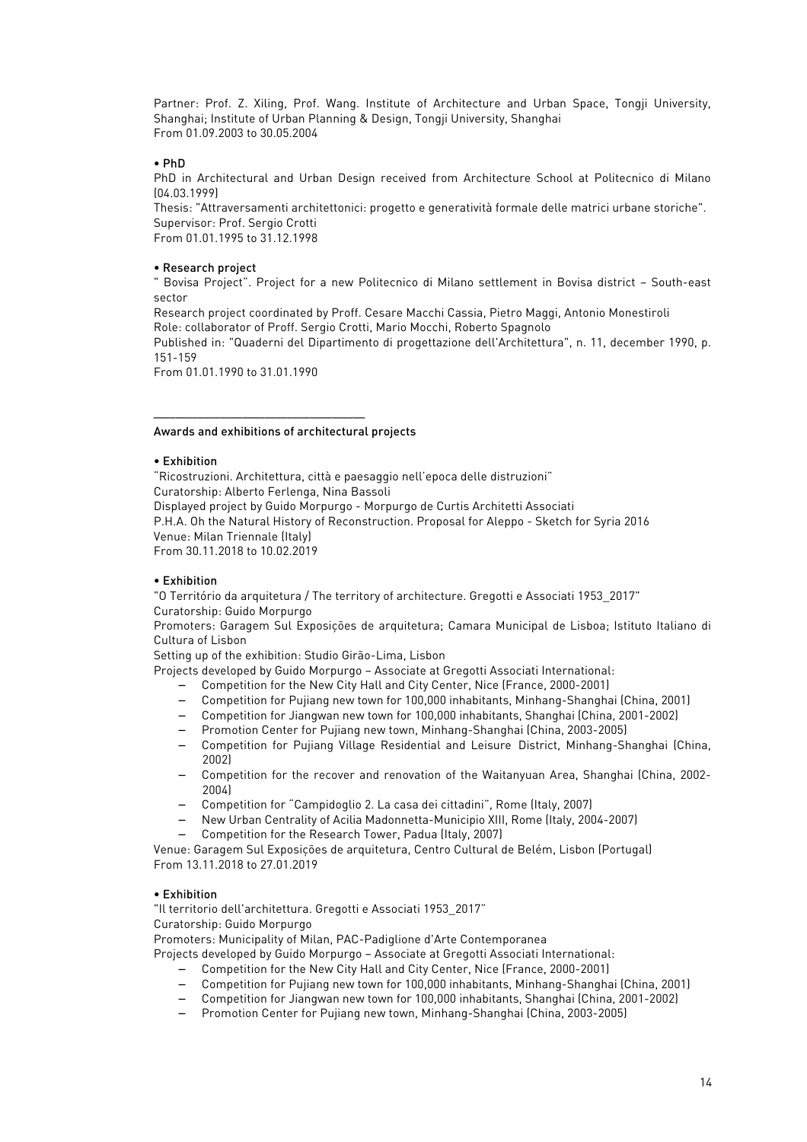Partner: Prof. Z. Xiling, Prof. Wang. Institute of Architecture and Urban Space, Tongji University, Shanghai; Institute of Urban Planning & Design, Tongji University, Shanghai From 01.09.2003 to 30.05.2004

### • PhD

PhD in Architectural and Urban Design received from Architecture School at Politecnico di Milano (04.03.1999)

Thesis: "Attraversamenti architettonici: progetto e generatività formale delle matrici urbane storiche". Supervisor: Prof. Sergio Crotti

From 01.01.1995 to 31.12.1998

### • Research project

" Bovisa Project". Project for a new Politecnico di Milano settlement in Bovisa district – South-east sector

Research project coordinated by Proff. Cesare Macchi Cassia, Pietro Maggi, Antonio Monestiroli Role: collaborator of Proff. Sergio Crotti, Mario Mocchi, Roberto Spagnolo

Published in: "Quaderni del Dipartimento di progettazione dell'Architettura", n. 11, december 1990, p. 151-159

From 01.01.1990 to 31.01.1990

#### Awards and exhibitions of architectural projects

––––––––––––––––––––––––––––––––––––––

#### • Exhibition

"Ricostruzioni. Architettura, città e paesaggio nell'epoca delle distruzioni" Curatorship: Alberto Ferlenga, Nina Bassoli Displayed project by Guido Morpurgo - Morpurgo de Curtis Architetti Associati P.H.A. Oh the Natural History of Reconstruction. Proposal for Aleppo - Sketch for Syria 2016 Venue: Milan Triennale (Italy) From 30.11.2018 to 10.02.2019

### • Exhibition

"O Território da arquitetura / The territory of architecture. Gregotti e Associati 1953\_2017" Curatorship: Guido Morpurgo

Promoters: Garagem Sul Exposições de arquitetura; Camara Municipal de Lisboa; Istituto Italiano di Cultura of Lisbon

Setting up of the exhibition: Studio Girão-Lima, Lisbon

Projects developed by Guido Morpurgo – Associate at Gregotti Associati International:

- − Competition for the New City Hall and City Center, Nice (France, 2000-2001)
- − Competition for Pujiang new town for 100,000 inhabitants, Minhang-Shanghai (China, 2001)
- − Competition for Jiangwan new town for 100,000 inhabitants, Shanghai (China, 2001-2002)
- − Promotion Center for Pujiang new town, Minhang-Shanghai (China, 2003-2005)
- − Competition for Pujiang Village Residential and Leisure District, Minhang-Shanghai (China, 2002)
- − Competition for the recover and renovation of the Waitanyuan Area, Shanghai (China, 2002- 2004)
- − Competition for "Campidoglio 2. La casa dei cittadini", Rome (Italy, 2007)
- − New Urban Centrality of Acilia Madonnetta-Municipio XIII, Rome (Italy, 2004-2007) − Competition for the Research Tower, Padua (Italy, 2007)

Venue: Garagem Sul Exposições de arquitetura, Centro Cultural de Belém, Lisbon (Portugal) From 13.11.2018 to 27.01.2019

### • Exhibition

"Il territorio dell'architettura. Gregotti e Associati 1953\_2017"

Curatorship: Guido Morpurgo

Promoters: Municipality of Milan, PAC-Padiglione d'Arte Contemporanea

Projects developed by Guido Morpurgo – Associate at Gregotti Associati International:

- − Competition for the New City Hall and City Center, Nice (France, 2000-2001)
- − Competition for Pujiang new town for 100,000 inhabitants, Minhang-Shanghai (China, 2001)
- − Competition for Jiangwan new town for 100,000 inhabitants, Shanghai (China, 2001-2002)
- − Promotion Center for Pujiang new town, Minhang-Shanghai (China, 2003-2005)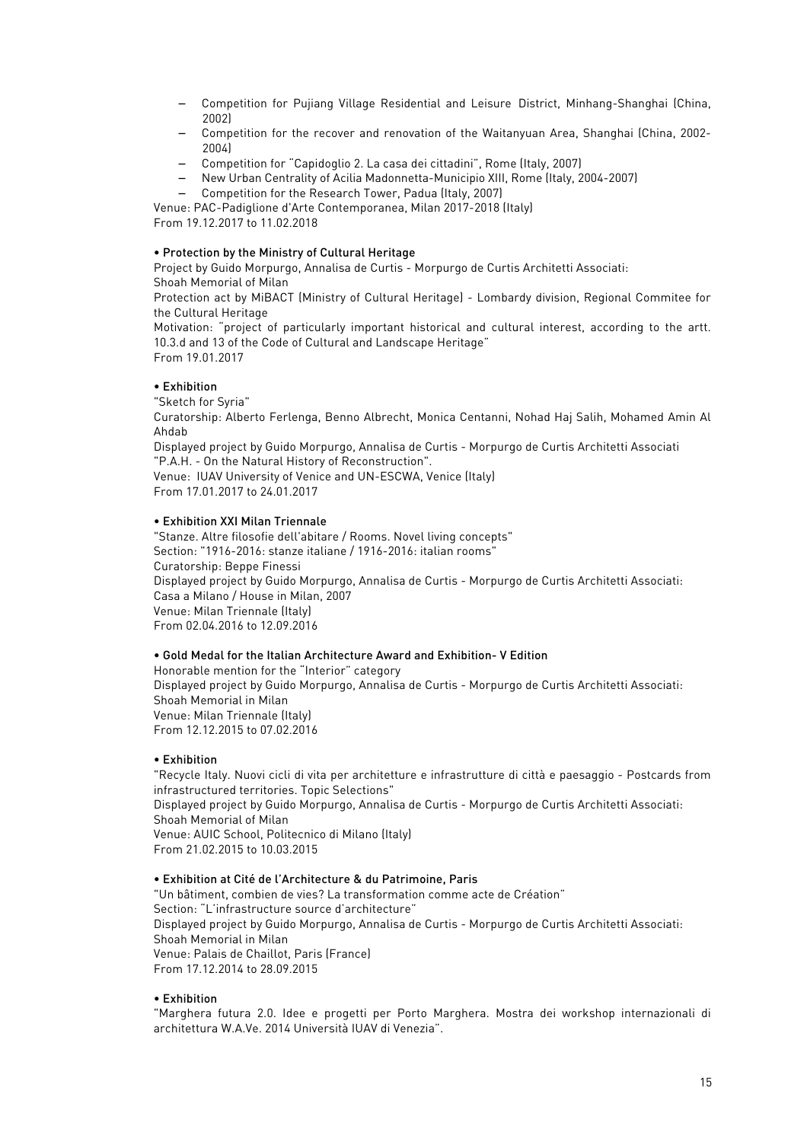- − Competition for Pujiang Village Residential and Leisure District, Minhang-Shanghai (China, 2002)
- − Competition for the recover and renovation of the Waitanyuan Area, Shanghai (China, 2002- 2004)
- − Competition for "Capidoglio 2. La casa dei cittadini", Rome (Italy, 2007)
- − New Urban Centrality of Acilia Madonnetta-Municipio XIII, Rome (Italy, 2004-2007)
- − Competition for the Research Tower, Padua (Italy, 2007)

Venue: PAC-Padiglione d'Arte Contemporanea, Milan 2017-2018 (Italy) From 19.12.2017 to 11.02.2018

### • Protection by the Ministry of Cultural Heritage

Project by Guido Morpurgo, Annalisa de Curtis - Morpurgo de Curtis Architetti Associati: Shoah Memorial of Milan

Protection act by MiBACT (Ministry of Cultural Heritage) - Lombardy division, Regional Commitee for the Cultural Heritage

Motivation: "project of particularly important historical and cultural interest, according to the artt. 10.3.d and 13 of the Code of Cultural and Landscape Heritage" From 19.01.2017

# • Exhibition

"Sketch for Syria"

Curatorship: Alberto Ferlenga, Benno Albrecht, Monica Centanni, Nohad Haj Salih, Mohamed Amin Al Ahdab

Displayed project by Guido Morpurgo, Annalisa de Curtis - Morpurgo de Curtis Architetti Associati "P.A.H. - On the Natural History of Reconstruction".

Venue: IUAV University of Venice and UN-ESCWA, Venice (Italy) From 17.01.2017 to 24.01.2017

### • Exhibition XXI Milan Triennale

"Stanze. Altre filosofie dell'abitare / Rooms. Novel living concepts" Section: "1916-2016: stanze italiane / 1916-2016: italian rooms" Curatorship: Beppe Finessi Displayed project by Guido Morpurgo, Annalisa de Curtis - Morpurgo de Curtis Architetti Associati: Casa a Milano / House in Milan, 2007 Venue: Milan Triennale (Italy) From 02.04.2016 to 12.09.2016

# • Gold Medal for the Italian Architecture Award and Exhibition- V Edition

Honorable mention for the "Interior" category Displayed project by Guido Morpurgo, Annalisa de Curtis - Morpurgo de Curtis Architetti Associati: Shoah Memorial in Milan Venue: Milan Triennale (Italy) From 12.12.2015 to 07.02.2016

### • Exhibition

"Recycle Italy. Nuovi cicli di vita per architetture e infrastrutture di città e paesaggio - Postcards from infrastructured territories. Topic Selections" Displayed project by Guido Morpurgo, Annalisa de Curtis - Morpurgo de Curtis Architetti Associati: Shoah Memorial of Milan Venue: AUIC School, Politecnico di Milano (Italy) From 21.02.2015 to 10.03.2015

### • Exhibition at Cité de l'Architecture & du Patrimoine, Paris

"Un bâtiment, combien de vies? La transformation comme acte de Création" Section: "L'infrastructure source d'architecture" Displayed project by Guido Morpurgo, Annalisa de Curtis - Morpurgo de Curtis Architetti Associati: Shoah Memorial in Milan Venue: Palais de Chaillot, Paris (France) From 17.12.2014 to 28.09.2015

### • Exhibition

"Marghera futura 2.0. Idee e progetti per Porto Marghera. Mostra dei workshop internazionali di architettura W.A.Ve. 2014 Università IUAV di Venezia".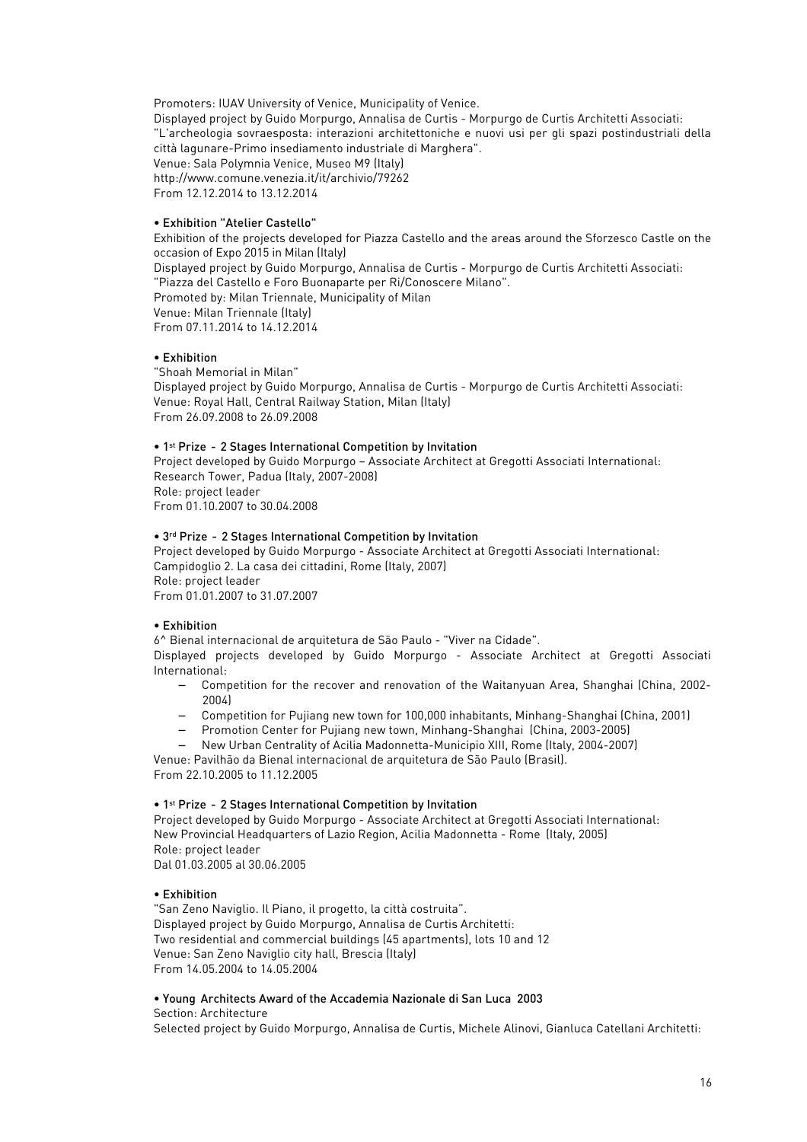Promoters: IUAV University of Venice, Municipality of Venice.

Displayed project by Guido Morpurgo, Annalisa de Curtis - Morpurgo de Curtis Architetti Associati: "L'archeologia sovraesposta: interazioni architettoniche e nuovi usi per gli spazi postindustriali della città lagunare-Primo insediamento industriale di Marghera". Venue: Sala Polymnia Venice, Museo M9 (Italy) http://www.comune.venezia.it/it/archivio/79262 From 12.12.2014 to 13.12.2014

## • Exhibition "Atelier Castello"

Exhibition of the projects developed for Piazza Castello and the areas around the Sforzesco Castle on the occasion of Expo 2015 in Milan (Italy) Displayed project by Guido Morpurgo, Annalisa de Curtis - Morpurgo de Curtis Architetti Associati: "Piazza del Castello e Foro Buonaparte per Ri/Conoscere Milano". Promoted by: Milan Triennale, Municipality of Milan Venue: Milan Triennale (Italy) From 07.11.2014 to 14.12.2014

### • Exhibition

"Shoah Memorial in Milan" Displayed project by Guido Morpurgo, Annalisa de Curtis - Morpurgo de Curtis Architetti Associati: Venue: Royal Hall, Central Railway Station, Milan (Italy) From 26.09.2008 to 26.09.2008

# • 1st Prize - 2 Stages International Competition by Invitation

Project developed by Guido Morpurgo – Associate Architect at Gregotti Associati International: Research Tower, Padua (Italy, 2007-2008) Role: project leader From 01.10.2007 to 30.04.2008

## • 3rd Prize - 2 Stages International Competition by Invitation

Project developed by Guido Morpurgo - Associate Architect at Gregotti Associati International: Campidoglio 2. La casa dei cittadini, Rome (Italy, 2007) Role: project leader From 01.01.2007 to 31.07.2007

# • Exhibition

6^ Bienal internacional de arquitetura de São Paulo - "Viver na Cidade".

Displayed projects developed by Guido Morpurgo - Associate Architect at Gregotti Associati International:

- − Competition for the recover and renovation of the Waitanyuan Area, Shanghai (China, 2002- 2004)
- − Competition for Pujiang new town for 100,000 inhabitants, Minhang-Shanghai (China, 2001)
- − Promotion Center for Pujiang new town, Minhang-Shanghai (China, 2003-2005)
- − New Urban Centrality of Acilia Madonnetta-Municipio XIII, Rome (Italy, 2004-2007)

Venue: Pavilhão da Bienal internacional de arquitetura de São Paulo (Brasil). From 22.10.2005 to 11.12.2005

# • 1st Prize - 2 Stages International Competition by Invitation

Project developed by Guido Morpurgo - Associate Architect at Gregotti Associati International: New Provincial Headquarters of Lazio Region, Acilia Madonnetta - Rome (Italy, 2005) Role: project leader Dal 01.03.2005 al 30.06.2005

### • Exhibition

"San Zeno Naviglio. Il Piano, il progetto, la città costruita". Displayed project by Guido Morpurgo, Annalisa de Curtis Architetti: Two residential and commercial buildings (45 apartments), lots 10 and 12 Venue: San Zeno Naviglio city hall, Brescia (Italy) From 14.05.2004 to 14.05.2004

# • Young Architects Award of the Accademia Nazionale di San Luca 2003

### Section: Architecture

Selected project by Guido Morpurgo, Annalisa de Curtis, Michele Alinovi, Gianluca Catellani Architetti: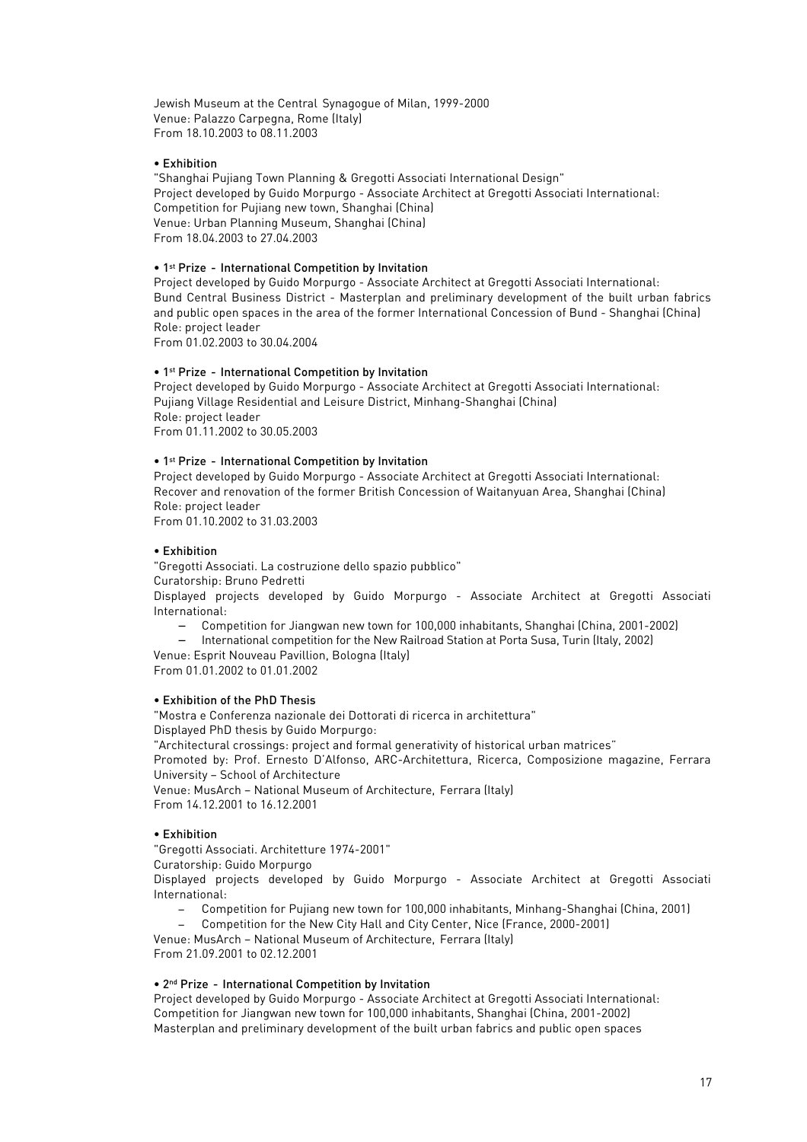Jewish Museum at the Central Synagogue of Milan, 1999-2000 Venue: Palazzo Carpegna, Rome (Italy) From 18.10.2003 to 08.11.2003

### • Exhibition

"Shanghai Pujiang Town Planning & Gregotti Associati International Design" Project developed by Guido Morpurgo - Associate Architect at Gregotti Associati International: Competition for Pujiang new town, Shanghai (China) Venue: Urban Planning Museum, Shanghai (China) From 18.04.2003 to 27.04.2003

## • 1st Prize - International Competition by Invitation

Project developed by Guido Morpurgo - Associate Architect at Gregotti Associati International: Bund Central Business District - Masterplan and preliminary development of the built urban fabrics and public open spaces in the area of the former International Concession of Bund - Shanghai (China) Role: project leader

From 01.02.2003 to 30.04.2004

#### • 1st Prize - International Competition by Invitation

Project developed by Guido Morpurgo - Associate Architect at Gregotti Associati International: Pujiang Village Residential and Leisure District, Minhang-Shanghai (China) Role: project leader From 01.11.2002 to 30.05.2003

#### • 1st Prize - International Competition by Invitation

Project developed by Guido Morpurgo - Associate Architect at Gregotti Associati International: Recover and renovation of the former British Concession of Waitanyuan Area, Shanghai (China) Role: project leader

From 01.10.2002 to 31.03.2003

#### • Exhibition

"Gregotti Associati. La costruzione dello spazio pubblico" Curatorship: Bruno Pedretti

Displayed projects developed by Guido Morpurgo - Associate Architect at Gregotti Associati International:

- − Competition for Jiangwan new town for 100,000 inhabitants, Shanghai (China, 2001-2002)
- − International competition for the New Railroad Station at Porta Susa, Turin (Italy, 2002) Venue: Esprit Nouveau Pavillion, Bologna (Italy)

From 01.01.2002 to 01.01.2002

### • Exhibition of the PhD Thesis

"Mostra e Conferenza nazionale dei Dottorati di ricerca in architettura" Displayed PhD thesis by Guido Morpurgo:

"Architectural crossings: project and formal generativity of historical urban matrices"

Promoted by: Prof. Ernesto D'Alfonso, ARC-Architettura, Ricerca, Composizione magazine, Ferrara University – School of Architecture

Venue: MusArch – National Museum of Architecture, Ferrara (Italy) From 14.12.2001 to 16.12.2001

### • Exhibition

"Gregotti Associati. Architetture 1974-2001"

Curatorship: Guido Morpurgo

Displayed projects developed by Guido Morpurgo - Associate Architect at Gregotti Associati International:

− Competition for Pujiang new town for 100,000 inhabitants, Minhang-Shanghai (China, 2001)

− Competition for the New City Hall and City Center, Nice (France, 2000-2001)

Venue: MusArch – National Museum of Architecture, Ferrara (Italy) From 21.09.2001 to 02.12.2001

## • 2nd Prize - International Competition by Invitation

Project developed by Guido Morpurgo - Associate Architect at Gregotti Associati International: Competition for Jiangwan new town for 100,000 inhabitants, Shanghai (China, 2001-2002) Masterplan and preliminary development of the built urban fabrics and public open spaces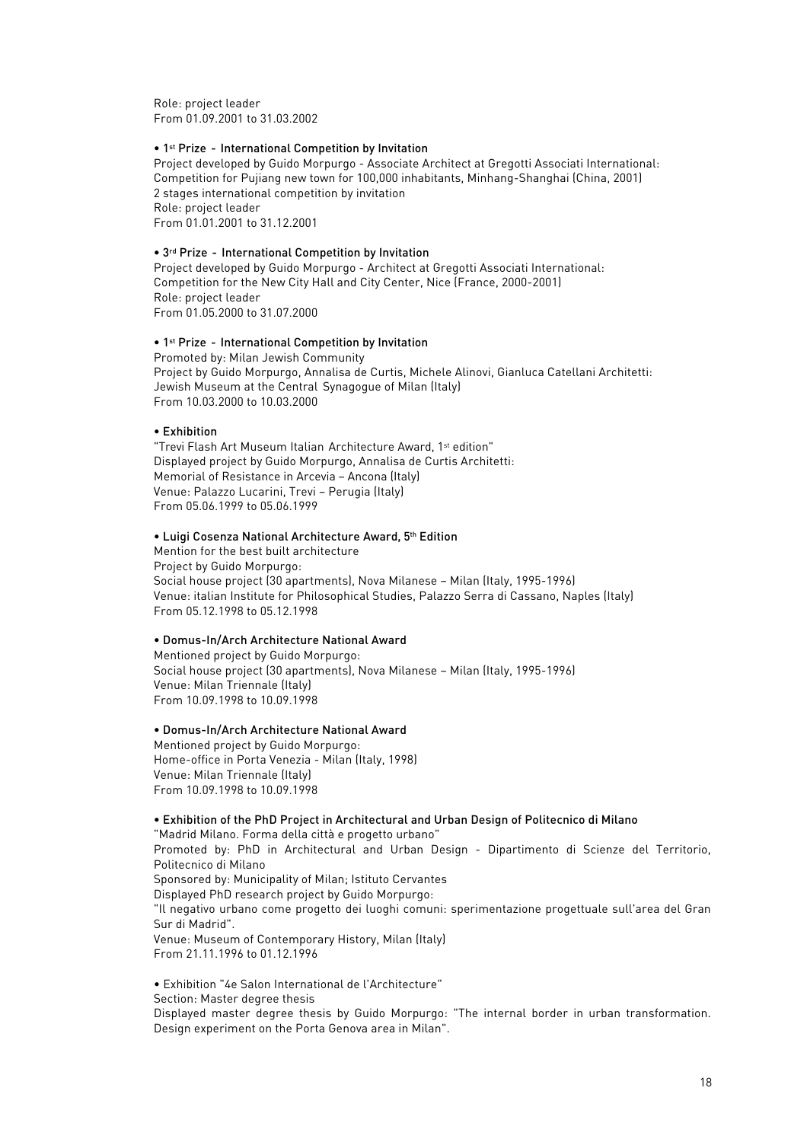Role: project leader From 01.09.2001 to 31.03.2002

#### • 1st Prize - International Competition by Invitation

Project developed by Guido Morpurgo - Associate Architect at Gregotti Associati International: Competition for Pujiang new town for 100,000 inhabitants, Minhang-Shanghai (China, 2001) 2 stages international competition by invitation Role: project leader From 01.01.2001 to 31.12.2001

#### • 3rd Prize - International Competition by Invitation

Project developed by Guido Morpurgo - Architect at Gregotti Associati International: Competition for the New City Hall and City Center, Nice (France, 2000-2001) Role: project leader From 01.05.2000 to 31.07.2000

#### • 1st Prize - International Competition by Invitation

Promoted by: Milan Jewish Community Project by Guido Morpurgo, Annalisa de Curtis, Michele Alinovi, Gianluca Catellani Architetti: Jewish Museum at the Central Synagogue of Milan (Italy) From 10.03.2000 to 10.03.2000

#### • Exhibition

"Trevi Flash Art Museum Italian Architecture Award, 1st edition" Displayed project by Guido Morpurgo, Annalisa de Curtis Architetti: Memorial of Resistance in Arcevia – Ancona (Italy) Venue: Palazzo Lucarini, Trevi – Perugia (Italy) From 05.06.1999 to 05.06.1999

#### • Luigi Cosenza National Architecture Award, 5th Edition

Mention for the best built architecture Project by Guido Morpurgo: Social house project (30 apartments), Nova Milanese – Milan (Italy, 1995-1996) Venue: italian Institute for Philosophical Studies, Palazzo Serra di Cassano, Naples (Italy) From 05.12.1998 to 05.12.1998

#### • Domus-In/Arch Architecture National Award

Mentioned project by Guido Morpurgo: Social house project (30 apartments), Nova Milanese – Milan (Italy, 1995-1996) Venue: Milan Triennale (Italy) From 10.09.1998 to 10.09.1998

#### • Domus-In/Arch Architecture National Award

Mentioned project by Guido Morpurgo: Home-office in Porta Venezia - Milan (Italy, 1998) Venue: Milan Triennale (Italy) From 10.09.1998 to 10.09.1998

### • Exhibition of the PhD Project in Architectural and Urban Design of Politecnico di Milano

"Madrid Milano. Forma della città e progetto urbano" Promoted by: PhD in Architectural and Urban Design - Dipartimento di Scienze del Territorio, Politecnico di Milano Sponsored by: Municipality of Milan; Istituto Cervantes Displayed PhD research project by Guido Morpurgo: "Il negativo urbano come progetto dei luoghi comuni: sperimentazione progettuale sull'area del Gran Sur di Madrid". Venue: Museum of Contemporary History, Milan (Italy) From 21.11.1996 to 01.12.1996

• Exhibition "4e Salon International de l'Architecture" Section: Master degree thesis

Displayed master degree thesis by Guido Morpurgo: "The internal border in urban transformation. Design experiment on the Porta Genova area in Milan".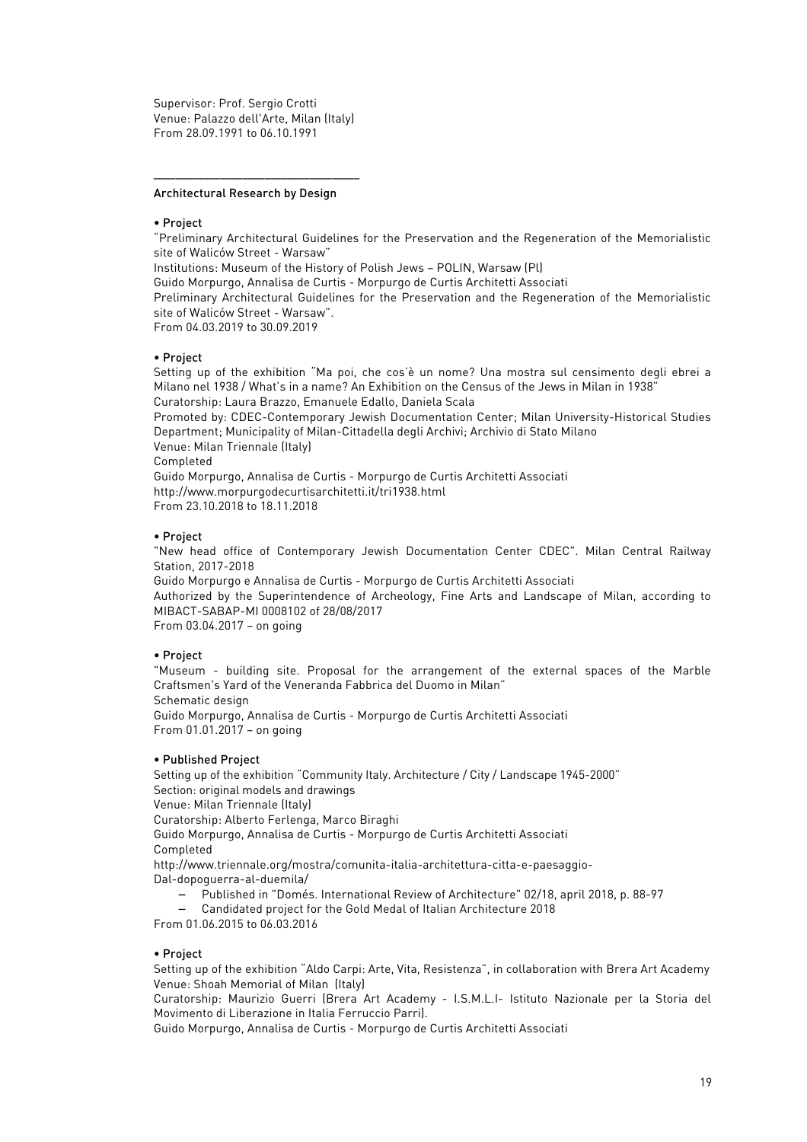Supervisor: Prof. Sergio Crotti Venue: Palazzo dell'Arte, Milan (Italy) From 28.09.1991 to 06.10.1991

–––––––––––––––––––––––––––––––––––––

#### Architectural Research by Design

#### • Project

"Preliminary Architectural Guidelines for the Preservation and the Regeneration of the Memorialistic site of Waliców Street - Warsaw"

Institutions: Museum of the History of Polish Jews – POLIN, Warsaw (Pl)

Guido Morpurgo, Annalisa de Curtis - Morpurgo de Curtis Architetti Associati

Preliminary Architectural Guidelines for the Preservation and the Regeneration of the Memorialistic site of Waliców Street - Warsaw".

From 04.03.2019 to 30.09.2019

### • Project

Setting up of the exhibition "Ma poi, che cos'è un nome? Una mostra sul censimento degli ebrei a Milano nel 1938 / What's in a name? An Exhibition on the Census of the Jews in Milan in 1938" Curatorship: Laura Brazzo, Emanuele Edallo, Daniela Scala

Promoted by: CDEC-Contemporary Jewish Documentation Center; Milan University-Historical Studies Department; Municipality of Milan-Cittadella degli Archivi; Archivio di Stato Milano Venue: Milan Triennale (Italy)

Completed

Guido Morpurgo, Annalisa de Curtis - Morpurgo de Curtis Architetti Associati http://www.morpurgodecurtisarchitetti.it/tri1938.html From 23.10.2018 to 18.11.2018

#### • Project

"New head office of Contemporary Jewish Documentation Center CDEC". Milan Central Railway Station, 2017-2018

Guido Morpurgo e Annalisa de Curtis - Morpurgo de Curtis Architetti Associati Authorized by the Superintendence of Archeology, Fine Arts and Landscape of Milan, according to MIBACT-SABAP-MI 0008102 of 28/08/2017

From 03.04.2017 – on going

#### • Project

"Museum - building site. Proposal for the arrangement of the external spaces of the Marble Craftsmen's Yard of the Veneranda Fabbrica del Duomo in Milan" Schematic design

Guido Morpurgo, Annalisa de Curtis - Morpurgo de Curtis Architetti Associati From 01.01.2017 – on going

#### • Published Project

Setting up of the exhibition "Community Italy. Architecture / City / Landscape 1945-2000" Section: original models and drawings Venue: Milan Triennale (Italy) Curatorship: Alberto Ferlenga, Marco Biraghi Guido Morpurgo, Annalisa de Curtis - Morpurgo de Curtis Architetti Associati Completed http://www.triennale.org/mostra/comunita-italia-architettura-citta-e-paesaggio-Dal-dopoguerra-al-duemila/

- − Published in "Domés. International Review of Architecture" 02/18, april 2018, p. 88-97
- − Candidated project for the Gold Medal of Italian Architecture 2018

From 01.06.2015 to 06.03.2016

### • Project

Setting up of the exhibition "Aldo Carpi: Arte, Vita, Resistenza", in collaboration with Brera Art Academy Venue: Shoah Memorial of Milan (Italy)

Curatorship: Maurizio Guerri (Brera Art Academy - I.S.M.L.I- Istituto Nazionale per la Storia del Movimento di Liberazione in Italia Ferruccio Parri).

Guido Morpurgo, Annalisa de Curtis - Morpurgo de Curtis Architetti Associati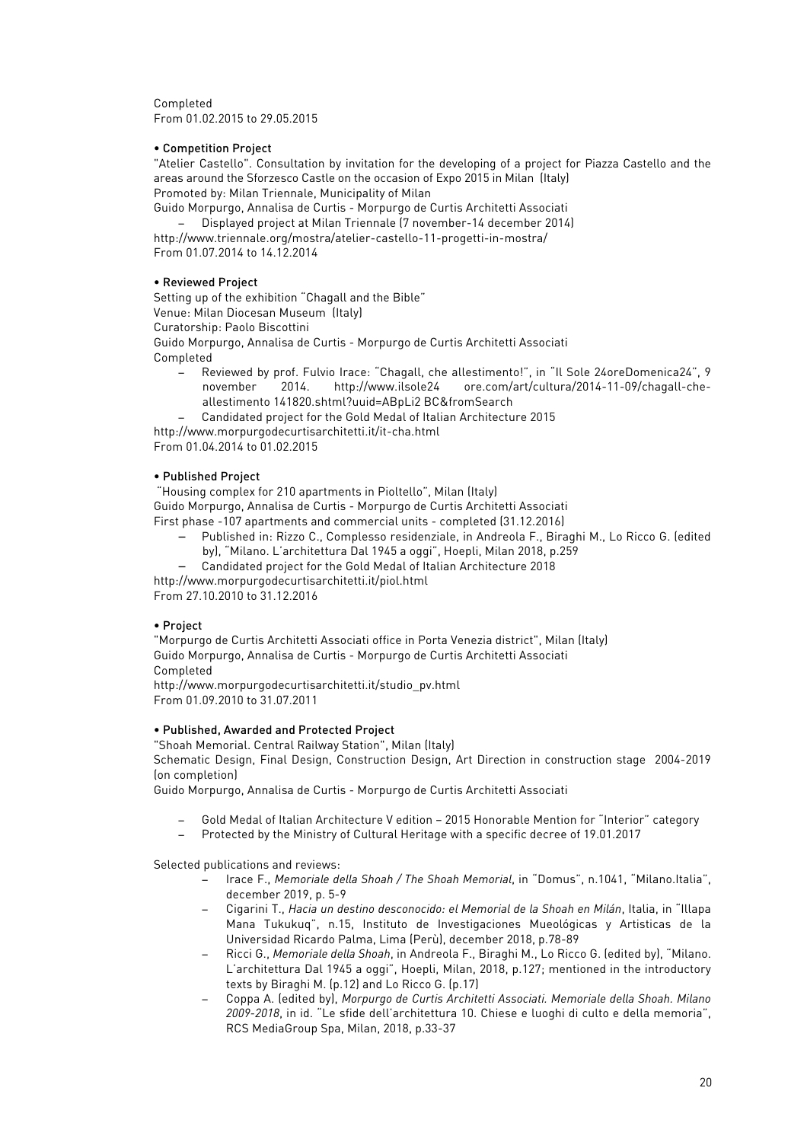Completed From 01.02.2015 to 29.05.2015

## • Competition Project

"Atelier Castello". Consultation by invitation for the developing of a project for Piazza Castello and the areas around the Sforzesco Castle on the occasion of Expo 2015 in Milan (Italy) Promoted by: Milan Triennale, Municipality of Milan

Guido Morpurgo, Annalisa de Curtis - Morpurgo de Curtis Architetti Associati

− Displayed project at Milan Triennale (7 november-14 december 2014) http://www.triennale.org/mostra/atelier-castello-11-progetti-in-mostra/ From 01.07.2014 to 14.12.2014

## • Reviewed Project

Setting up of the exhibition "Chagall and the Bible" Venue: Milan Diocesan Museum (Italy) Curatorship: Paolo Biscottini Guido Morpurgo, Annalisa de Curtis - Morpurgo de Curtis Architetti Associati Completed

- − Reviewed by prof. Fulvio Irace: "Chagall, che allestimento!", in "Il Sole 24oreDomenica24", 9 november 2014. http://www.ilsole24 ore.com/art/cultura/2014-11-09/chagall-cheallestimento 141820.shtml?uuid=ABpLi2 BC&fromSearch
- − Candidated project for the Gold Medal of Italian Architecture 2015
- http://www.morpurgodecurtisarchitetti.it/it-cha.html

From 01.04.2014 to 01.02.2015

## • Published Project

"Housing complex for 210 apartments in Pioltello", Milan (Italy) Guido Morpurgo, Annalisa de Curtis - Morpurgo de Curtis Architetti Associati First phase -107 apartments and commercial units - completed (31.12.2016)

- − Published in: Rizzo C., Complesso residenziale, in Andreola F., Biraghi M., Lo Ricco G. (edited
	- by), "Milano. L'architettura Dal 1945 a oggi", Hoepli, Milan 2018, p.259
- − Candidated project for the Gold Medal of Italian Architecture 2018

http://www.morpurgodecurtisarchitetti.it/piol.html

From 27.10.2010 to 31.12.2016

# • Project

"Morpurgo de Curtis Architetti Associati office in Porta Venezia district", Milan (Italy) Guido Morpurgo, Annalisa de Curtis - Morpurgo de Curtis Architetti Associati Completed

http://www.morpurgodecurtisarchitetti.it/studio\_pv.html From 01.09.2010 to 31.07.2011

### • Published, Awarded and Protected Project

"Shoah Memorial. Central Railway Station", Milan (Italy) Schematic Design, Final Design, Construction Design, Art Direction in construction stage 2004-2019 (on completion)

Guido Morpurgo, Annalisa de Curtis - Morpurgo de Curtis Architetti Associati

- − Gold Medal of Italian Architecture V edition 2015 Honorable Mention for "Interior" category
- − Protected by the Ministry of Cultural Heritage with a specific decree of 19.01.2017

Selected publications and reviews:

- − Irace F., *Memoriale della Shoah / The Shoah Memorial*, in "Domus", n.1041, "Milano.Italia", december 2019, p. 5-9
- − Cigarini T., *Hacia un destino desconocido: el Memorial de la Shoah en Milán*, Italia, in "Illapa Mana Tukukuq", n.15, Instituto de Investigaciones Mueológicas y Artisticas de la Universidad Ricardo Palma, Lima (Perù), december 2018, p.78-89
- − Ricci G., *Memoriale della Shoah*, in Andreola F., Biraghi M., Lo Ricco G. (edited by), "Milano. L'architettura Dal 1945 a oggi", Hoepli, Milan, 2018, p.127; mentioned in the introductory texts by Biraghi M. (p.12) and Lo Ricco G. (p.17)
- − Coppa A. (edited by), *Morpurgo de Curtis Architetti Associati. Memoriale della Shoah. Milano 2009-2018*, in id. "Le sfide dell'architettura 10. Chiese e luoghi di culto e della memoria", RCS MediaGroup Spa, Milan, 2018, p.33-37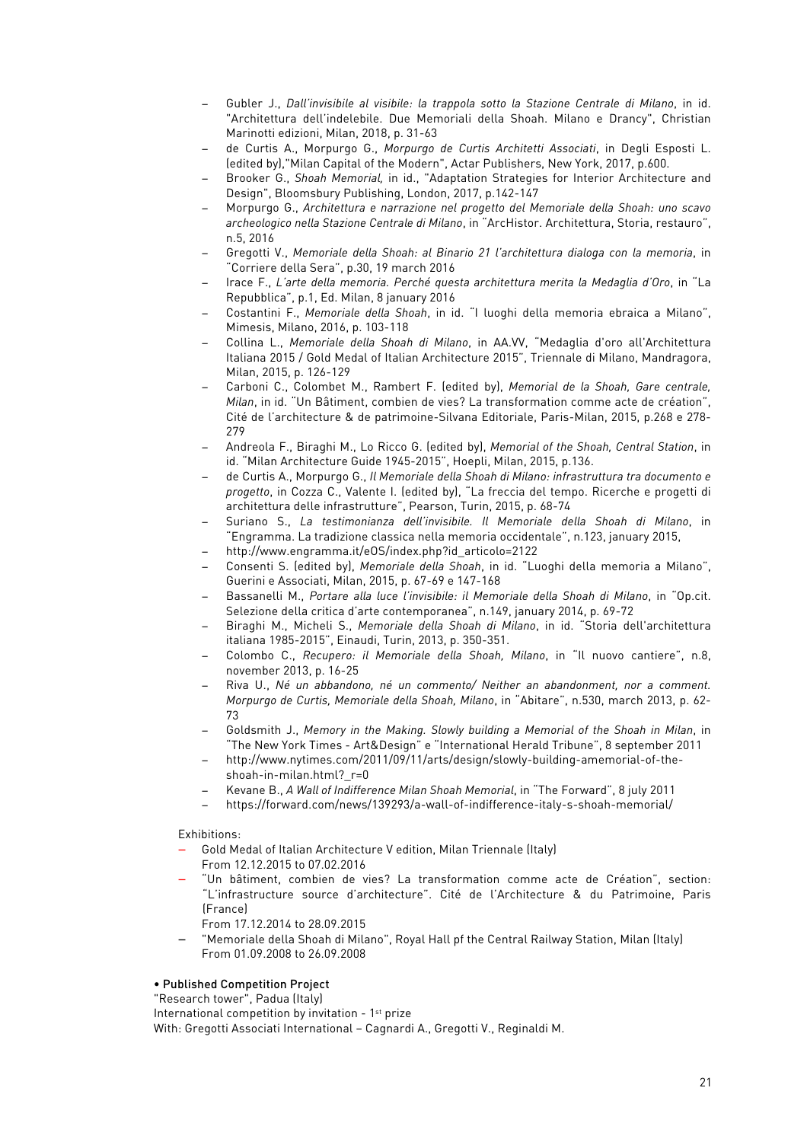- − Gubler J., *Dall'invisibile al visibile: la trappola sotto la Stazione Centrale di Milano*, in id. "Architettura dell'indelebile. Due Memoriali della Shoah. Milano e Drancy", Christian Marinotti edizioni, Milan, 2018, p. 31-63
- − de Curtis A., Morpurgo G., *Morpurgo de Curtis Architetti Associati*, in Degli Esposti L. (edited by),"Milan Capital of the Modern", Actar Publishers, New York, 2017, p.600.
- − Brooker G., *Shoah Memorial,* in id., "Adaptation Strategies for Interior Architecture and Design", Bloomsbury Publishing, London, 2017, p.142-147
- − Morpurgo G., *Architettura e narrazione nel progetto del Memoriale della Shoah: uno scavo archeologico nella Stazione Centrale di Milano*, in "ArcHistor. Architettura, Storia, restauro", n.5, 2016
- − Gregotti V., *Memoriale della Shoah: al Binario 21 l'architettura dialoga con la memoria*, in "Corriere della Sera", p.30, 19 march 2016
- − Irace F., *L'arte della memoria. Perché questa architettura merita la Medaglia d'Oro*, in "La Repubblica", p.1, Ed. Milan, 8 january 2016
- − Costantini F., *Memoriale della Shoah*, in id. "I luoghi della memoria ebraica a Milano", Mimesis, Milano, 2016, p. 103-118
- − Collina L., *Memoriale della Shoah di Milano*, in AA.VV, "Medaglia d'oro all'Architettura Italiana 2015 / Gold Medal of Italian Architecture 2015", Triennale di Milano, Mandragora, Milan, 2015, p. 126-129
- − Carboni C., Colombet M., Rambert F. (edited by), *Memorial de la Shoah, Gare centrale, Milan*, in id. "Un Bâtiment, combien de vies? La transformation comme acte de création", Cité de l'architecture & de patrimoine-Silvana Editoriale, Paris-Milan, 2015, p.268 e 278- 279
- − Andreola F., Biraghi M., Lo Ricco G. (edited by), *Memorial of the Shoah, Central Station*, in id. "Milan Architecture Guide 1945-2015", Hoepli, Milan, 2015, p.136.
- − de Curtis A., Morpurgo G., *Il Memoriale della Shoah di Milano: infrastruttura tra documento e progetto*, in Cozza C., Valente I. (edited by), "La freccia del tempo. Ricerche e progetti di architettura delle infrastrutture", Pearson, Turin, 2015, p. 68-74
- − Suriano S., *La testimonianza dell'invisibile. Il Memoriale della Shoah di Milano*, in "Engramma. La tradizione classica nella memoria occidentale", n.123, january 2015,
- − http://www.engramma.it/eOS/index.php?id\_articolo=2122
- − Consenti S. (edited by), *Memoriale della Shoah*, in id. "Luoghi della memoria a Milano", Guerini e Associati, Milan, 2015, p. 67-69 e 147-168
- − Bassanelli M., *Portare alla luce l'invisibile: il Memoriale della Shoah di Milano*, in "Op.cit. Selezione della critica d'arte contemporanea", n.149, january 2014, p. 69-72
- − Biraghi M., Micheli S., *Memoriale della Shoah di Milano*, in id. "Storia dell'architettura italiana 1985-2015", Einaudi, Turin, 2013, p. 350-351.
- − Colombo C., *Recupero: il Memoriale della Shoah, Milano*, in "Il nuovo cantiere", n.8, november 2013, p. 16-25
- − Riva U., *Né un abbandono, né un commento/ Neither an abandonment, nor a comment. Morpurgo de Curtis, Memoriale della Shoah, Milano*, in "Abitare", n.530, march 2013, p. 62- 73
- − Goldsmith J., *Memory in the Making. Slowly building a Memorial of the Shoah in Milan*, in "The New York Times - Art&Design" e "International Herald Tribune", 8 september 2011
- − http://www.nytimes.com/2011/09/11/arts/design/slowly-building-amemorial-of-theshoah-in-milan.html? r=0
- − Kevane B., *A Wall of Indifference Milan Shoah Memorial*, in "The Forward", 8 july 2011
- − https://forward.com/news/139293/a-wall-of-indifference-italy-s-shoah-memorial/

# Exhibitions:

- − Gold Medal of Italian Architecture V edition, Milan Triennale (Italy) From 12.12.2015 to 07.02.2016
- − "Un bâtiment, combien de vies? La transformation comme acte de Création", section: "L'infrastructure source d'architecture". Cité de l'Architecture & du Patrimoine, Paris (France)
	- From 17.12.2014 to 28.09.2015
- − "Memoriale della Shoah di Milano", Royal Hall pf the Central Railway Station, Milan (Italy) From 01.09.2008 to 26.09.2008

# • Published Competition Project

"Research tower", Padua (Italy)

International competition by invitation - 1st prize

With: Gregotti Associati International – Cagnardi A., Gregotti V., Reginaldi M.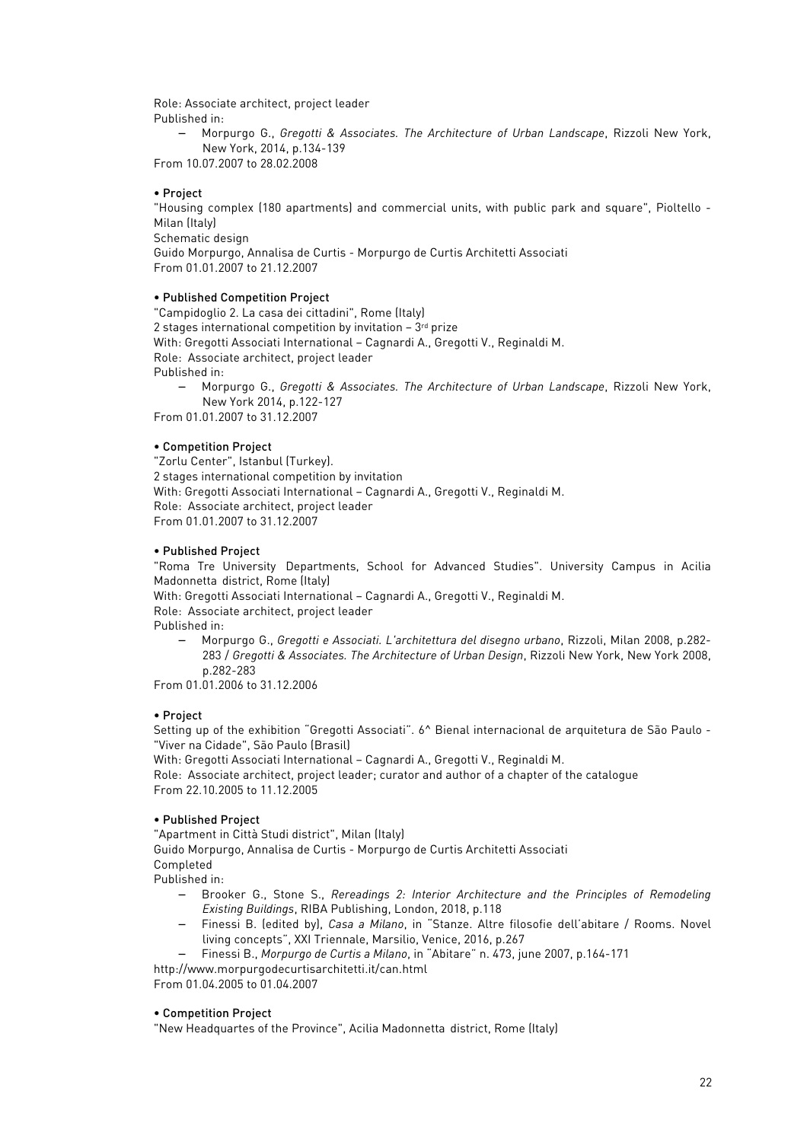Role: Associate architect, project leader Published in:

− Morpurgo G., *Gregotti & Associates. The Architecture of Urban Landscape*, Rizzoli New York, New York, 2014, p.134-139

From 10.07.2007 to 28.02.2008

## • Project

"Housing complex (180 apartments) and commercial units, with public park and square", Pioltello - Milan (Italy) Schematic design Guido Morpurgo, Annalisa de Curtis - Morpurgo de Curtis Architetti Associati From 01.01.2007 to 21.12.2007

### • Published Competition Project

"Campidoglio 2. La casa dei cittadini", Rome (Italy) 2 stages international competition by invitation  $-3$ <sup>rd</sup> prize With: Gregotti Associati International – Cagnardi A., Gregotti V., Reginaldi M. Role: Associate architect, project leader Published in:

− Morpurgo G., *Gregotti & Associates. The Architecture of Urban Landscape*, Rizzoli New York, New York 2014, p.122-127

From 01.01.2007 to 31.12.2007

# • Competition Project

"Zorlu Center", Istanbul (Turkey). 2 stages international competition by invitation With: Gregotti Associati International – Cagnardi A., Gregotti V., Reginaldi M. Role: Associate architect, project leader From 01.01.2007 to 31.12.2007

## • Published Project

"Roma Tre University Departments, School for Advanced Studies". University Campus in Acilia Madonnetta district, Rome (Italy)

With: Gregotti Associati International – Cagnardi A., Gregotti V., Reginaldi M.

Role: Associate architect, project leader

Published in:

− Morpurgo G., *Gregotti e Associati. L'architettura del disegno urbano*, Rizzoli, Milan 2008, p.282- 283 / *Gregotti & Associates. The Architecture of Urban Design*, Rizzoli New York, New York 2008, p.282-283

From 01.01.2006 to 31.12.2006

# • Project

Setting up of the exhibition "Gregotti Associati". 6^ Bienal internacional de arquitetura de São Paulo - "Viver na Cidade", São Paulo (Brasil)

With: Gregotti Associati International – Cagnardi A., Gregotti V., Reginaldi M.

Role: Associate architect, project leader; curator and author of a chapter of the catalogue From 22.10.2005 to 11.12.2005

# • Published Project

"Apartment in Città Studi district", Milan (Italy)

Guido Morpurgo, Annalisa de Curtis - Morpurgo de Curtis Architetti Associati Completed

Published in:

- − Brooker G., Stone S., *Rereadings 2: Interior Architecture and the Principles of Remodeling Existing Buildings*, RIBA Publishing, London, 2018, p.118
- − Finessi B. (edited by), *Casa a Milano*, in "Stanze. Altre filosofie dell'abitare / Rooms. Novel living concepts", XXI Triennale, Marsilio, Venice, 2016, p.267
- − Finessi B., *Morpurgo de Curtis a Milano*, in "Abitare" n. 473, june 2007, p.164-171
- http://www.morpurgodecurtisarchitetti.it/can.html

From 01.04.2005 to 01.04.2007

### • Competition Project

"New Headquartes of the Province", Acilia Madonnetta district, Rome (Italy)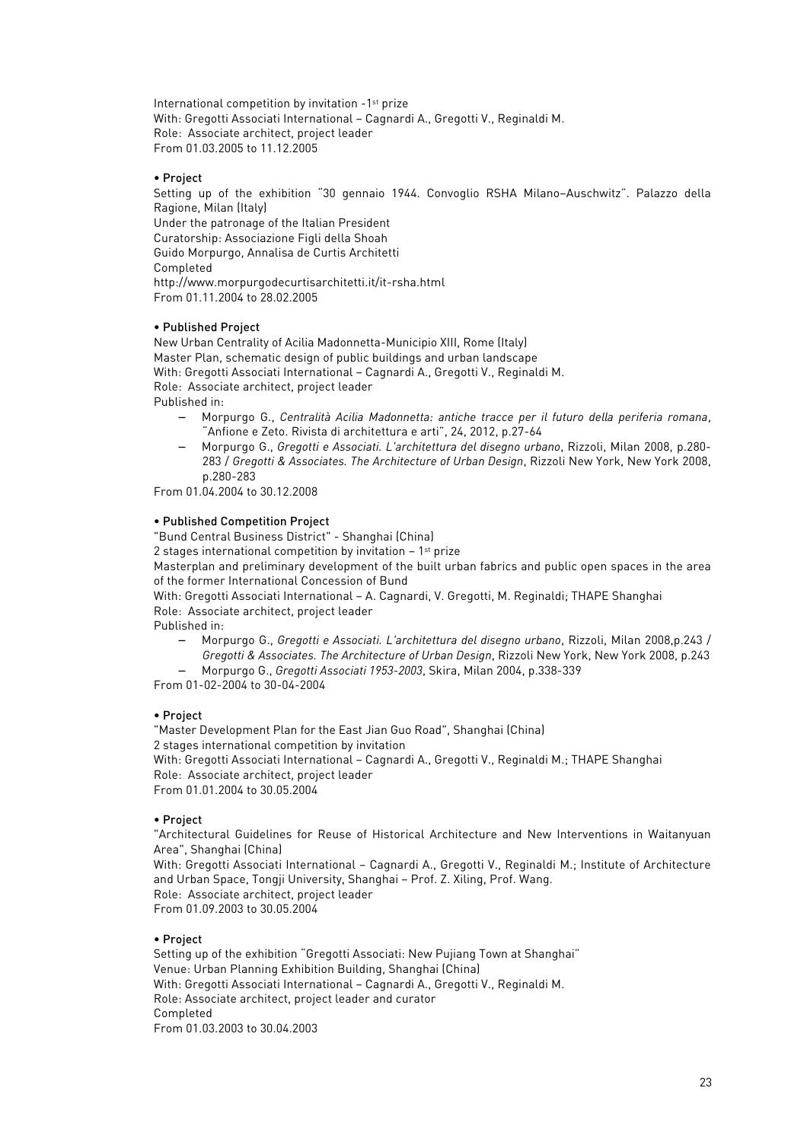International competition by invitation -1st prize With: Gregotti Associati International – Cagnardi A., Gregotti V., Reginaldi M. Role: Associate architect, project leader From 01.03.2005 to 11.12.2005

### • Project

Setting up of the exhibition "30 gennaio 1944. Convoglio RSHA Milano–Auschwitz". Palazzo della Ragione, Milan (Italy) Under the patronage of the Italian President Curatorship: Associazione Figli della Shoah Guido Morpurgo, Annalisa de Curtis Architetti

Completed

http://www.morpurgodecurtisarchitetti.it/it-rsha.html From 01.11.2004 to 28.02.2005

## • Published Project

New Urban Centrality of Acilia Madonnetta-Municipio XIII, Rome (Italy) Master Plan, schematic design of public buildings and urban landscape With: Gregotti Associati International – Cagnardi A., Gregotti V., Reginaldi M. Role: Associate architect, project leader Published in:

- − Morpurgo G., *Centralità Acilia Madonnetta: antiche tracce per il futuro della periferia romana*, "Anfione e Zeto. Rivista di architettura e arti", 24, 2012, p.27-64
- − Morpurgo G., *Gregotti e Associati. L'architettura del disegno urbano*, Rizzoli, Milan 2008, p.280- 283 / *Gregotti & Associates. The Architecture of Urban Design*, Rizzoli New York, New York 2008, p.280-283

From 01.04.2004 to 30.12.2008

## • Published Competition Project

"Bund Central Business District" - Shanghai (China)

2 stages international competition by invitation  $-1$ <sup>st</sup> prize

Masterplan and preliminary development of the built urban fabrics and public open spaces in the area of the former International Concession of Bund

With: Gregotti Associati International – A. Cagnardi, V. Gregotti, M. Reginaldi; THAPE Shanghai Role: Associate architect, project leader

Published in:

− Morpurgo G., *Gregotti e Associati. L'architettura del disegno urbano*, Rizzoli, Milan 2008,p.243 / *Gregotti & Associates. The Architecture of Urban Design*, Rizzoli New York, New York 2008, p.243 − Morpurgo G., *Gregotti Associati 1953-2003*, Skira, Milan 2004, p.338-339

From 01-02-2004 to 30-04-2004

# • Project

"Master Development Plan for the East Jian Guo Road", Shanghai (China) 2 stages international competition by invitation With: Gregotti Associati International – Cagnardi A., Gregotti V., Reginaldi M.; THAPE Shanghai Role: Associate architect, project leader From 01.01.2004 to 30.05.2004

### • Project

"Architectural Guidelines for Reuse of Historical Architecture and New Interventions in Waitanyuan Area", Shanghai (China)

With: Gregotti Associati International – Cagnardi A., Gregotti V., Reginaldi M.; Institute of Architecture and Urban Space, Tongji University, Shanghai – Prof. Z. Xiling, Prof. Wang. Role: Associate architect, project leader From 01.09.2003 to 30.05.2004

# • Project

Setting up of the exhibition "Gregotti Associati: New Pujiang Town at Shanghai" Venue: Urban Planning Exhibition Building, Shanghai (China) With: Gregotti Associati International – Cagnardi A., Gregotti V., Reginaldi M. Role: Associate architect, project leader and curator Completed From 01.03.2003 to 30.04.2003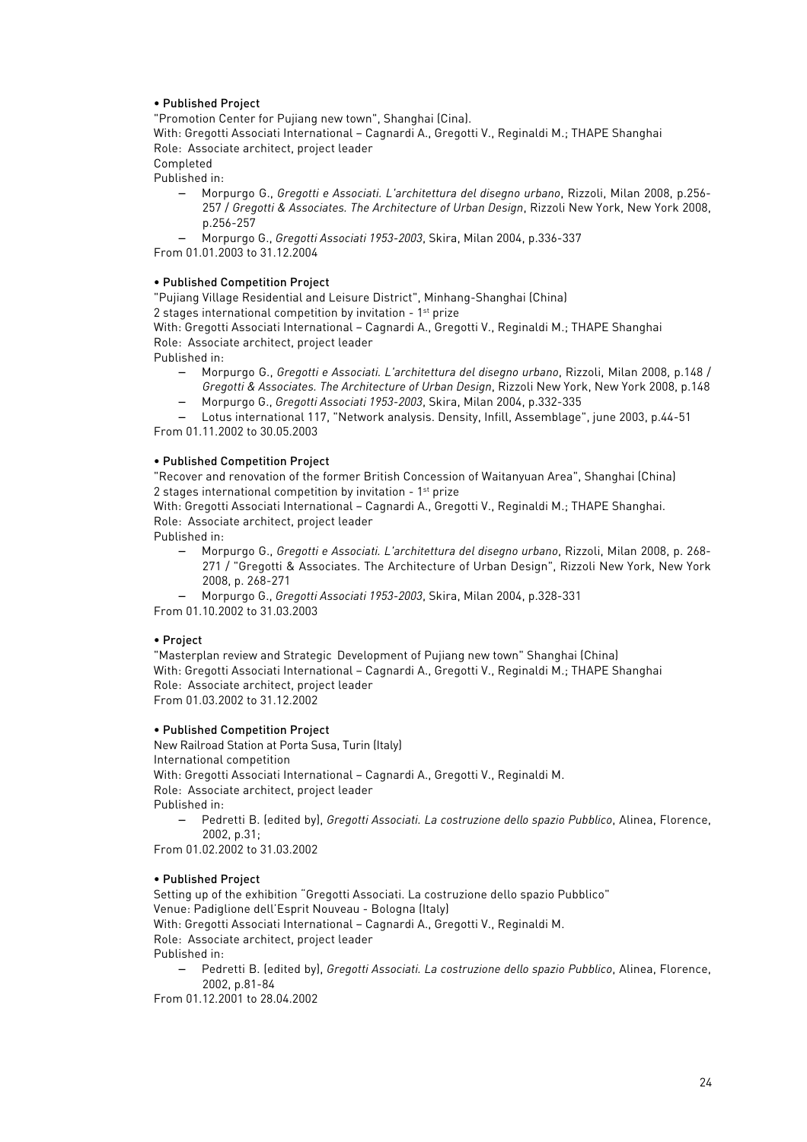# • Published Project

"Promotion Center for Pujiang new town", Shanghai (Cina).

With: Gregotti Associati International – Cagnardi A., Gregotti V., Reginaldi M.; THAPE Shanghai Role: Associate architect, project leader

Completed Published in:

> − Morpurgo G., *Gregotti e Associati. L'architettura del disegno urbano*, Rizzoli, Milan 2008, p.256- 257 / *Gregotti & Associates. The Architecture of Urban Design*, Rizzoli New York, New York 2008, p.256-257

− Morpurgo G., *Gregotti Associati 1953-2003*, Skira, Milan 2004, p.336-337 From 01.01.2003 to 31.12.2004

# • Published Competition Project

"Pujiang Village Residential and Leisure District", Minhang-Shanghai (China) 2 stages international competition by invitation - 1st prize

With: Gregotti Associati International – Cagnardi A., Gregotti V., Reginaldi M.; THAPE Shanghai Role: Associate architect, project leader

Published in:

- − Morpurgo G., *Gregotti e Associati. L'architettura del disegno urbano*, Rizzoli, Milan 2008, p.148 / *Gregotti & Associates. The Architecture of Urban Design*, Rizzoli New York, New York 2008, p.148
- − Morpurgo G., *Gregotti Associati 1953-2003*, Skira, Milan 2004, p.332-335

− Lotus international 117, "Network analysis. Density, Infill, Assemblage", june 2003, p.44-51 From 01.11.2002 to 30.05.2003

# • Published Competition Project

"Recover and renovation of the former British Concession of Waitanyuan Area", Shanghai (China) 2 stages international competition by invitation - 1st prize

With: Gregotti Associati International – Cagnardi A., Gregotti V., Reginaldi M.; THAPE Shanghai. Role: Associate architect, project leader

Published in:

− Morpurgo G., *Gregotti e Associati. L'architettura del disegno urbano*, Rizzoli, Milan 2008, p. 268- 271 / "Gregotti & Associates. The Architecture of Urban Design", Rizzoli New York, New York 2008, p. 268-271

− Morpurgo G., *Gregotti Associati 1953-2003*, Skira, Milan 2004, p.328-331

From 01.10.2002 to 31.03.2003

# • Project

"Masterplan review and Strategic Development of Pujiang new town" Shanghai (China) With: Gregotti Associati International – Cagnardi A., Gregotti V., Reginaldi M.; THAPE Shanghai Role: Associate architect, project leader From 01.03.2002 to 31.12.2002

# • Published Competition Project

New Railroad Station at Porta Susa, Turin (Italy) International competition With: Gregotti Associati International – Cagnardi A., Gregotti V., Reginaldi M. Role: Associate architect, project leader Published in: − Pedretti B. (edited by), *Gregotti Associati. La costruzione dello spazio Pubblico*, Alinea, Florence, 2002, p.31;

From 01.02.2002 to 31.03.2002

# • Published Project

Setting up of the exhibition "Gregotti Associati. La costruzione dello spazio Pubblico" Venue: Padiglione dell'Esprit Nouveau - Bologna (Italy) With: Gregotti Associati International – Cagnardi A., Gregotti V., Reginaldi M. Role: Associate architect, project leader Published in:

− Pedretti B. (edited by), *Gregotti Associati. La costruzione dello spazio Pubblico*, Alinea, Florence, 2002, p.81-84

From 01.12.2001 to 28.04.2002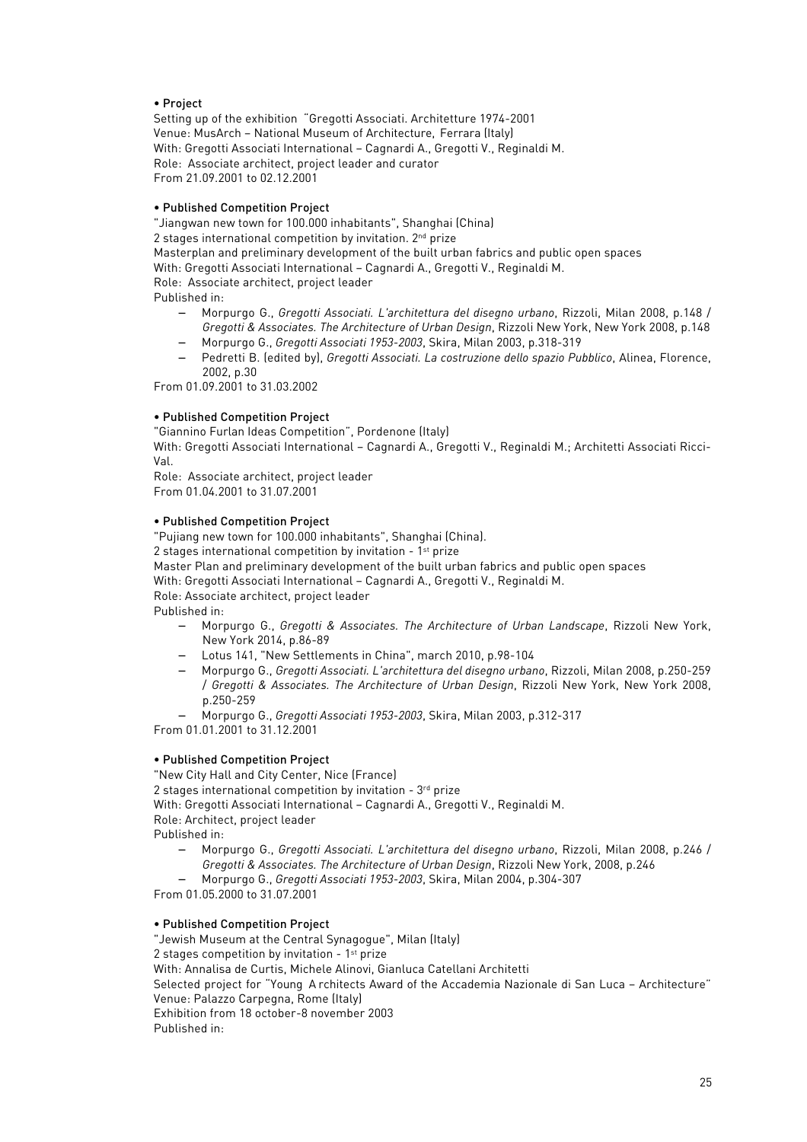# • Project

Setting up of the exhibition "Gregotti Associati. Architetture 1974-2001 Venue: MusArch – National Museum of Architecture, Ferrara (Italy) With: Gregotti Associati International – Cagnardi A., Gregotti V., Reginaldi M. Role: Associate architect, project leader and curator From 21.09.2001 to 02.12.2001

## • Published Competition Project

"Jiangwan new town for 100.000 inhabitants", Shanghai (China) 2 stages international competition by invitation. 2nd prize Masterplan and preliminary development of the built urban fabrics and public open spaces With: Gregotti Associati International – Cagnardi A., Gregotti V., Reginaldi M. Role: Associate architect, project leader Published in: − Morpurgo G., *Gregotti Associati. L'architettura del disegno urbano*, Rizzoli, Milan 2008, p.148 /

- *Gregotti & Associates. The Architecture of Urban Design*, Rizzoli New York, New York 2008, p.148
- − Morpurgo G., *Gregotti Associati 1953-2003*, Skira, Milan 2003, p.318-319
- − Pedretti B. (edited by), *Gregotti Associati. La costruzione dello spazio Pubblico*, Alinea, Florence, 2002, p.30

From 01.09.2001 to 31.03.2002

# • Published Competition Project

"Giannino Furlan Ideas Competition", Pordenone (Italy)

With: Gregotti Associati International – Cagnardi A., Gregotti V., Reginaldi M.; Architetti Associati Ricci-Val.

Role: Associate architect, project leader From 01.04.2001 to 31.07.2001

## • Published Competition Project

"Pujiang new town for 100.000 inhabitants", Shanghai (China). 2 stages international competition by invitation - 1st prize

Master Plan and preliminary development of the built urban fabrics and public open spaces

With: Gregotti Associati International – Cagnardi A., Gregotti V., Reginaldi M.

Role: Associate architect, project leader

Published in:

- − Morpurgo G., *Gregotti & Associates. The Architecture of Urban Landscape*, Rizzoli New York, New York 2014, p.86-89
- − Lotus 141, "New Settlements in China", march 2010, p.98-104
- − Morpurgo G., *Gregotti Associati. L'architettura del disegno urbano*, Rizzoli, Milan 2008, p.250-259 / *Gregotti & Associates. The Architecture of Urban Design*, Rizzoli New York, New York 2008, p.250-259
- − Morpurgo G., *Gregotti Associati 1953-2003*, Skira, Milan 2003, p.312-317

From 01.01.2001 to 31.12.2001

# • Published Competition Project

"New City Hall and City Center, Nice (France) 2 stages international competition by invitation -  $3<sup>rd</sup>$  prize With: Gregotti Associati International – Cagnardi A., Gregotti V., Reginaldi M. Role: Architect, project leader Published in:

- − Morpurgo G., *Gregotti Associati. L'architettura del disegno urbano*, Rizzoli, Milan 2008, p.246 / *Gregotti & Associates. The Architecture of Urban Design*, Rizzoli New York, 2008, p.246
- − Morpurgo G., *Gregotti Associati 1953-2003*, Skira, Milan 2004, p.304-307

From 01.05.2000 to 31.07.2001

# • Published Competition Project

"Jewish Museum at the Central Synagogue", Milan (Italy) 2 stages competition by invitation -  $1<sup>st</sup>$  prize With: Annalisa de Curtis, Michele Alinovi, Gianluca Catellani Architetti Selected project for "Young A rchitects Award of the Accademia Nazionale di San Luca – Architecture" Venue: Palazzo Carpegna, Rome (Italy) Exhibition from 18 october-8 november 2003 Published in: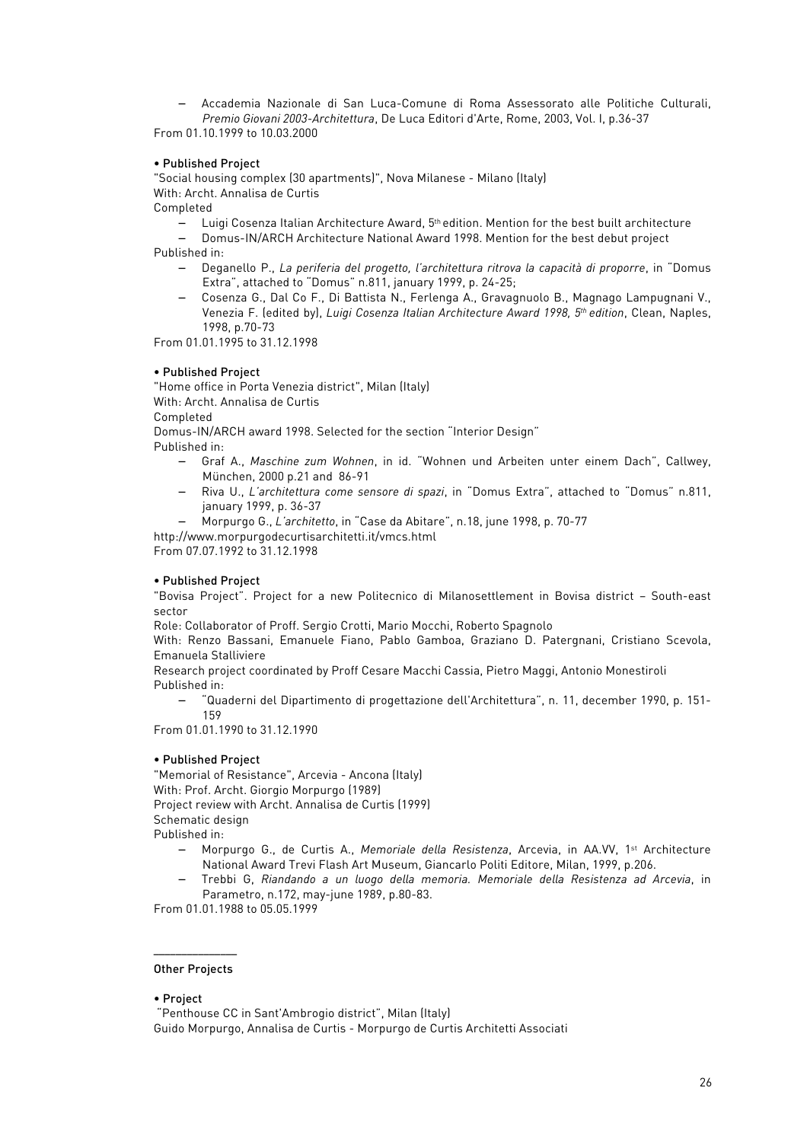− Accademia Nazionale di San Luca-Comune di Roma Assessorato alle Politiche Culturali, *Premio Giovani 2003-Architettura*, De Luca Editori d'Arte, Rome, 2003, Vol. I, p.36-37

From 01.10.1999 to 10.03.2000

## • Published Project

"Social housing complex (30 apartments)", Nova Milanese - Milano (Italy) With: Archt. Annalisa de Curtis

Completed

− Luigi Cosenza Italian Architecture Award, 5th edition. Mention for the best built architecture

− Domus-IN/ARCH Architecture National Award 1998. Mention for the best debut project Published in:

- − Deganello P., *La periferia del progetto, l'architettura ritrova la capacità di proporre*, in "Domus Extra", attached to "Domus" n.811, january 1999, p. 24-25;
- − Cosenza G., Dal Co F., Di Battista N., Ferlenga A., Gravagnuolo B., Magnago Lampugnani V., Venezia F. (edited by), *Luigi Cosenza Italian Architecture Award 1998, 5th edition*, Clean, Naples, 1998, p.70-73

From 01.01.1995 to 31.12.1998

## • Published Project

"Home office in Porta Venezia district", Milan (Italy) With: Archt. Annalisa de Curtis Completed Domus-IN/ARCH award 1998. Selected for the section "Interior Design"

Published in:

- − Graf A., *Maschine zum Wohnen*, in id. "Wohnen und Arbeiten unter einem Dach", Callwey, München, 2000 p.21 and 86-91
- − Riva U., *L'architettura come sensore di spazi*, in "Domus Extra", attached to "Domus" n.811, january 1999, p. 36-37
- − Morpurgo G., *L'architetto*, in "Case da Abitare", n.18, june 1998, p. 70-77

http://www.morpurgodecurtisarchitetti.it/vmcs.html

From 07.07.1992 to 31.12.1998

# • Published Project

"Bovisa Project". Project for a new Politecnico di Milanosettlement in Bovisa district – South-east sector

Role: Collaborator of Proff. Sergio Crotti, Mario Mocchi, Roberto Spagnolo

With: Renzo Bassani, Emanuele Fiano, Pablo Gamboa, Graziano D. Patergnani, Cristiano Scevola, Emanuela Stalliviere

Research project coordinated by Proff Cesare Macchi Cassia, Pietro Maggi, Antonio Monestiroli Published in:

− "Quaderni del Dipartimento di progettazione dell'Architettura", n. 11, december 1990, p. 151- 159

From 01.01.1990 to 31.12.1990

### • Published Project

"Memorial of Resistance", Arcevia - Ancona (Italy) With: Prof. Archt. Giorgio Morpurgo (1989) Project review with Archt. Annalisa de Curtis (1999) Schematic design Published in:

- − Morpurgo G., de Curtis A., *Memoriale della Resistenza*, Arcevia, in AA.VV, 1st Architecture National Award Trevi Flash Art Museum, Giancarlo Politi Editore, Milan, 1999, p.206.
- − Trebbi G, *Riandando a un luogo della memoria. Memoriale della Resistenza ad Arcevia*, in Parametro, n.172, may-june 1989, p.80-83.

From 01.01.1988 to 05.05.1999

#### ––––––––––––––– Other Projects

### • Project

"Penthouse CC in Sant'Ambrogio district", Milan (Italy) Guido Morpurgo, Annalisa de Curtis - Morpurgo de Curtis Architetti Associati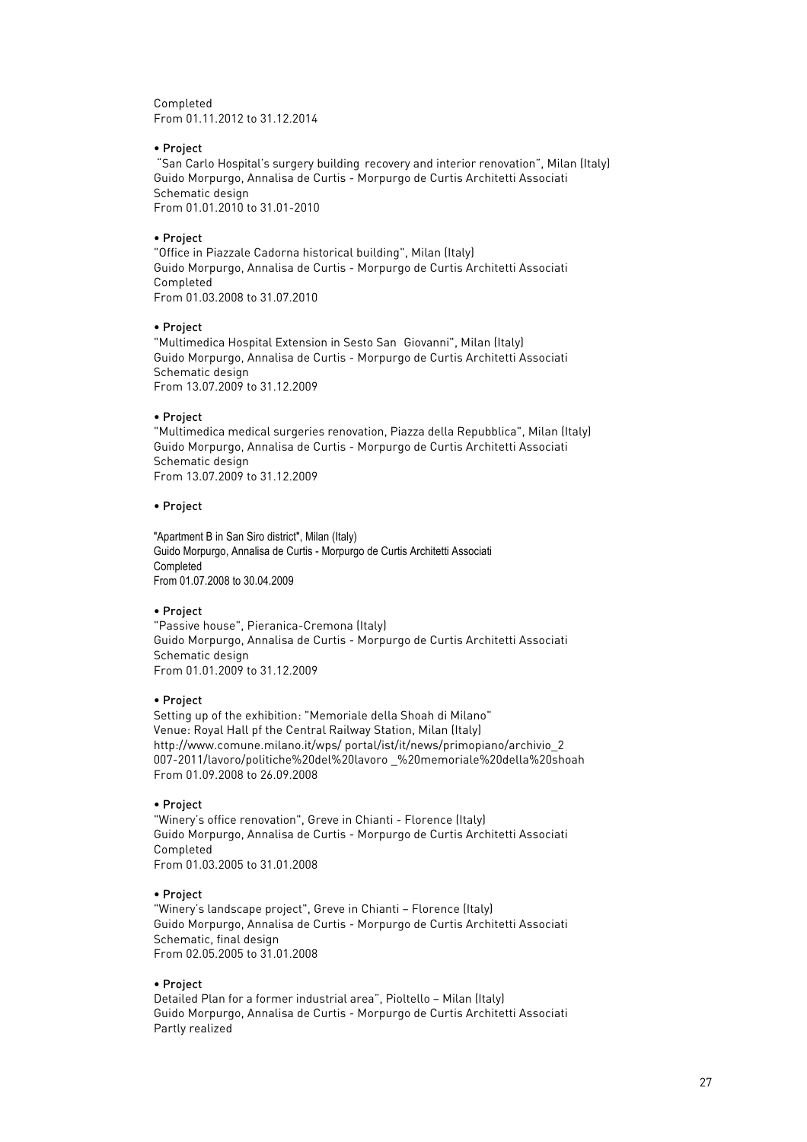Completed From 01.11.2012 to 31.12.2014

### • Project

"San Carlo Hospital's surgery building recovery and interior renovation", Milan (Italy) Guido Morpurgo, Annalisa de Curtis - Morpurgo de Curtis Architetti Associati Schematic design From 01.01.2010 to 31.01-2010

## • Project

"Office in Piazzale Cadorna historical building", Milan (Italy) Guido Morpurgo, Annalisa de Curtis - Morpurgo de Curtis Architetti Associati Completed From 01.03.2008 to 31.07.2010

### • Project

"Multimedica Hospital Extension in Sesto San Giovanni", Milan (Italy) Guido Morpurgo, Annalisa de Curtis - Morpurgo de Curtis Architetti Associati Schematic design From 13.07.2009 to 31.12.2009

## • Project

"Multimedica medical surgeries renovation, Piazza della Repubblica", Milan (Italy) Guido Morpurgo, Annalisa de Curtis - Morpurgo de Curtis Architetti Associati Schematic design From 13.07.2009 to 31.12.2009

## • Project

"Apartment B in San Siro district", Milan (Italy) Guido Morpurgo, Annalisa de Curtis - Morpurgo de Curtis Architetti Associati **Completed** From 01.07.2008 to 30.04.2009

### • Project

"Passive house", Pieranica-Cremona (Italy) Guido Morpurgo, Annalisa de Curtis - Morpurgo de Curtis Architetti Associati Schematic design From 01.01.2009 to 31.12.2009

### • Project

Setting up of the exhibition: "Memoriale della Shoah di Milano" Venue: Royal Hall pf the Central Railway Station, Milan (Italy) http://www.comune.milano.it/wps/ portal/ist/it/news/primopiano/archivio\_2 007-2011/lavoro/politiche%20del%20lavoro \_%20memoriale%20della%20shoah From 01.09.2008 to 26.09.2008

### • Project

"Winery's office renovation", Greve in Chianti - Florence (Italy) Guido Morpurgo, Annalisa de Curtis - Morpurgo de Curtis Architetti Associati Completed From 01.03.2005 to 31.01.2008

### • Project

"Winery's landscape project", Greve in Chianti – Florence (Italy) Guido Morpurgo, Annalisa de Curtis - Morpurgo de Curtis Architetti Associati Schematic, final design From 02.05.2005 to 31.01.2008

# • Project

Detailed Plan for a former industrial area", Pioltello – Milan (Italy) Guido Morpurgo, Annalisa de Curtis - Morpurgo de Curtis Architetti Associati Partly realized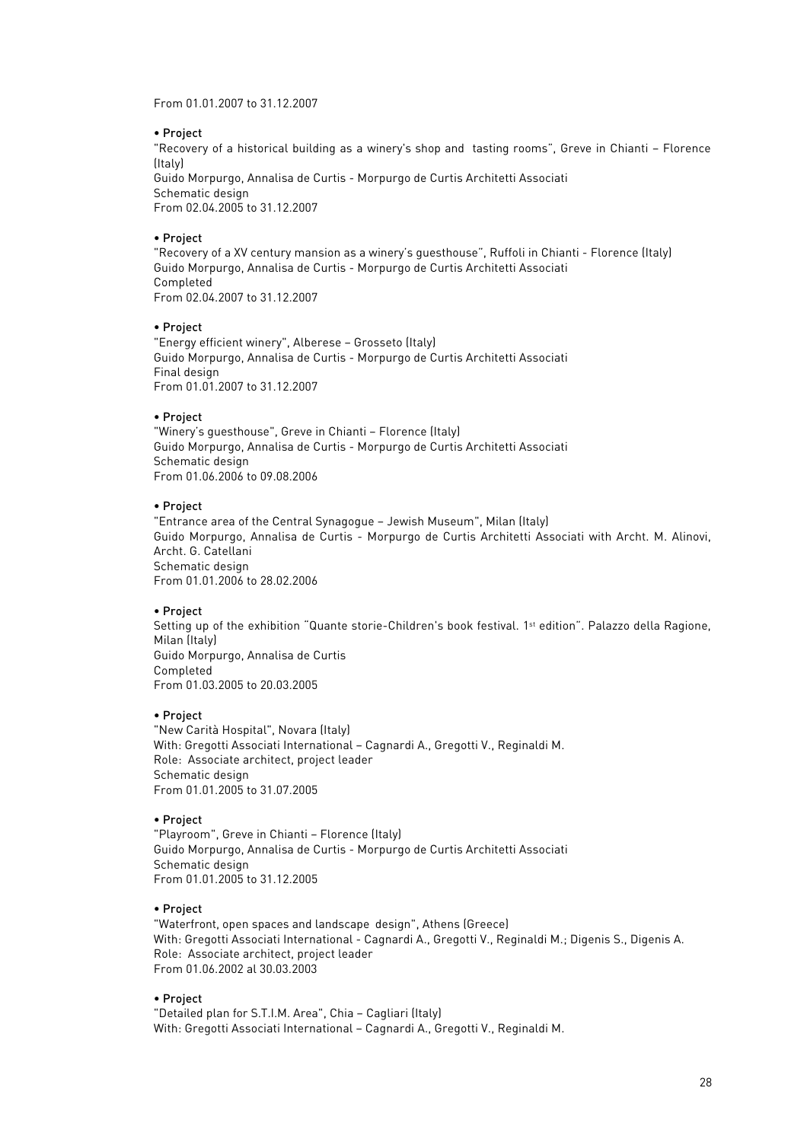From 01.01.2007 to 31.12.2007

### • Project

"Recovery of a historical building as a winery's shop and tasting rooms", Greve in Chianti – Florence (Italy) Guido Morpurgo, Annalisa de Curtis - Morpurgo de Curtis Architetti Associati Schematic design From 02.04.2005 to 31.12.2007

## • Project

"Recovery of a XV century mansion as a winery's guesthouse", Ruffoli in Chianti - Florence (Italy) Guido Morpurgo, Annalisa de Curtis - Morpurgo de Curtis Architetti Associati Completed From 02.04.2007 to 31.12.2007

## • Project

"Energy efficient winery", Alberese – Grosseto (Italy) Guido Morpurgo, Annalisa de Curtis - Morpurgo de Curtis Architetti Associati Final design From 01.01.2007 to 31.12.2007

## • Project

"Winery's guesthouse", Greve in Chianti – Florence (Italy) Guido Morpurgo, Annalisa de Curtis - Morpurgo de Curtis Architetti Associati Schematic design From 01.06.2006 to 09.08.2006

## • Project

"Entrance area of the Central Synagogue – Jewish Museum", Milan (Italy) Guido Morpurgo, Annalisa de Curtis - Morpurgo de Curtis Architetti Associati with Archt. M. Alinovi, Archt. G. Catellani Schematic design From 01.01.2006 to 28.02.2006

# • Project

Setting up of the exhibition "Quante storie-Children's book festival. 1<sup>st</sup> edition". Palazzo della Ragione, Milan (Italy) Guido Morpurgo, Annalisa de Curtis Completed From 01.03.2005 to 20.03.2005

# • Project

"New Carità Hospital", Novara (Italy) With: Gregotti Associati International – Cagnardi A., Gregotti V., Reginaldi M. Role: Associate architect, project leader Schematic design From 01.01.2005 to 31.07.2005

### • Project

"Playroom", Greve in Chianti – Florence (Italy) Guido Morpurgo, Annalisa de Curtis - Morpurgo de Curtis Architetti Associati Schematic design From 01.01.2005 to 31.12.2005

# • Project

"Waterfront, open spaces and landscape design", Athens (Greece) With: Gregotti Associati International - Cagnardi A., Gregotti V., Reginaldi M.; Digenis S., Digenis A. Role: Associate architect, project leader From 01.06.2002 al 30.03.2003

# • Project

"Detailed plan for S.T.I.M. Area", Chia – Cagliari (Italy) With: Gregotti Associati International – Cagnardi A., Gregotti V., Reginaldi M.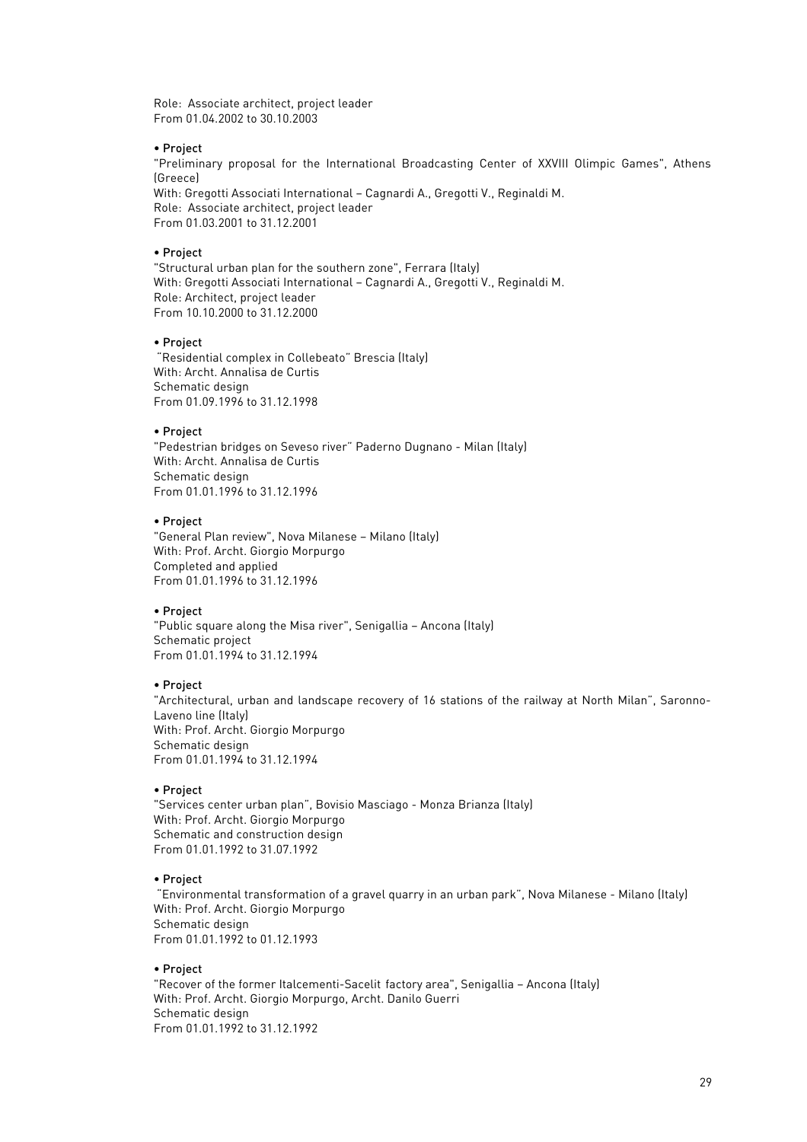Role: Associate architect, project leader From 01.04.2002 to 30.10.2003

### • Project

"Preliminary proposal for the International Broadcasting Center of XXVIII Olimpic Games", Athens (Greece)

With: Gregotti Associati International – Cagnardi A., Gregotti V., Reginaldi M. Role: Associate architect, project leader From 01.03.2001 to 31.12.2001

#### • Project

"Structural urban plan for the southern zone", Ferrara (Italy) With: Gregotti Associati International – Cagnardi A., Gregotti V., Reginaldi M. Role: Architect, project leader From 10.10.2000 to 31.12.2000

#### • Project

"Residential complex in Collebeato" Brescia (Italy) With: Archt. Annalisa de Curtis Schematic design From 01.09.1996 to 31.12.1998

### • Project

"Pedestrian bridges on Seveso river" Paderno Dugnano - Milan (Italy) With: Archt. Annalisa de Curtis Schematic design From 01.01.1996 to 31.12.1996

#### • Project

"General Plan review", Nova Milanese – Milano (Italy) With: Prof. Archt. Giorgio Morpurgo Completed and applied From 01.01.1996 to 31.12.1996

## • Project

"Public square along the Misa river", Senigallia – Ancona (Italy) Schematic project From 01.01.1994 to 31.12.1994

### • Project

"Architectural, urban and landscape recovery of 16 stations of the railway at North Milan", Saronno-Laveno line (Italy) With: Prof. Archt. Giorgio Morpurgo Schematic design From 01.01.1994 to 31.12.1994

### • Project

"Services center urban plan", Bovisio Masciago - Monza Brianza (Italy) With: Prof. Archt. Giorgio Morpurgo Schematic and construction design From 01.01.1992 to 31.07.1992

### • Project

"Environmental transformation of a gravel quarry in an urban park", Nova Milanese - Milano (Italy) With: Prof. Archt. Giorgio Morpurgo Schematic design From 01.01.1992 to 01.12.1993

### • Project

"Recover of the former Italcementi-Sacelit factory area", Senigallia – Ancona (Italy) With: Prof. Archt. Giorgio Morpurgo, Archt. Danilo Guerri Schematic design From 01.01.1992 to 31.12.1992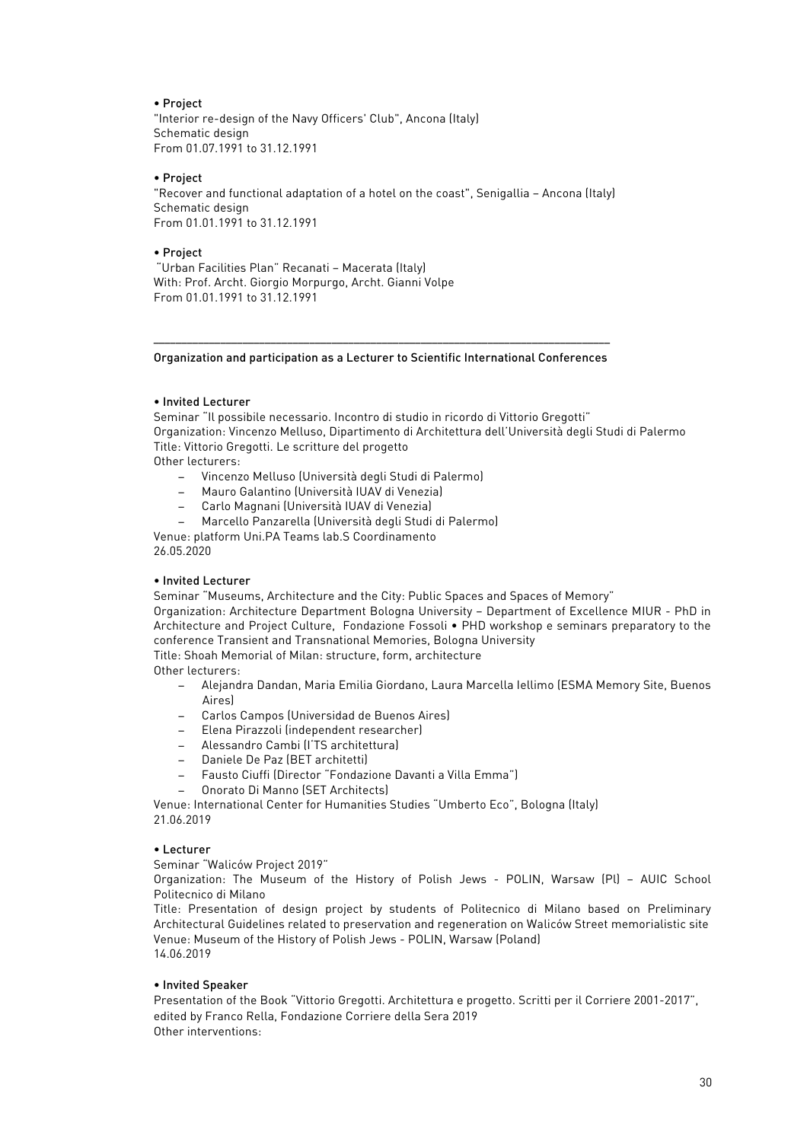## • Project

"Interior re-design of the Navy Officers' Club", Ancona (Italy) Schematic design From 01.07.1991 to 31.12.1991

### • Project

"Recover and functional adaptation of a hotel on the coast", Senigallia – Ancona (Italy) Schematic design From 01.01.1991 to 31.12.1991

### • Project

"Urban Facilities Plan" Recanati – Macerata (Italy) With: Prof. Archt. Giorgio Morpurgo, Archt. Gianni Volpe From 01.01.1991 to 31.12.1991

#### –––––––––––––––––––––––––––––––––––––––––––––––––––––––––––––––––––––––––––––––––– Organization and participation as a Lecturer to Scientific International Conferences

# • Invited Lecturer

Seminar "Il possibile necessario. Incontro di studio in ricordo di Vittorio Gregotti" Organization: Vincenzo Melluso, Dipartimento di Architettura dell'Università degli Studi di Palermo Title: Vittorio Gregotti. Le scritture del progetto Other lecturers:

- − Vincenzo Melluso (Università degli Studi di Palermo)
- − Mauro Galantino (Università IUAV di Venezia)
- − Carlo Magnani (Università IUAV di Venezia)
- − Marcello Panzarella (Università degli Studi di Palermo)

Venue: platform Uni.PA Teams lab.S Coordinamento 26.05.2020

# • Invited Lecturer

Seminar "Museums, Architecture and the City: Public Spaces and Spaces of Memory"

Organization: Architecture Department Bologna University – Department of Excellence MIUR - PhD in Architecture and Project Culture, Fondazione Fossoli • PHD workshop e seminars preparatory to the conference Transient and Transnational Memories, Bologna University

Title: Shoah Memorial of Milan: structure, form, architecture

Other lecturers:

- − Alejandra Dandan, Maria Emilia Giordano, Laura Marcella Iellimo (ESMA Memory Site, Buenos Aires)
- − Carlos Campos (Universidad de Buenos Aires)
- − Elena Pirazzoli (independent researcher)
- − Alessandro Cambi (I'TS architettura)
- − Daniele De Paz (BET architetti)
- − Fausto Ciuffi (Director "Fondazione Davanti a Villa Emma")
- − Onorato Di Manno (SET Architects)

Venue: International Center for Humanities Studies "Umberto Eco", Bologna (Italy) 21.06.2019

### • Lecturer

Seminar "Waliców Project 2019"

Organization: The Museum of the History of Polish Jews - POLIN, Warsaw (Pl) – AUIC School Politecnico di Milano

Title: Presentation of design project by students of Politecnico di Milano based on Preliminary Architectural Guidelines related to preservation and regeneration on Waliców Street memorialistic site Venue: Museum of the History of Polish Jews - POLIN, Warsaw (Poland) 14.06.2019

# • Invited Speaker

Presentation of the Book "Vittorio Gregotti. Architettura e progetto. Scritti per il Corriere 2001-2017", edited by Franco Rella, Fondazione Corriere della Sera 2019 Other interventions: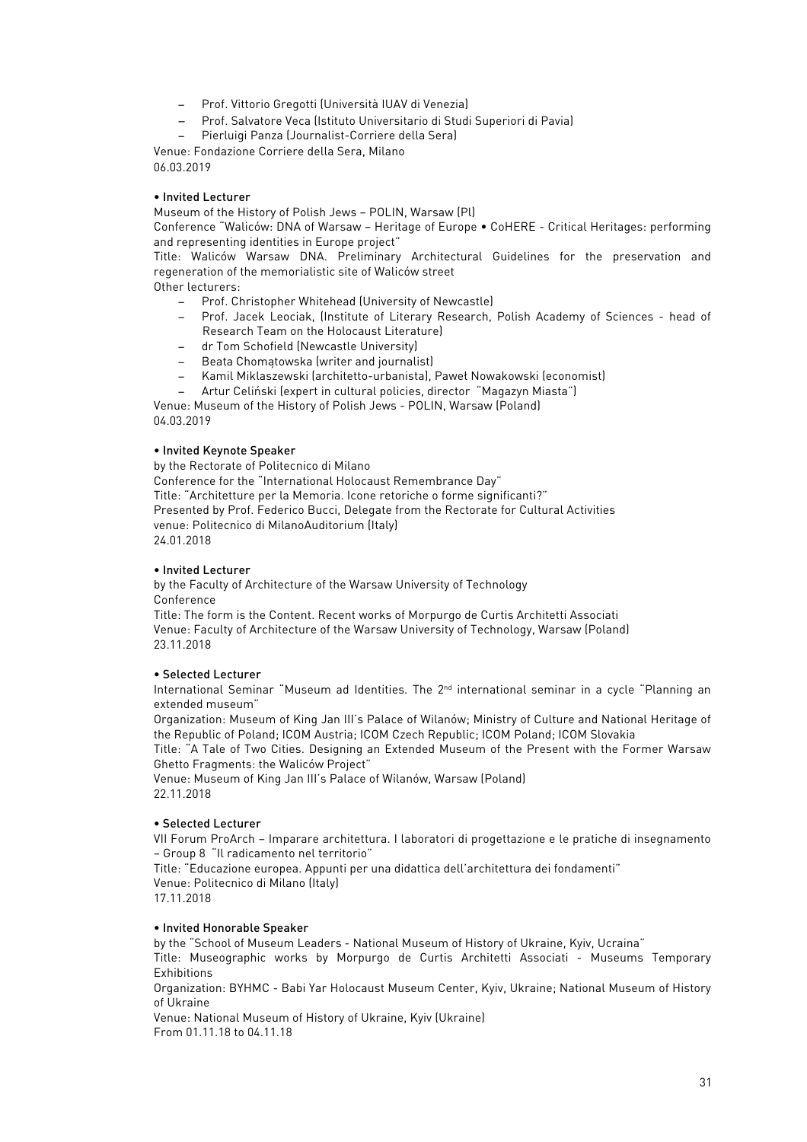- − Prof. Vittorio Gregotti (Università IUAV di Venezia)
- − Prof. Salvatore Veca (Istituto Universitario di Studi Superiori di Pavia)
- − Pierluigi Panza (Journalist-Corriere della Sera)

Venue: Fondazione Corriere della Sera, Milano 06.03.2019

## • Invited Lecturer

Museum of the History of Polish Jews – POLIN, Warsaw (Pl)

Conference "Waliców: DNA of Warsaw – Heritage of Europe • CoHERE - Critical Heritages: performing and representing identities in Europe project"

Title: Waliców Warsaw DNA. Preliminary Architectural Guidelines for the preservation and regeneration of the memorialistic site of Waliców street

Other lecturers:

- − Prof. Christopher Whitehead (University of Newcastle)
- − Prof. Jacek Leociak, (Institute of Literary Research, Polish Academy of Sciences head of Research Team on the Holocaust Literature)
- − dr Tom Schofield (Newcastle University)
- − Beata Chomątowska (writer and journalist)
- − Kamil Miklaszewski (architetto-urbanista), Paweł Nowakowski (economist)
- − Artur Celiński (expert in cultural policies, director "Magazyn Miasta")

Venue: Museum of the History of Polish Jews - POLIN, Warsaw (Poland) 04.03.2019

## • Invited Keynote Speaker

by the Rectorate of Politecnico di Milano

Conference for the "International Holocaust Remembrance Day" Title: "Architetture per la Memoria. Icone retoriche o forme significanti?" Presented by Prof. Federico Bucci, Delegate from the Rectorate for Cultural Activities venue: Politecnico di MilanoAuditorium (Italy) 24.01.2018

### • Invited Lecturer

by the Faculty of Architecture of the Warsaw University of Technology Conference

Title: The form is the Content. Recent works of Morpurgo de Curtis Architetti Associati Venue: Faculty of Architecture of the Warsaw University of Technology, Warsaw (Poland) 23.11.2018

# • Selected Lecturer

International Seminar "Museum ad Identities. The 2nd international seminar in a cycle "Planning an extended museum"

Organization: Museum of King Jan III's Palace of Wilanów; Ministry of Culture and National Heritage of the Republic of Poland; ICOM Austria; ICOM Czech Republic; ICOM Poland; ICOM Slovakia

Title: "A Tale of Two Cities. Designing an Extended Museum of the Present with the Former Warsaw Ghetto Fragments: the Waliców Project"

Venue: Museum of King Jan III's Palace of Wilanów, Warsaw (Poland) 22.11.2018

# • Selected Lecturer

VII Forum ProArch – Imparare architettura. I laboratori di progettazione e le pratiche di insegnamento – Group 8 "Il radicamento nel territorio"

Title: "Educazione europea. Appunti per una didattica dell'architettura dei fondamenti" Venue: Politecnico di Milano (Italy)

17.11.2018

### • Invited Honorable Speaker

by the "School of Museum Leaders - National Museum of History of Ukraine, Kyiv, Ucraina"

Title: Museographic works by Morpurgo de Curtis Architetti Associati - Museums Temporary Exhibitions

Organization: BYHMC - Babi Yar Holocaust Museum Center, Kyiv, Ukraine; National Museum of History of Ukraine

Venue: National Museum of History of Ukraine, Kyiv (Ukraine) From 01.11.18 to 04.11.18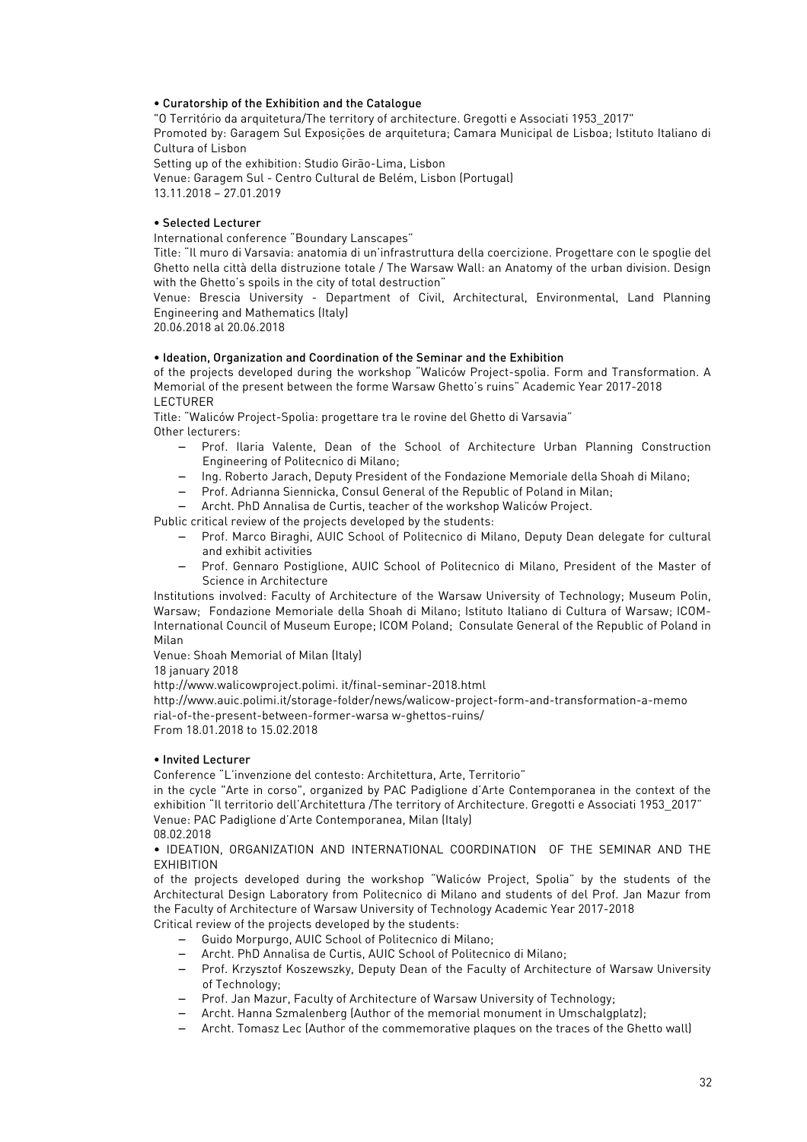## • Curatorship of the Exhibition and the Catalogue

"O Território da arquitetura/The territory of architecture. Gregotti e Associati 1953\_2017" Promoted by: Garagem Sul Exposições de arquitetura; Camara Municipal de Lisboa; Istituto Italiano di Cultura of Lisbon Setting up of the exhibition: Studio Girão-Lima, Lisbon

Venue: Garagem Sul - Centro Cultural de Belém, Lisbon (Portugal) 13.11.2018 – 27.01.2019

# • Selected Lecturer

International conference "Boundary Lanscapes"

Title: "Il muro di Varsavia: anatomia di un'infrastruttura della coercizione. Progettare con le spoglie del Ghetto nella città della distruzione totale / The Warsaw Wall: an Anatomy of the urban division. Design with the Ghetto's spoils in the city of total destruction"

Venue: Brescia University - Department of Civil, Architectural, Environmental, Land Planning Engineering and Mathematics (Italy)

20.06.2018 al 20.06.2018

## • Ideation, Organization and Coordination of the Seminar and the Exhibition

of the projects developed during the workshop "Waliców Project-spolia. Form and Transformation. A Memorial of the present between the forme Warsaw Ghetto's ruins" Academic Year 2017-2018 LECTURER

Title: "Waliców Project-Spolia: progettare tra le rovine del Ghetto di Varsavia" Other lecturers:

- − Prof. Ilaria Valente, Dean of the School of Architecture Urban Planning Construction Engineering of Politecnico di Milano;
- − Ing. Roberto Jarach, Deputy President of the Fondazione Memoriale della Shoah di Milano;
- − Prof. Adrianna Siennicka, Consul General of the Republic of Poland in Milan;

− Archt. PhD Annalisa de Curtis, teacher of the workshop Waliców Project.

Public critical review of the projects developed by the students:

- − Prof. Marco Biraghi, AUIC School of Politecnico di Milano, Deputy Dean delegate for cultural and exhibit activities
- − Prof. Gennaro Postiglione, AUIC School of Politecnico di Milano, President of the Master of Science in Architecture

Institutions involved: Faculty of Architecture of the Warsaw University of Technology; Museum Polin, Warsaw; Fondazione Memoriale della Shoah di Milano; Istituto Italiano di Cultura of Warsaw; ICOM-International Council of Museum Europe; ICOM Poland; Consulate General of the Republic of Poland in Milan

Venue: Shoah Memorial of Milan (Italy)

18 january 2018

http://www.walicowproject.polimi. it/final-seminar-2018.html

http://www.auic.polimi.it/storage-folder/news/walicow-project-form-and-transformation-a-memo rial-of-the-present-between-former-warsa w-ghettos-ruins/

From 18.01.2018 to 15.02.2018

### • Invited Lecturer

Conference "L'invenzione del contesto: Architettura, Arte, Territorio"

in the cycle "Arte in corso", organized by PAC Padiglione d'Arte Contemporanea in the context of the exhibition "Il territorio dell'Architettura /The territory of Architecture. Gregotti e Associati 1953\_2017" Venue: PAC Padiglione d'Arte Contemporanea, Milan (Italy) 08.02.2018

• IDEATION, ORGANIZATION AND INTERNATIONAL COORDINATION OF THE SEMINAR AND THE EXHIBITION

of the projects developed during the workshop "Waliców Project, Spolia" by the students of the Architectural Design Laboratory from Politecnico di Milano and students of del Prof. Jan Mazur from the Faculty of Architecture of Warsaw University of Technology Academic Year 2017-2018 Critical review of the projects developed by the students:

- − Guido Morpurgo, AUIC School of Politecnico di Milano;
- − Archt. PhD Annalisa de Curtis, AUIC School of Politecnico di Milano;
- − Prof. Krzysztof Koszewszky, Deputy Dean of the Faculty of Architecture of Warsaw University of Technology;
- − Prof. Jan Mazur, Faculty of Architecture of Warsaw University of Technology;
- − Archt. Hanna Szmalenberg (Author of the memorial monument in Umschalgplatz);
- − Archt. Tomasz Lec (Author of the commemorative plaques on the traces of the Ghetto wall)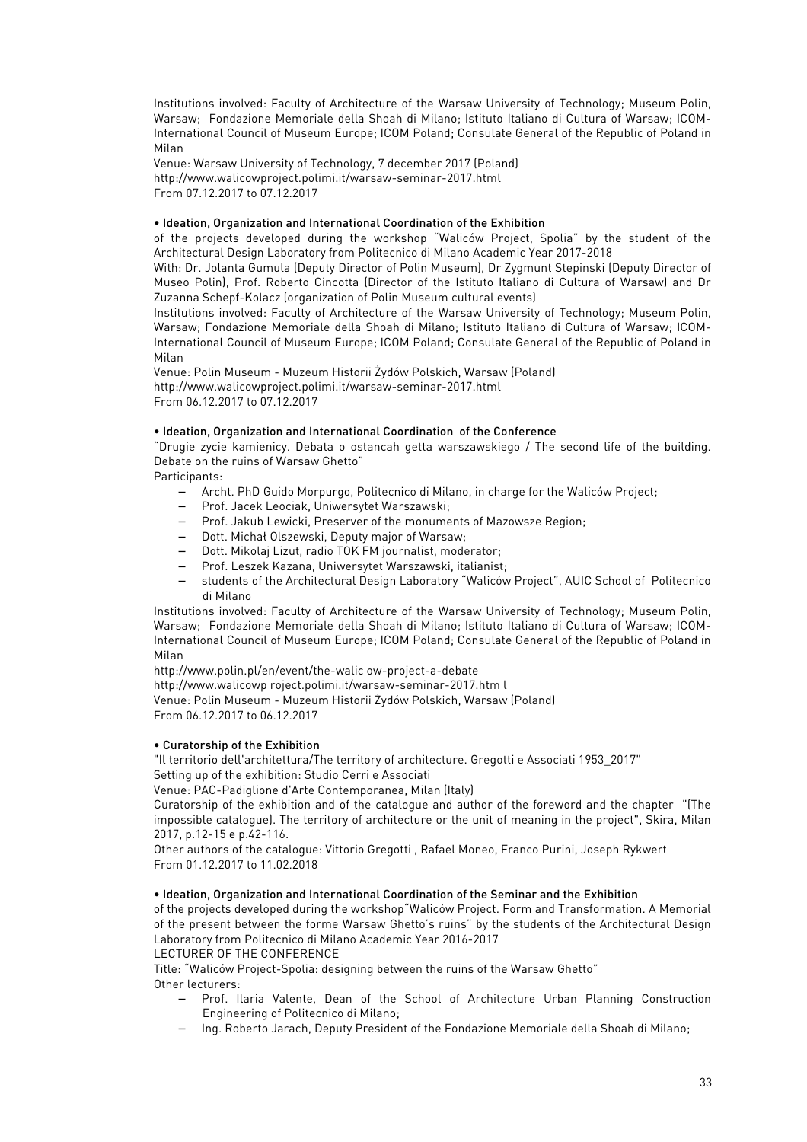Institutions involved: Faculty of Architecture of the Warsaw University of Technology; Museum Polin, Warsaw; Fondazione Memoriale della Shoah di Milano; Istituto Italiano di Cultura of Warsaw; ICOM-International Council of Museum Europe; ICOM Poland; Consulate General of the Republic of Poland in Milan

Venue: Warsaw University of Technology, 7 december 2017 (Poland) http://www.walicowproject.polimi.it/warsaw-seminar-2017.html From 07.12.2017 to 07.12.2017

# • Ideation, Organization and International Coordination of the Exhibition

of the projects developed during the workshop "Waliców Project, Spolia" by the student of the Architectural Design Laboratory from Politecnico di Milano Academic Year 2017-2018

With: Dr. Jolanta Gumula (Deputy Director of Polin Museum), Dr Zygmunt Stepinski (Deputy Director of Museo Polin), Prof. Roberto Cincotta (Director of the Istituto Italiano di Cultura of Warsaw) and Dr Zuzanna Schepf-Kolacz (organization of Polin Museum cultural events)

Institutions involved: Faculty of Architecture of the Warsaw University of Technology; Museum Polin, Warsaw; Fondazione Memoriale della Shoah di Milano; Istituto Italiano di Cultura of Warsaw; ICOM-International Council of Museum Europe; ICOM Poland; Consulate General of the Republic of Poland in Milan

Venue: Polin Museum - Muzeum Historii Żydów Polskich, Warsaw (Poland) http://www.walicowproject.polimi.it/warsaw-seminar-2017.html From 06.12.2017 to 07.12.2017

## • Ideation, Organization and International Coordination of the Conference

"Drugie zycie kamienicy. Debata o ostancah getta warszawskiego / The second life of the building. Debate on the ruins of Warsaw Ghetto"

Participants:

- − Archt. PhD Guido Morpurgo, Politecnico di Milano, in charge for the Waliców Project;
- − Prof. Jacek Leociak, Uniwersytet Warszawski;
- − Prof. Jakub Lewicki, Preserver of the monuments of Mazowsze Region;
- − Dott. Michał Olszewski, Deputy major of Warsaw;
- − Dott. Mikolaj Lizut, radio TOK FM journalist, moderator;
- − Prof. Leszek Kazana, Uniwersytet Warszawski, italianist;
- − students of the Architectural Design Laboratory "Waliców Project", AUIC School of Politecnico di Milano

Institutions involved: Faculty of Architecture of the Warsaw University of Technology; Museum Polin, Warsaw; Fondazione Memoriale della Shoah di Milano; Istituto Italiano di Cultura of Warsaw; ICOM-International Council of Museum Europe; ICOM Poland; Consulate General of the Republic of Poland in Milan

http://www.polin.pl/en/event/the-walic ow-project-a-debate

http://www.walicowp roject.polimi.it/warsaw-seminar-2017.htm l

Venue: Polin Museum - Muzeum Historii Żydów Polskich, Warsaw (Poland) From 06.12.2017 to 06.12.2017

### • Curatorship of the Exhibition

"Il territorio dell'architettura/The territory of architecture. Gregotti e Associati 1953\_2017" Setting up of the exhibition: Studio Cerri e Associati

Venue: PAC-Padiglione d'Arte Contemporanea, Milan (Italy)

Curatorship of the exhibition and of the catalogue and author of the foreword and the chapter "(The impossible catalogue). The territory of architecture or the unit of meaning in the project", Skira, Milan 2017, p.12-15 e p.42-116.

Other authors of the catalogue: Vittorio Gregotti , Rafael Moneo, Franco Purini, Joseph Rykwert From 01.12.2017 to 11.02.2018

### • Ideation, Organization and International Coordination of the Seminar and the Exhibition

of the projects developed during the workshop"Waliców Project. Form and Transformation. A Memorial of the present between the forme Warsaw Ghetto's ruins" by the students of the Architectural Design Laboratory from Politecnico di Milano Academic Year 2016-2017

LECTURER OF THE CONFERENCE

Title: "Waliców Project-Spolia: designing between the ruins of the Warsaw Ghetto" Other lecturers:

- − Prof. Ilaria Valente, Dean of the School of Architecture Urban Planning Construction Engineering of Politecnico di Milano;
- − Ing. Roberto Jarach, Deputy President of the Fondazione Memoriale della Shoah di Milano;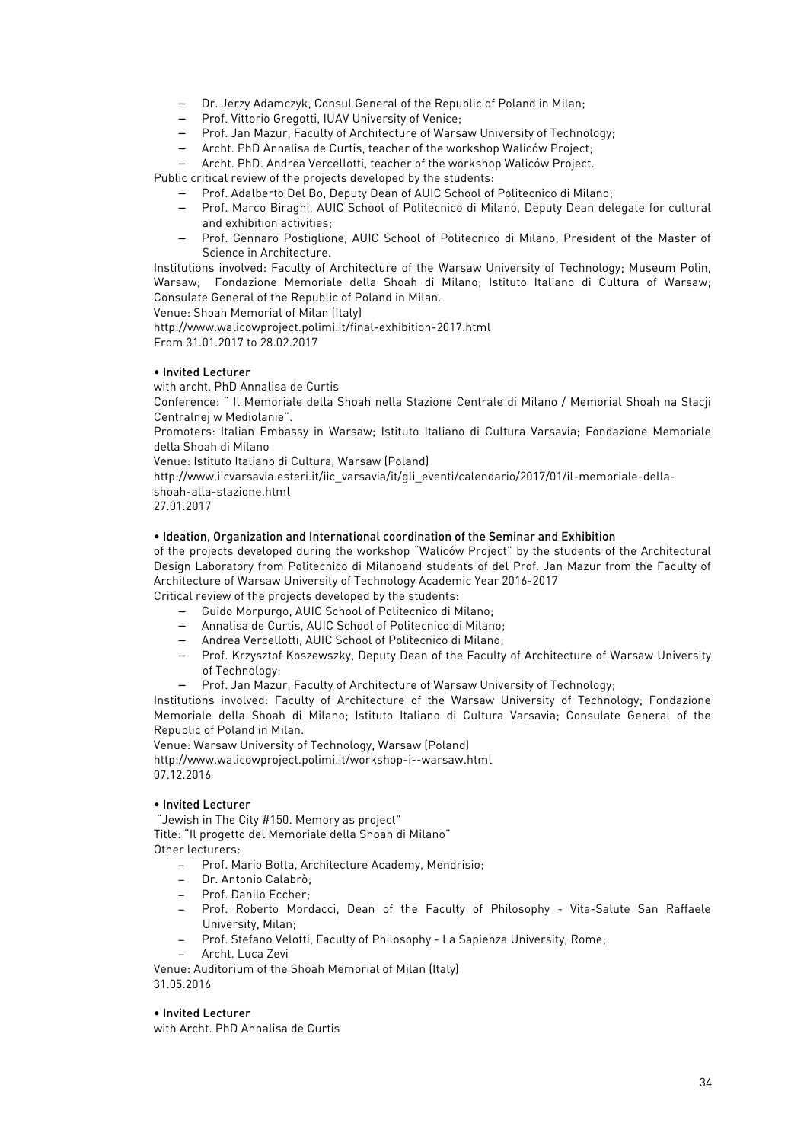- − Dr. Jerzy Adamczyk, Consul General of the Republic of Poland in Milan;
- − Prof. Vittorio Gregotti, IUAV University of Venice;
- − Prof. Jan Mazur, Faculty of Architecture of Warsaw University of Technology;
- − Archt. PhD Annalisa de Curtis, teacher of the workshop Waliców Project;
- − Archt. PhD. Andrea Vercellotti, teacher of the workshop Waliców Project.

Public critical review of the projects developed by the students:

- − Prof. Adalberto Del Bo, Deputy Dean of AUIC School of Politecnico di Milano;
- − Prof. Marco Biraghi, AUIC School of Politecnico di Milano, Deputy Dean delegate for cultural and exhibition activities;
- − Prof. Gennaro Postiglione, AUIC School of Politecnico di Milano, President of the Master of Science in Architecture.

Institutions involved: Faculty of Architecture of the Warsaw University of Technology; Museum Polin, Warsaw; Fondazione Memoriale della Shoah di Milano; Istituto Italiano di Cultura of Warsaw; Consulate General of the Republic of Poland in Milan.

Venue: Shoah Memorial of Milan (Italy)

http://www.walicowproject.polimi.it/final-exhibition-2017.html From 31.01.2017 to 28.02.2017

## • Invited Lecturer

with archt. PhD Annalisa de Curtis

Conference: " Il Memoriale della Shoah nella Stazione Centrale di Milano / Memorial Shoah na Stacji Centralnej w Mediolanie".

Promoters: Italian Embassy in Warsaw; Istituto Italiano di Cultura Varsavia; Fondazione Memoriale della Shoah di Milano

Venue: Istituto Italiano di Cultura, Warsaw (Poland)

http://www.iicvarsavia.esteri.it/iic\_varsavia/it/gli\_eventi/calendario/2017/01/il-memoriale-dellashoah-alla-stazione.html

27.01.2017

## • Ideation, Organization and International coordination of the Seminar and Exhibition

of the projects developed during the workshop "Waliców Project" by the students of the Architectural Design Laboratory from Politecnico di Milanoand students of del Prof. Jan Mazur from the Faculty of Architecture of Warsaw University of Technology Academic Year 2016-2017

Critical review of the projects developed by the students:

- − Guido Morpurgo, AUIC School of Politecnico di Milano;
- − Annalisa de Curtis, AUIC School of Politecnico di Milano;
- − Andrea Vercellotti, AUIC School of Politecnico di Milano;
- − Prof. Krzysztof Koszewszky, Deputy Dean of the Faculty of Architecture of Warsaw University of Technology;
- − Prof. Jan Mazur, Faculty of Architecture of Warsaw University of Technology;

Institutions involved: Faculty of Architecture of the Warsaw University of Technology; Fondazione Memoriale della Shoah di Milano; Istituto Italiano di Cultura Varsavia; Consulate General of the Republic of Poland in Milan.

Venue: Warsaw University of Technology, Warsaw (Poland) http://www.walicowproject.polimi.it/workshop-i--warsaw.html 07.12.2016

# • Invited Lecturer

"Jewish in The City #150. Memory as project" Title: "Il progetto del Memoriale della Shoah di Milano" Other lecturers:

- − Prof. Mario Botta, Architecture Academy, Mendrisio;
- − Dr. Antonio Calabrò;
- − Prof. Danilo Eccher;
- − Prof. Roberto Mordacci, Dean of the Faculty of Philosophy Vita-Salute San Raffaele University, Milan;
- − Prof. Stefano Velotti, Faculty of Philosophy La Sapienza University, Rome;
- − Archt. Luca Zevi

Venue: Auditorium of the Shoah Memorial of Milan (Italy) 31.05.2016

### • Invited Lecturer

with Archt. PhD Annalisa de Curtis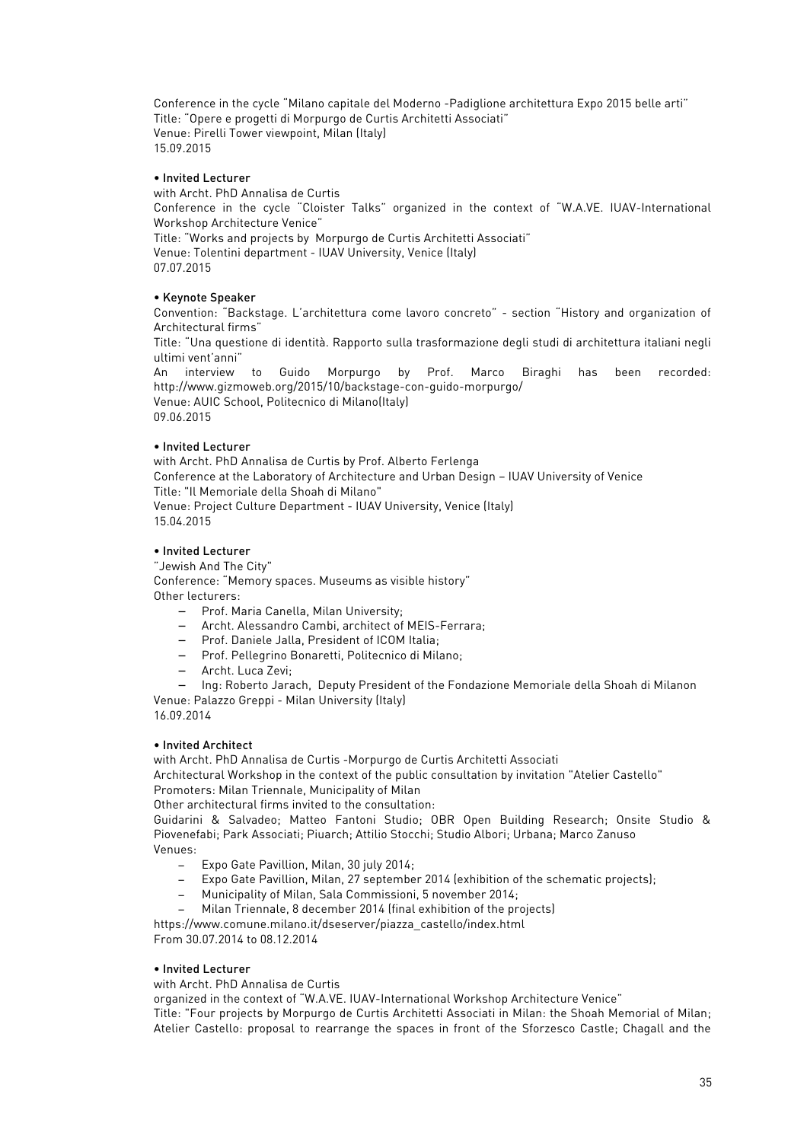Conference in the cycle "Milano capitale del Moderno -Padiglione architettura Expo 2015 belle arti" Title: "Opere e progetti di Morpurgo de Curtis Architetti Associati" Venue: Pirelli Tower viewpoint, Milan (Italy) 15.09.2015

### • Invited Lecturer

with Archt. PhD Annalisa de Curtis Conference in the cycle "Cloister Talks" organized in the context of "W.A.VE. IUAV-International Workshop Architecture Venice" Title: "Works and projects by Morpurgo de Curtis Architetti Associati" Venue: Tolentini department - IUAV University, Venice (Italy) 07.07.2015

## • Keynote Speaker

Convention: "Backstage. L'architettura come lavoro concreto" - section "History and organization of Architectural firms"

Title: "Una questione di identità. Rapporto sulla trasformazione degli studi di architettura italiani negli ultimi vent'anni"

An interview to Guido Morpurgo by Prof. Marco Biraghi has been recorded: http://www.gizmoweb.org/2015/10/backstage-con-guido-morpurgo/ Venue: AUIC School, Politecnico di Milano(Italy) 09.06.2015

# • Invited Lecturer

with Archt. PhD Annalisa de Curtis by Prof. Alberto Ferlenga Conference at the Laboratory of Architecture and Urban Design – IUAV University of Venice Title: "Il Memoriale della Shoah di Milano" Venue: Project Culture Department - IUAV University, Venice (Italy) 15.04.2015

## • Invited Lecturer

"Jewish And The City"

Conference: "Memory spaces. Museums as visible history" Other lecturers:

- − Prof. Maria Canella, Milan University;
- − Archt. Alessandro Cambi, architect of MEIS-Ferrara;
- − Prof. Daniele Jalla, President of ICOM Italia;
- − Prof. Pellegrino Bonaretti, Politecnico di Milano;
- − Archt. Luca Zevi;
- − Ing: Roberto Jarach, Deputy President of the Fondazione Memoriale della Shoah di Milanon

Venue: Palazzo Greppi - Milan University (Italy)

16.09.2014

### • Invited Architect

with Archt. PhD Annalisa de Curtis -Morpurgo de Curtis Architetti Associati

Architectural Workshop in the context of the public consultation by invitation "Atelier Castello" Promoters: Milan Triennale, Municipality of Milan

Other architectural firms invited to the consultation:

Guidarini & Salvadeo; Matteo Fantoni Studio; OBR Open Building Research; Onsite Studio & Piovenefabi; Park Associati; Piuarch; Attilio Stocchi; Studio Albori; Urbana; Marco Zanuso Venues:

- − Expo Gate Pavillion, Milan, 30 july 2014;
- − Expo Gate Pavillion, Milan, 27 september 2014 (exhibition of the schematic projects);
- − Municipality of Milan, Sala Commissioni, 5 november 2014;
- − Milan Triennale, 8 december 2014 (final exhibition of the projects)

https://www.comune.milano.it/dseserver/piazza\_castello/index.html From 30.07.2014 to 08.12.2014

### • Invited Lecturer

with Archt. PhD Annalisa de Curtis

organized in the context of "W.A.VE. IUAV-International Workshop Architecture Venice"

Title: "Four projects by Morpurgo de Curtis Architetti Associati in Milan: the Shoah Memorial of Milan; Atelier Castello: proposal to rearrange the spaces in front of the Sforzesco Castle; Chagall and the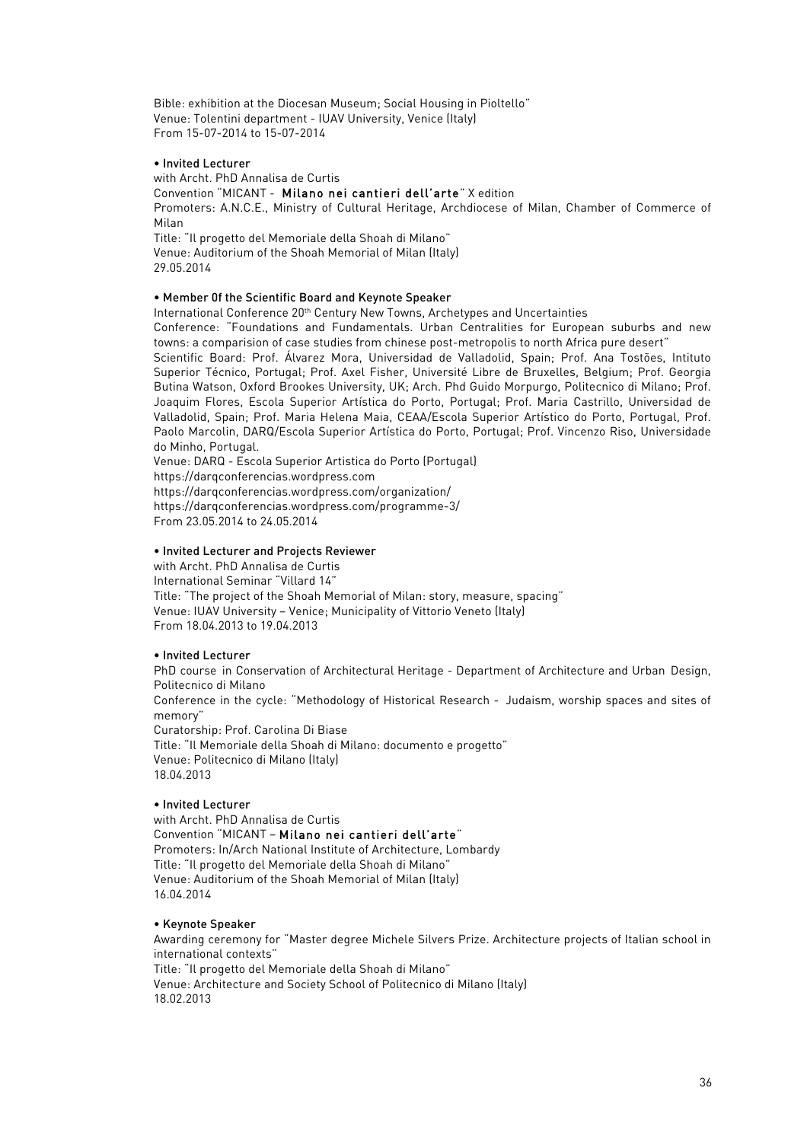Bible: exhibition at the Diocesan Museum; Social Housing in Pioltello" Venue: Tolentini department - IUAV University, Venice (Italy) From 15-07-2014 to 15-07-2014

### • Invited Lecturer

with Archt. PhD Annalisa de Curtis

## Convention "MICANT - Milano nei cantieri dell'arte" X edition

Promoters: A.N.C.E., Ministry of Cultural Heritage, Archdiocese of Milan, Chamber of Commerce of Milan

Title: "Il progetto del Memoriale della Shoah di Milano" Venue: Auditorium of the Shoah Memorial of Milan (Italy) 29.05.2014

## • Member 0f the Scientific Board and Keynote Speaker

International Conference 20th Century New Towns, Archetypes and Uncertainties

Conference: "Foundations and Fundamentals. Urban Centralities for European suburbs and new towns: a comparision of case studies from chinese post-metropolis to north Africa pure desert"

Scientific Board: Prof. Álvarez Mora, Universidad de Valladolid, Spain; Prof. Ana Tostões, Intituto Superior Técnico, Portugal; Prof. Axel Fisher, Université Libre de Bruxelles, Belgium; Prof. Georgia Butina Watson, Oxford Brookes University, UK; Arch. Phd Guido Morpurgo, Politecnico di Milano; Prof. Joaquim Flores, Escola Superior Artística do Porto, Portugal; Prof. Maria Castrillo, Universidad de Valladolid, Spain; Prof. Maria Helena Maia, CEAA/Escola Superior Artístico do Porto, Portugal, Prof. Paolo Marcolin, DARQ/Escola Superior Artística do Porto, Portugal; Prof. Vincenzo Riso, Universidade do Minho, Portugal.

Venue: DARQ - Escola Superior Artistica do Porto (Portugal) https://darqconferencias.wordpress.com https://darqconferencias.wordpress.com/organization/ https://darqconferencias.wordpress.com/programme-3/ From 23.05.2014 to 24.05.2014

# • Invited Lecturer and Projects Reviewer

with Archt. PhD Annalisa de Curtis International Seminar "Villard 14" Title: "The project of the Shoah Memorial of Milan: story, measure, spacing" Venue: IUAV University – Venice; Municipality of Vittorio Veneto (Italy) From 18.04.2013 to 19.04.2013

### • Invited Lecturer

PhD course in Conservation of Architectural Heritage - Department of Architecture and Urban Design, Politecnico di Milano Conference in the cycle: "Methodology of Historical Research - Judaism, worship spaces and sites of memory" Curatorship: Prof. Carolina Di Biase Title: "Il Memoriale della Shoah di Milano: documento e progetto"

Venue: Politecnico di Milano (Italy) 18.04.2013

### • Invited Lecturer

with Archt. PhD Annalisa de Curtis Convention "MICANT – Milano nei cantieri dell'arte" Promoters: In/Arch National Institute of Architecture, Lombardy Title: "Il progetto del Memoriale della Shoah di Milano" Venue: Auditorium of the Shoah Memorial of Milan (Italy) 16.04.2014

### • Keynote Speaker

Awarding ceremony for "Master degree Michele Silvers Prize. Architecture projects of Italian school in international contexts"

Title: "Il progetto del Memoriale della Shoah di Milano" Venue: Architecture and Society School of Politecnico di Milano (Italy)

18.02.2013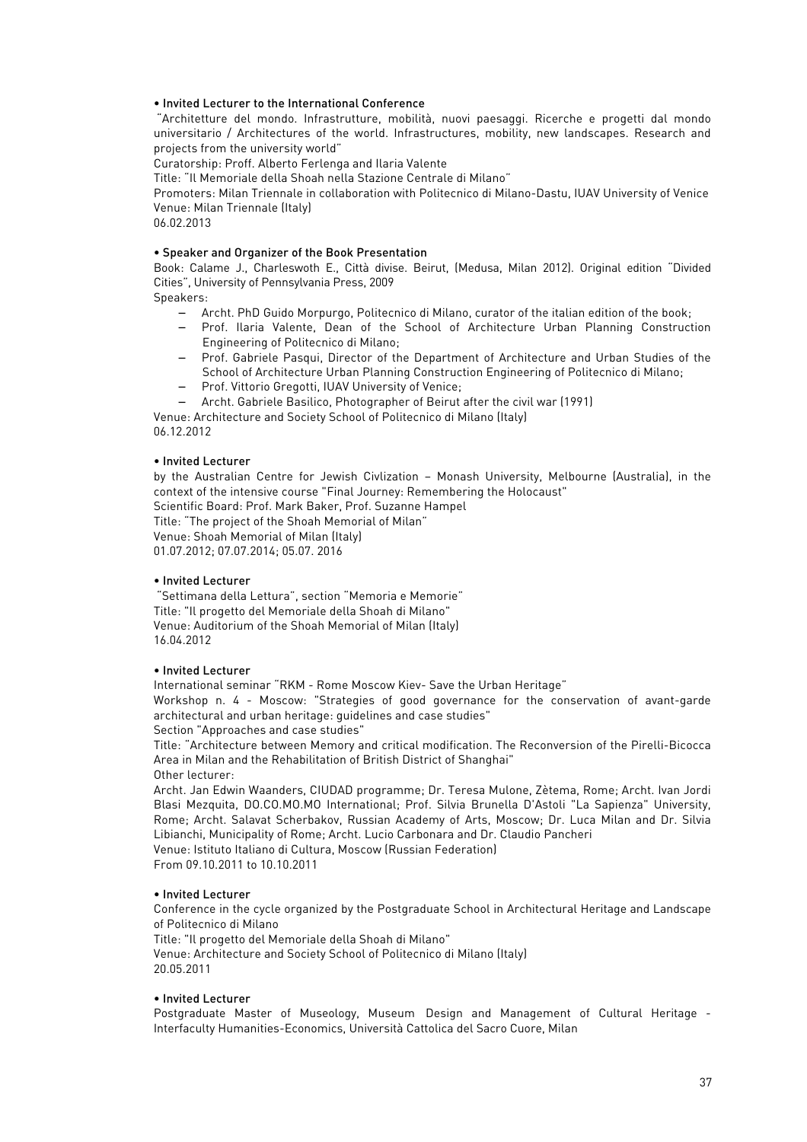# • Invited Lecturer to the International Conference

"Architetture del mondo. Infrastrutture, mobilità, nuovi paesaggi. Ricerche e progetti dal mondo universitario / Architectures of the world. Infrastructures, mobility, new landscapes. Research and projects from the university world"

Curatorship: Proff. Alberto Ferlenga and Ilaria Valente

Title: "Il Memoriale della Shoah nella Stazione Centrale di Milano"

Promoters: Milan Triennale in collaboration with Politecnico di Milano-Dastu, IUAV University of Venice Venue: Milan Triennale (Italy)

06.02.2013

### • Speaker and Organizer of the Book Presentation

Book: Calame J., Charleswoth E., Città divise. Beirut, (Medusa, Milan 2012). Original edition "Divided Cities", University of Pennsylvania Press, 2009

Speakers:

- − Archt. PhD Guido Morpurgo, Politecnico di Milano, curator of the italian edition of the book;
- − Prof. Ilaria Valente, Dean of the School of Architecture Urban Planning Construction Engineering of Politecnico di Milano;
- − Prof. Gabriele Pasqui, Director of the Department of Architecture and Urban Studies of the School of Architecture Urban Planning Construction Engineering of Politecnico di Milano;
- − Prof. Vittorio Gregotti, IUAV University of Venice;
- − Archt. Gabriele Basilico, Photographer of Beirut after the civil war (1991)

Venue: Architecture and Society School of Politecnico di Milano (Italy) 06.12.2012

## • Invited Lecturer

by the Australian Centre for Jewish Civlization – Monash University, Melbourne (Australia), in the context of the intensive course "Final Journey: Remembering the Holocaust"

Scientific Board: Prof. Mark Baker, Prof. Suzanne Hampel Title: "The project of the Shoah Memorial of Milan" Venue: Shoah Memorial of Milan (Italy) 01.07.2012; 07.07.2014; 05.07. 2016

# • Invited Lecturer

"Settimana della Lettura", section "Memoria e Memorie" Title: "Il progetto del Memoriale della Shoah di Milano" Venue: Auditorium of the Shoah Memorial of Milan (Italy) 16.04.2012

### • Invited Lecturer

International seminar "RKM - Rome Moscow Kiev- Save the Urban Heritage"

Workshop n. 4 - Moscow: "Strategies of good governance for the conservation of avant-garde architectural and urban heritage: guidelines and case studies"

Section "Approaches and case studies" Title: "Architecture between Memory and critical modification. The Reconversion of the Pirelli-Bicocca Area in Milan and the Rehabilitation of British District of Shanghai"

Other lecturer:

Archt. Jan Edwin Waanders, CIUDAD programme; Dr. Teresa Mulone, Zètema, Rome; Archt. Ivan Jordi Blasi Mezquita, DO.CO.MO.MO International; Prof. Silvia Brunella D'Astoli "La Sapienza" University, Rome; Archt. Salavat Scherbakov, Russian Academy of Arts, Moscow; Dr. Luca Milan and Dr. Silvia Libianchi, Municipality of Rome; Archt. Lucio Carbonara and Dr. Claudio Pancheri Venue: Istituto Italiano di Cultura, Moscow (Russian Federation)

From 09.10.2011 to 10.10.2011

### • Invited Lecturer

Conference in the cycle organized by the Postgraduate School in Architectural Heritage and Landscape of Politecnico di Milano

Title: "Il progetto del Memoriale della Shoah di Milano"

Venue: Architecture and Society School of Politecnico di Milano (Italy) 20.05.2011

# • Invited Lecturer

Postgraduate Master of Museology, Museum Design and Management of Cultural Heritage - Interfaculty Humanities-Economics, Università Cattolica del Sacro Cuore, Milan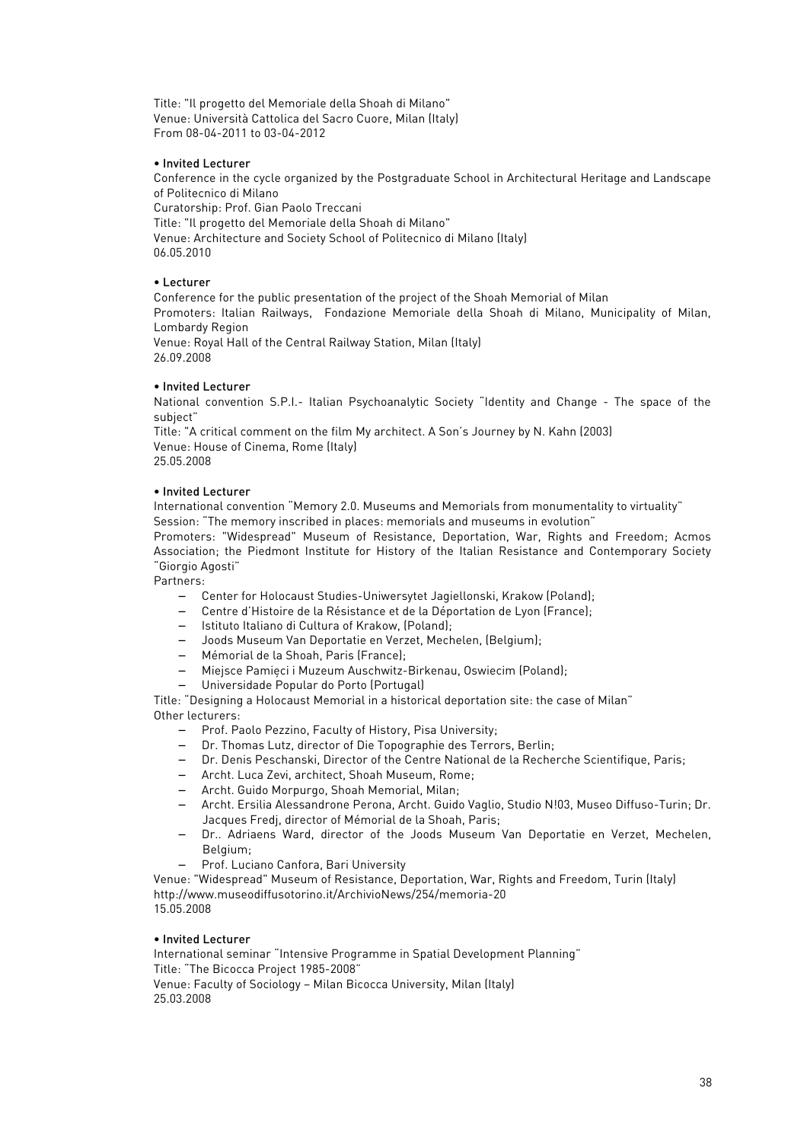Title: "Il progetto del Memoriale della Shoah di Milano" Venue: Università Cattolica del Sacro Cuore, Milan (Italy) From 08-04-2011 to 03-04-2012

## • Invited Lecturer

Conference in the cycle organized by the Postgraduate School in Architectural Heritage and Landscape of Politecnico di Milano

Curatorship: Prof. Gian Paolo Treccani Title: "Il progetto del Memoriale della Shoah di Milano" Venue: Architecture and Society School of Politecnico di Milano (Italy) 06.05.2010

## • Lecturer

Conference for the public presentation of the project of the Shoah Memorial of Milan Promoters: Italian Railways, Fondazione Memoriale della Shoah di Milano, Municipality of Milan, Lombardy Region

Venue: Royal Hall of the Central Railway Station, Milan (Italy) 26.09.2008

## • Invited Lecturer

National convention S.P.I.- Italian Psychoanalytic Society "Identity and Change - The space of the subject"

Title: "A critical comment on the film My architect. A Son's Journey by N. Kahn (2003) Venue: House of Cinema, Rome (Italy) 25.05.2008

## • Invited Lecturer

International convention "Memory 2.0. Museums and Memorials from monumentality to virtuality"

Session: "The memory inscribed in places: memorials and museums in evolution"

Promoters: "Widespread" Museum of Resistance, Deportation, War, Rights and Freedom; Acmos Association; the Piedmont Institute for History of the Italian Resistance and Contemporary Society "Giorgio Agosti"

Partners:

- − Center for Holocaust Studies-Uniwersytet Jagiellonski, Krakow (Poland);
- − Centre d'Histoire de la Résistance et de la Déportation de Lyon (France);
- − Istituto Italiano di Cultura of Krakow, (Poland);
- − Joods Museum Van Deportatie en Verzet, Mechelen, (Belgium);
- − Mémorial de la Shoah, Paris (France);
- − Miejsce Pamięci i Muzeum Auschwitz-Birkenau, Oswiecim (Poland);
- − Universidade Popular do Porto (Portugal)

Title: "Designing a Holocaust Memorial in a historical deportation site: the case of Milan" Other lecturers:

- − Prof. Paolo Pezzino, Faculty of History, Pisa University;
- − Dr. Thomas Lutz, director of Die Topographie des Terrors, Berlin;
- − Dr. Denis Peschanski, Director of the Centre National de la Recherche Scientifique, Paris;
- − Archt. Luca Zevi, architect, Shoah Museum, Rome;
- − Archt. Guido Morpurgo, Shoah Memorial, Milan;
- − Archt. Ersilia Alessandrone Perona, Archt. Guido Vaglio, Studio N!03, Museo Diffuso-Turin; Dr. Jacques Fredj, director of Mémorial de la Shoah, Paris;
- Dr.. Adriaens Ward, director of the Joods Museum Van Deportatie en Verzet, Mechelen, Belgium;
- − Prof. Luciano Canfora, Bari University

Venue: "Widespread" Museum of Resistance, Deportation, War, Rights and Freedom, Turin (Italy) http://www.museodiffusotorino.it/ArchivioNews/254/memoria-20 15.05.2008

# • Invited Lecturer

International seminar "Intensive Programme in Spatial Development Planning" Title: "The Bicocca Project 1985-2008" Venue: Faculty of Sociology – Milan Bicocca University, Milan (Italy)

25.03.2008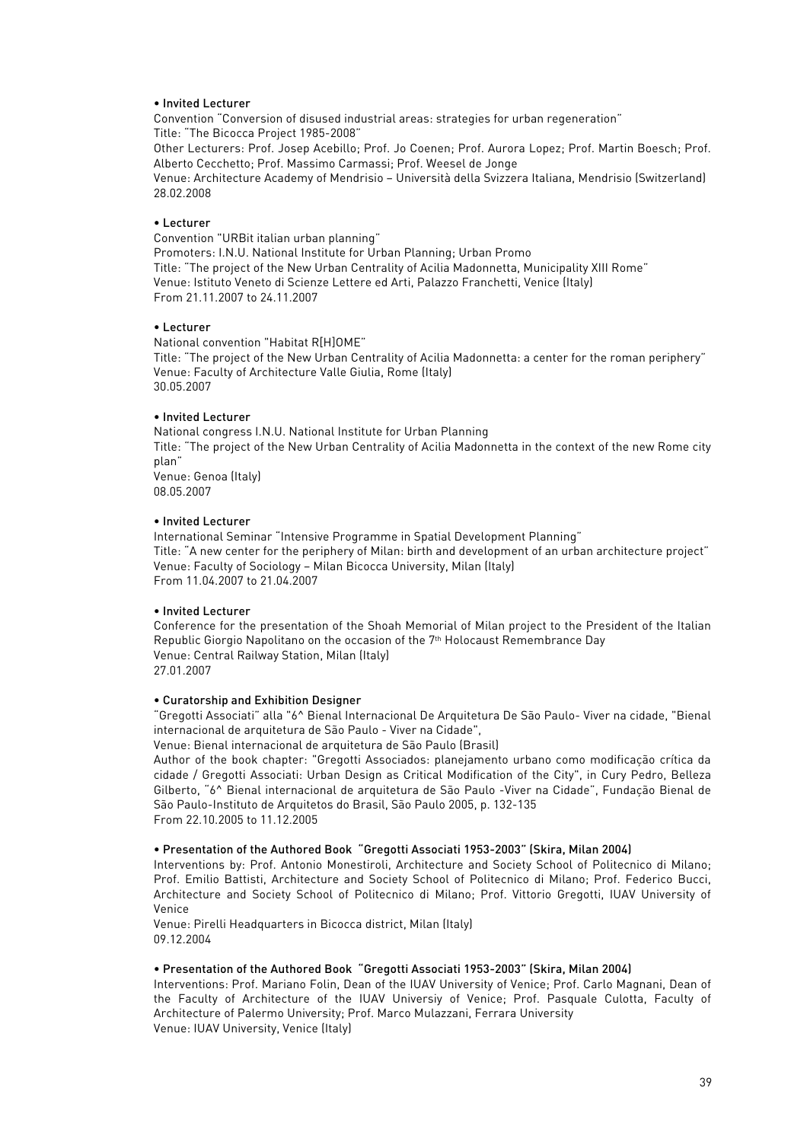### • Invited Lecturer

Convention "Conversion of disused industrial areas: strategies for urban regeneration" Title: "The Bicocca Project 1985-2008" Other Lecturers: Prof. Josep Acebillo; Prof. Jo Coenen; Prof. Aurora Lopez; Prof. Martin Boesch; Prof. Alberto Cecchetto; Prof. Massimo Carmassi; Prof. Weesel de Jonge Venue: Architecture Academy of Mendrisio – Università della Svizzera Italiana, Mendrisio (Switzerland) 28.02.2008

### • Lecturer

Convention "URBit italian urban planning" Promoters: I.N.U. National Institute for Urban Planning; Urban Promo Title: "The project of the New Urban Centrality of Acilia Madonnetta, Municipality XIII Rome" Venue: Istituto Veneto di Scienze Lettere ed Arti, Palazzo Franchetti, Venice (Italy) From 21.11.2007 to 24.11.2007

#### • Lecturer

National convention "Habitat R[H]OME"

Title: "The project of the New Urban Centrality of Acilia Madonnetta: a center for the roman periphery" Venue: Faculty of Architecture Valle Giulia, Rome (Italy) 30.05.2007

## • Invited Lecturer

National congress I.N.U. National Institute for Urban Planning Title: "The project of the New Urban Centrality of Acilia Madonnetta in the context of the new Rome city plan" Venue: Genoa (Italy) 08.05.2007

#### • Invited Lecturer

International Seminar "Intensive Programme in Spatial Development Planning" Title: "A new center for the periphery of Milan: birth and development of an urban architecture project" Venue: Faculty of Sociology – Milan Bicocca University, Milan (Italy) From 11.04.2007 to 21.04.2007

#### • Invited Lecturer

Conference for the presentation of the Shoah Memorial of Milan project to the President of the Italian Republic Giorgio Napolitano on the occasion of the 7<sup>th</sup> Holocaust Remembrance Day Venue: Central Railway Station, Milan (Italy) 27.01.2007

### • Curatorship and Exhibition Designer

"Gregotti Associati" alla "6^ Bienal Internacional De Arquitetura De São Paulo- Viver na cidade, "Bienal internacional de arquitetura de São Paulo - Viver na Cidade",

Venue: Bienal internacional de arquitetura de São Paulo (Brasil)

Author of the book chapter: "Gregotti Associados: planejamento urbano como modificação crítica da cidade / Gregotti Associati: Urban Design as Critical Modification of the City", in Cury Pedro, Belleza Gilberto, "6^ Bienal internacional de arquitetura de São Paulo -Viver na Cidade", Fundação Bienal de São Paulo-Instituto de Arquitetos do Brasil, São Paulo 2005, p. 132-135 From 22.10.2005 to 11.12.2005

#### • Presentation of the Authored Book "Gregotti Associati 1953-2003" (Skira, Milan 2004)

Interventions by: Prof. Antonio Monestiroli, Architecture and Society School of Politecnico di Milano; Prof. Emilio Battisti, Architecture and Society School of Politecnico di Milano; Prof. Federico Bucci, Architecture and Society School of Politecnico di Milano; Prof. Vittorio Gregotti, IUAV University of Venice

Venue: Pirelli Headquarters in Bicocca district, Milan (Italy) 09.12.2004

### • Presentation of the Authored Book "Gregotti Associati 1953-2003" (Skira, Milan 2004)

Interventions: Prof. Mariano Folin, Dean of the IUAV University of Venice; Prof. Carlo Magnani, Dean of the Faculty of Architecture of the IUAV Universiy of Venice; Prof. Pasquale Culotta, Faculty of Architecture of Palermo University; Prof. Marco Mulazzani, Ferrara University Venue: IUAV University, Venice (Italy)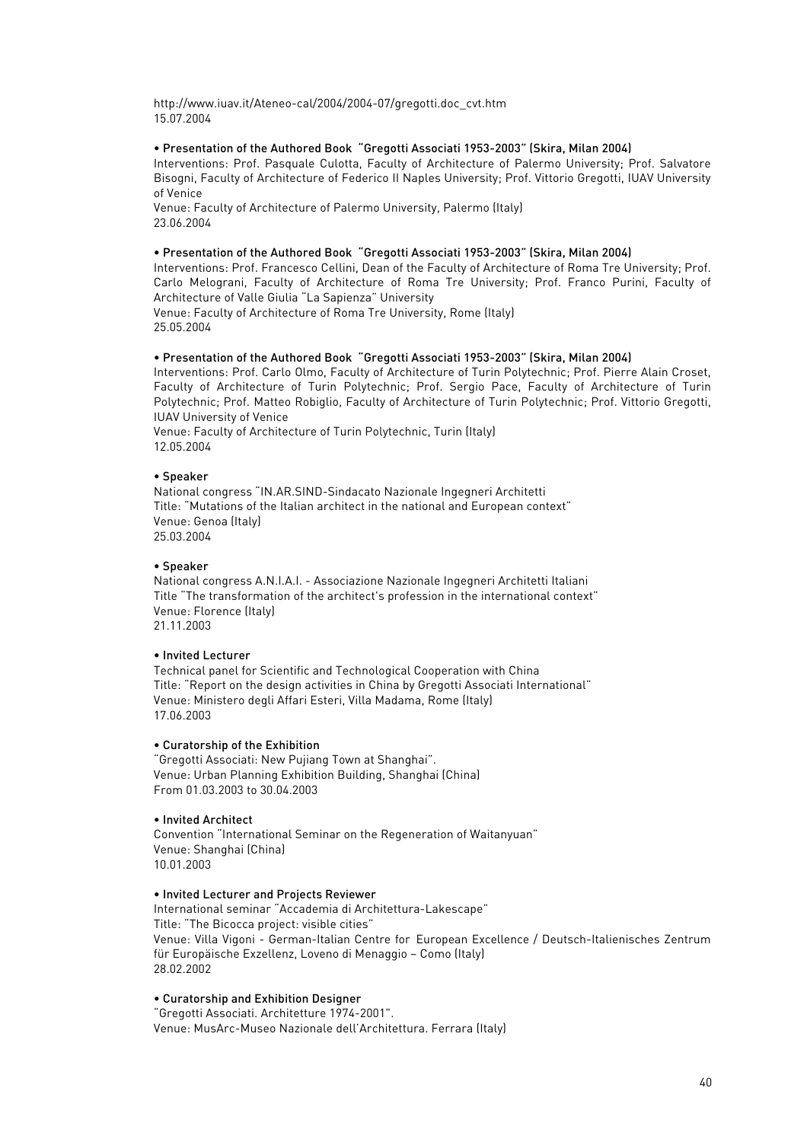http://www.iuav.it/Ateneo-cal/2004/2004-07/gregotti.doc\_cvt.htm 15.07.2004

## • Presentation of the Authored Book "Gregotti Associati 1953-2003" (Skira, Milan 2004)

Interventions: Prof. Pasquale Culotta, Faculty of Architecture of Palermo University; Prof. Salvatore Bisogni, Faculty of Architecture of Federico II Naples University; Prof. Vittorio Gregotti, IUAV University of Venice

Venue: Faculty of Architecture of Palermo University, Palermo (Italy) 23.06.2004

## • Presentation of the Authored Book "Gregotti Associati 1953-2003" (Skira, Milan 2004)

Interventions: Prof. Francesco Cellini, Dean of the Faculty of Architecture of Roma Tre University; Prof. Carlo Melograni, Faculty of Architecture of Roma Tre University; Prof. Franco Purini, Faculty of Architecture of Valle Giulia "La Sapienza" University

Venue: Faculty of Architecture of Roma Tre University, Rome (Italy) 25.05.2004

# • Presentation of the Authored Book "Gregotti Associati 1953-2003" (Skira, Milan 2004)

Interventions: Prof. Carlo Olmo, Faculty of Architecture of Turin Polytechnic; Prof. Pierre Alain Croset, Faculty of Architecture of Turin Polytechnic; Prof. Sergio Pace, Faculty of Architecture of Turin Polytechnic; Prof. Matteo Robiglio, Faculty of Architecture of Turin Polytechnic; Prof. Vittorio Gregotti, IUAV University of Venice

Venue: Faculty of Architecture of Turin Polytechnic, Turin (Italy) 12.05.2004

# • Speaker

National congress "IN.AR.SIND-Sindacato Nazionale Ingegneri Architetti Title: "Mutations of the Italian architect in the national and European context" Venue: Genoa (Italy) 25.03.2004

# • Speaker

National congress A.N.I.A.I. - Associazione Nazionale Ingegneri Architetti Italiani Title "The transformation of the architect's profession in the international context" Venue: Florence (Italy) 21.11.2003

# • Invited Lecturer

Technical panel for Scientific and Technological Cooperation with China Title: "Report on the design activities in China by Gregotti Associati International" Venue: Ministero degli Affari Esteri, Villa Madama, Rome (Italy) 17.06.2003

### • Curatorship of the Exhibition

"Gregotti Associati: New Pujiang Town at Shanghai". Venue: Urban Planning Exhibition Building, Shanghai (China) From 01.03.2003 to 30.04.2003

# • Invited Architect

Convention "International Seminar on the Regeneration of Waitanyuan" Venue: Shanghai (China) 10.01.2003

# • Invited Lecturer and Projects Reviewer

International seminar "Accademia di Architettura-Lakescape" Title: "The Bicocca project: visible cities" Venue: Villa Vigoni - German-Italian Centre for European Excellence / Deutsch-Italienisches Zentrum für Europäische Exzellenz, Loveno di Menaggio – Como (Italy) 28.02.2002

### • Curatorship and Exhibition Designer

"Gregotti Associati. Architetture 1974-2001". Venue: MusArc-Museo Nazionale dell'Architettura. Ferrara (Italy)